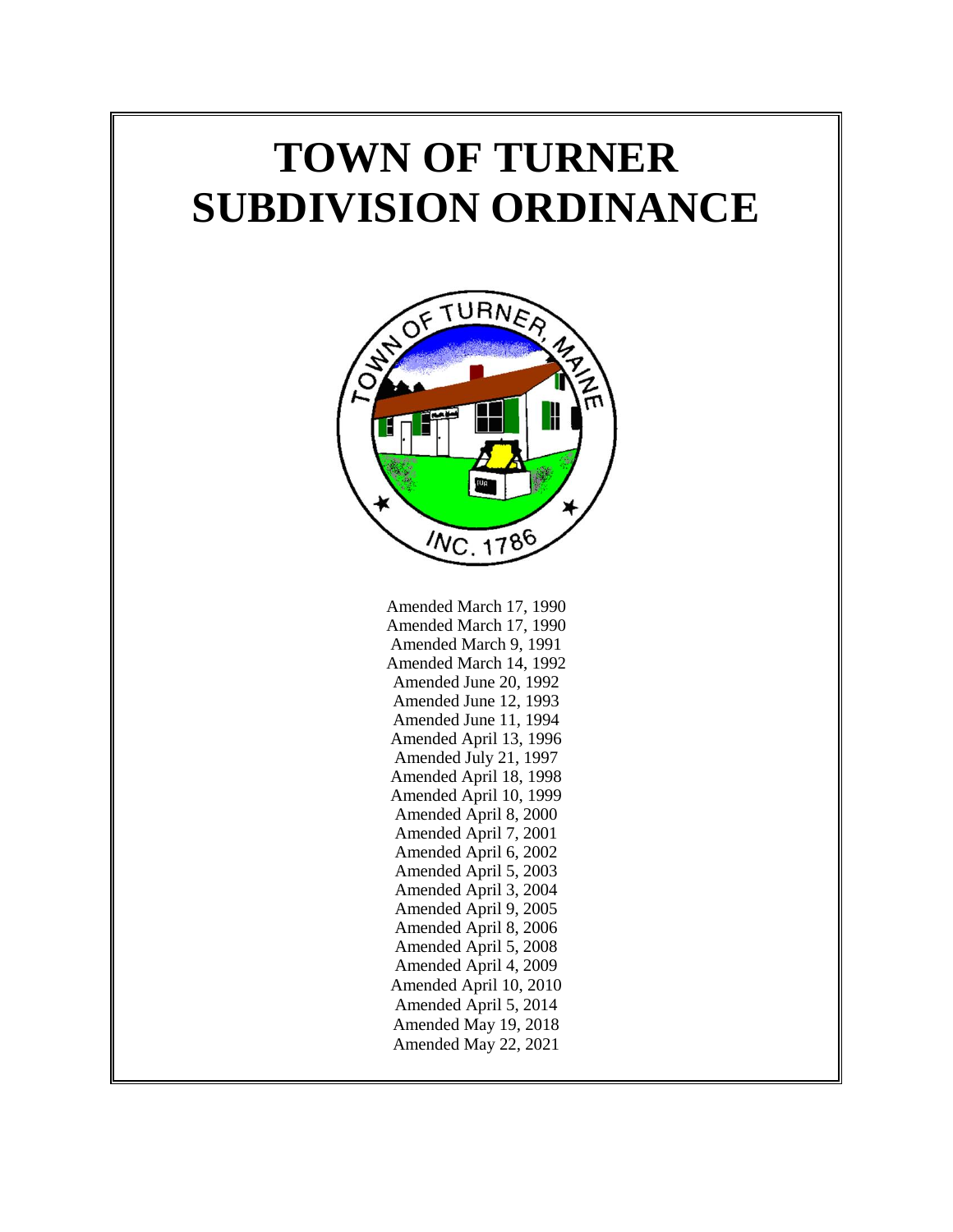# **TOWN OF TURNER SUBDIVISION ORDINANCE**



Amended March 17, 1990 Amended March 17, 1990 Amended March 9, 1991 Amended March 14, 1992 Amended June 20, 1992 Amended June 12, 1993 Amended June 11, 1994 Amended April 13, 1996 Amended July 21, 1997 Amended April 18, 1998 Amended April 10, 1999 Amended April 8, 2000 Amended April 7, 2001 Amended April 6, 2002 Amended April 5, 2003 Amended April 3, 2004 Amended April 9, 2005 Amended April 8, 2006 Amended April 5, 2008 Amended April 4, 2009 Amended April 10, 2010 Amended April 5, 2014 Amended May 19, 2018 Amended May 22, 2021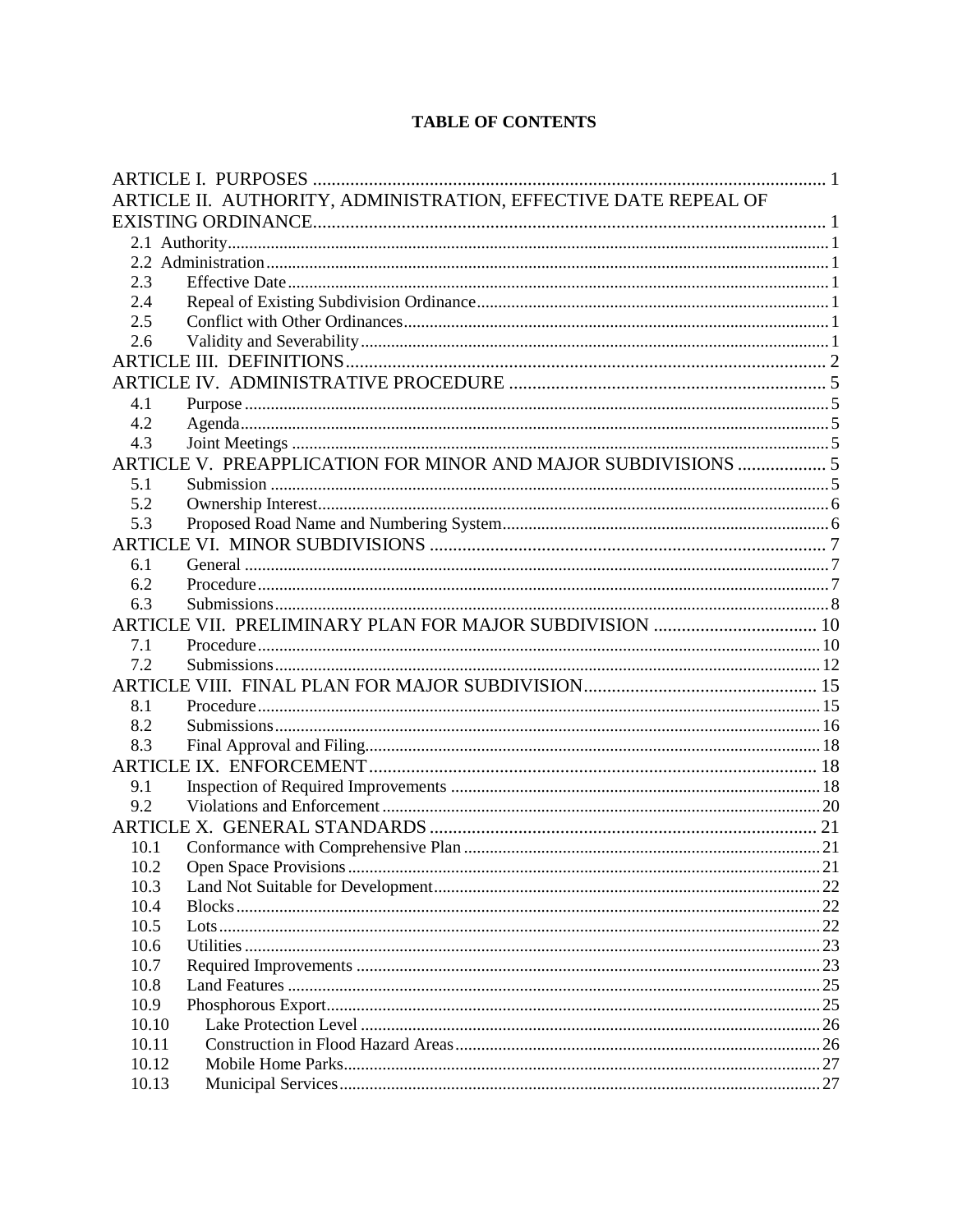# **TABLE OF CONTENTS**

| ARTICLE II. AUTHORITY, ADMINISTRATION, EFFECTIVE DATE REPEAL OF |                                                               |  |  |  |
|-----------------------------------------------------------------|---------------------------------------------------------------|--|--|--|
|                                                                 |                                                               |  |  |  |
|                                                                 |                                                               |  |  |  |
|                                                                 |                                                               |  |  |  |
| 2.3                                                             |                                                               |  |  |  |
| 2.4                                                             |                                                               |  |  |  |
| 2.5                                                             |                                                               |  |  |  |
| 2.6                                                             |                                                               |  |  |  |
|                                                                 |                                                               |  |  |  |
|                                                                 |                                                               |  |  |  |
| 4.1                                                             |                                                               |  |  |  |
| 4.2                                                             |                                                               |  |  |  |
| 4.3                                                             |                                                               |  |  |  |
|                                                                 | ARTICLE V. PREAPPLICATION FOR MINOR AND MAJOR SUBDIVISIONS  5 |  |  |  |
| 5.1                                                             |                                                               |  |  |  |
| 5.2                                                             |                                                               |  |  |  |
| 5.3                                                             |                                                               |  |  |  |
|                                                                 |                                                               |  |  |  |
| 6.1                                                             |                                                               |  |  |  |
| 6.2                                                             |                                                               |  |  |  |
| 6.3                                                             |                                                               |  |  |  |
|                                                                 | ARTICLE VII. PRELIMINARY PLAN FOR MAJOR SUBDIVISION  10       |  |  |  |
| 7.1                                                             |                                                               |  |  |  |
| 7.2                                                             |                                                               |  |  |  |
|                                                                 |                                                               |  |  |  |
| 8.1                                                             |                                                               |  |  |  |
| 8.2                                                             |                                                               |  |  |  |
| 8.3                                                             |                                                               |  |  |  |
|                                                                 |                                                               |  |  |  |
| 9.1                                                             |                                                               |  |  |  |
| 9.2                                                             |                                                               |  |  |  |
|                                                                 |                                                               |  |  |  |
| 10.1                                                            |                                                               |  |  |  |
| 10.2                                                            |                                                               |  |  |  |
| 10.3                                                            |                                                               |  |  |  |
| 10.4                                                            |                                                               |  |  |  |
| 10.5                                                            |                                                               |  |  |  |
| 10.6                                                            |                                                               |  |  |  |
| 10.7                                                            |                                                               |  |  |  |
| 10.8                                                            |                                                               |  |  |  |
| 10.9                                                            |                                                               |  |  |  |
| 10.10                                                           |                                                               |  |  |  |
| 10.11                                                           |                                                               |  |  |  |
| 10.12                                                           |                                                               |  |  |  |
| 10.13                                                           |                                                               |  |  |  |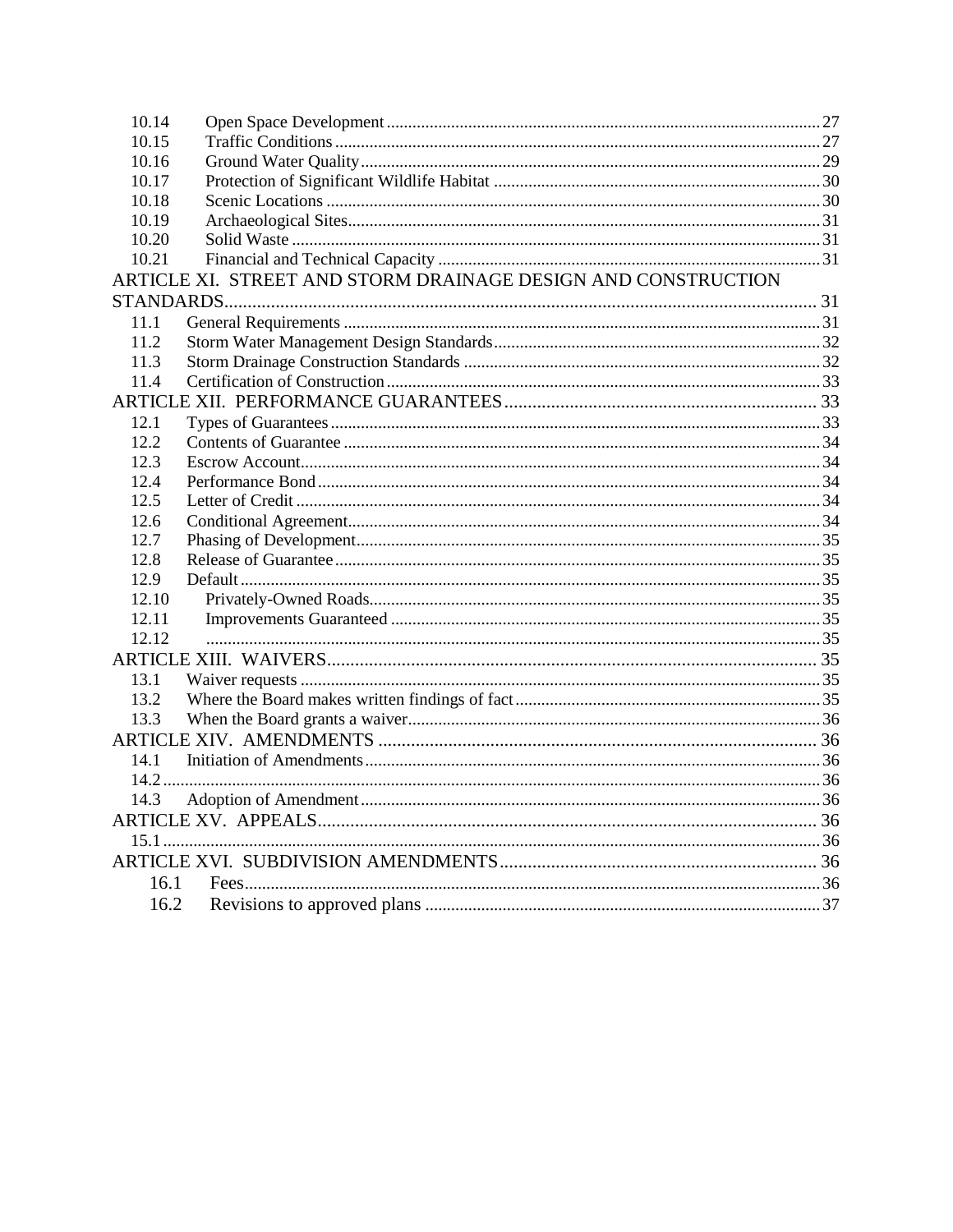| 10.14 |                                                               |  |
|-------|---------------------------------------------------------------|--|
| 10.15 |                                                               |  |
| 10.16 |                                                               |  |
| 10.17 |                                                               |  |
| 10.18 |                                                               |  |
| 10.19 |                                                               |  |
| 10.20 |                                                               |  |
| 10.21 |                                                               |  |
|       | ARTICLE XI. STREET AND STORM DRAINAGE DESIGN AND CONSTRUCTION |  |
|       |                                                               |  |
| 11.1  |                                                               |  |
| 11.2  |                                                               |  |
| 11.3  |                                                               |  |
| 11.4  |                                                               |  |
|       |                                                               |  |
| 12.1  |                                                               |  |
| 12.2  |                                                               |  |
| 12.3  |                                                               |  |
| 12.4  |                                                               |  |
| 12.5  |                                                               |  |
| 12.6  |                                                               |  |
| 12.7  |                                                               |  |
| 12.8  |                                                               |  |
| 12.9  |                                                               |  |
| 12.10 |                                                               |  |
| 12.11 |                                                               |  |
| 12.12 |                                                               |  |
|       |                                                               |  |
| 13.1  |                                                               |  |
| 13.2  |                                                               |  |
| 13.3  |                                                               |  |
|       |                                                               |  |
| 14.1  |                                                               |  |
|       |                                                               |  |
| 14.3  |                                                               |  |
|       |                                                               |  |
|       |                                                               |  |
|       |                                                               |  |
| 16.1  |                                                               |  |
| 16.2  |                                                               |  |
|       |                                                               |  |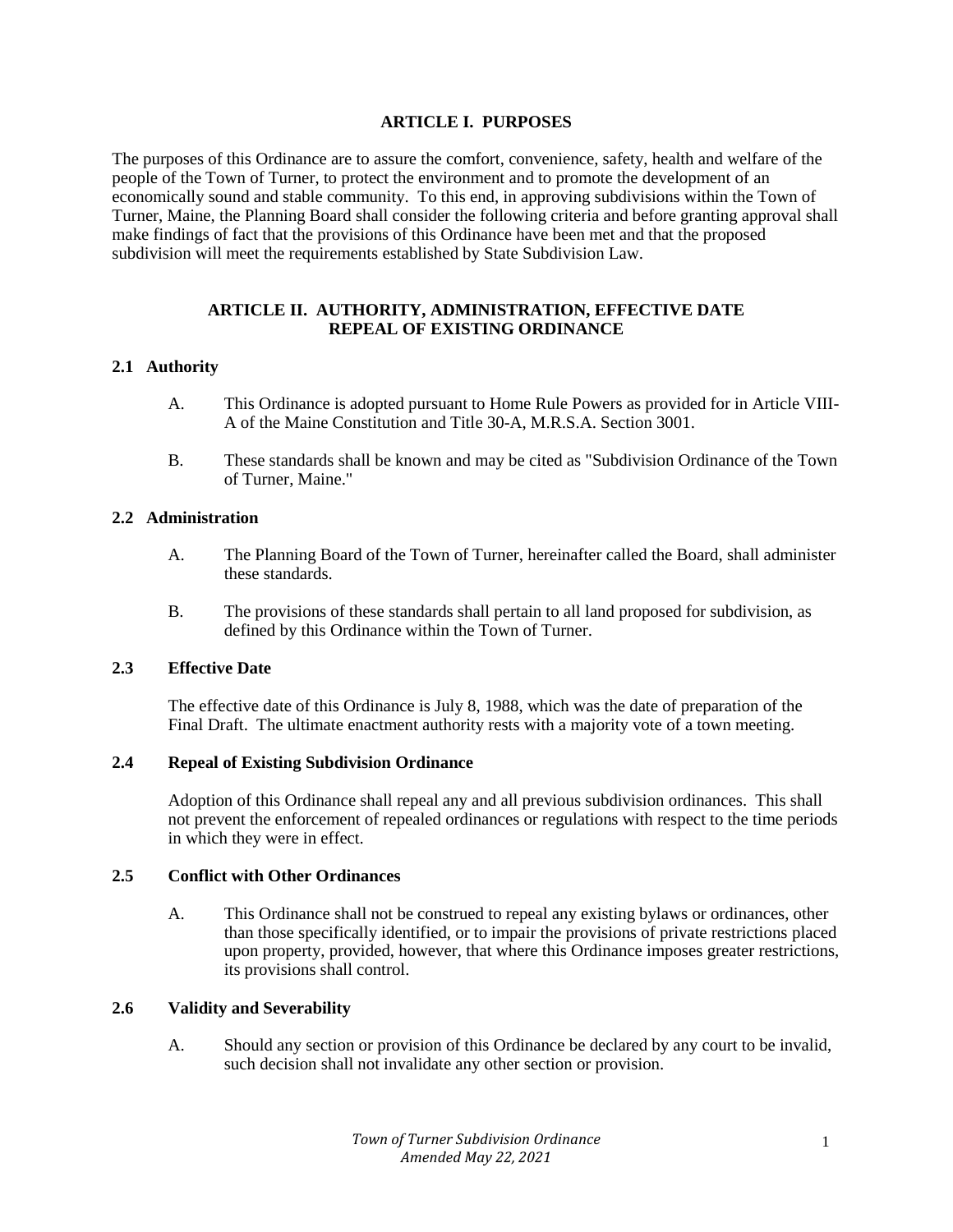#### **ARTICLE I. PURPOSES**

The purposes of this Ordinance are to assure the comfort, convenience, safety, health and welfare of the people of the Town of Turner, to protect the environment and to promote the development of an economically sound and stable community. To this end, in approving subdivisions within the Town of Turner, Maine, the Planning Board shall consider the following criteria and before granting approval shall make findings of fact that the provisions of this Ordinance have been met and that the proposed subdivision will meet the requirements established by State Subdivision Law.

#### **ARTICLE II. AUTHORITY, ADMINISTRATION, EFFECTIVE DATE REPEAL OF EXISTING ORDINANCE**

## **2.1 Authority**

- A. This Ordinance is adopted pursuant to Home Rule Powers as provided for in Article VIII-A of the Maine Constitution and Title 30-A, M.R.S.A. Section 3001.
- B. These standards shall be known and may be cited as "Subdivision Ordinance of the Town of Turner, Maine."

#### **2.2 Administration**

- A. The Planning Board of the Town of Turner, hereinafter called the Board, shall administer these standards.
- B. The provisions of these standards shall pertain to all land proposed for subdivision, as defined by this Ordinance within the Town of Turner.

# **2.3 Effective Date**

The effective date of this Ordinance is July 8, 1988, which was the date of preparation of the Final Draft. The ultimate enactment authority rests with a majority vote of a town meeting.

#### **2.4 Repeal of Existing Subdivision Ordinance**

Adoption of this Ordinance shall repeal any and all previous subdivision ordinances. This shall not prevent the enforcement of repealed ordinances or regulations with respect to the time periods in which they were in effect.

#### **2.5 Conflict with Other Ordinances**

A. This Ordinance shall not be construed to repeal any existing bylaws or ordinances, other than those specifically identified, or to impair the provisions of private restrictions placed upon property, provided, however, that where this Ordinance imposes greater restrictions, its provisions shall control.

#### **2.6 Validity and Severability**

A. Should any section or provision of this Ordinance be declared by any court to be invalid, such decision shall not invalidate any other section or provision.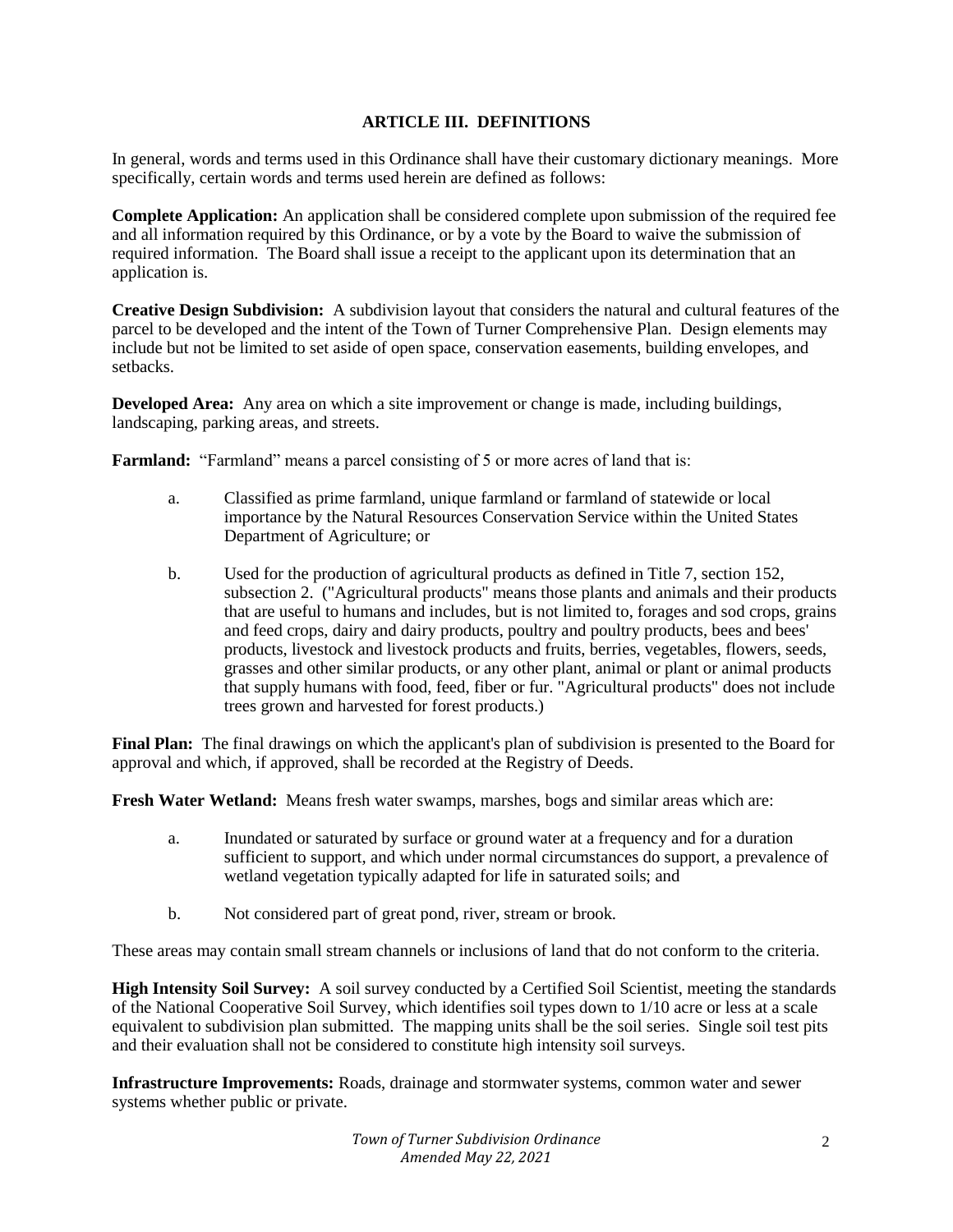## **ARTICLE III. DEFINITIONS**

In general, words and terms used in this Ordinance shall have their customary dictionary meanings. More specifically, certain words and terms used herein are defined as follows:

**Complete Application:** An application shall be considered complete upon submission of the required fee and all information required by this Ordinance, or by a vote by the Board to waive the submission of required information. The Board shall issue a receipt to the applicant upon its determination that an application is.

**Creative Design Subdivision:** A subdivision layout that considers the natural and cultural features of the parcel to be developed and the intent of the Town of Turner Comprehensive Plan. Design elements may include but not be limited to set aside of open space, conservation easements, building envelopes, and setbacks.

**Developed Area:** Any area on which a site improvement or change is made, including buildings, landscaping, parking areas, and streets.

**Farmland:** "Farmland" means a parcel consisting of 5 or more acres of land that is:

- a. Classified as prime farmland, unique farmland or farmland of statewide or local importance by the Natural Resources Conservation Service within the United States Department of Agriculture; or
- b. Used for the production of agricultural products as defined in Title 7, section 152, subsection 2. ("Agricultural products" means those plants and animals and their products that are useful to humans and includes, but is not limited to, forages and sod crops, grains and feed crops, dairy and dairy products, poultry and poultry products, bees and bees' products, livestock and livestock products and fruits, berries, vegetables, flowers, seeds, grasses and other similar products, or any other plant, animal or plant or animal products that supply humans with food, feed, fiber or fur. "Agricultural products" does not include trees grown and harvested for forest products.)

**Final Plan:** The final drawings on which the applicant's plan of subdivision is presented to the Board for approval and which, if approved, shall be recorded at the Registry of Deeds.

**Fresh Water Wetland:** Means fresh water swamps, marshes, bogs and similar areas which are:

- a. Inundated or saturated by surface or ground water at a frequency and for a duration sufficient to support, and which under normal circumstances do support, a prevalence of wetland vegetation typically adapted for life in saturated soils; and
- b. Not considered part of great pond, river, stream or brook.

These areas may contain small stream channels or inclusions of land that do not conform to the criteria.

**High Intensity Soil Survey:** A soil survey conducted by a Certified Soil Scientist, meeting the standards of the National Cooperative Soil Survey, which identifies soil types down to 1/10 acre or less at a scale equivalent to subdivision plan submitted. The mapping units shall be the soil series. Single soil test pits and their evaluation shall not be considered to constitute high intensity soil surveys.

**Infrastructure Improvements:** Roads, drainage and stormwater systems, common water and sewer systems whether public or private.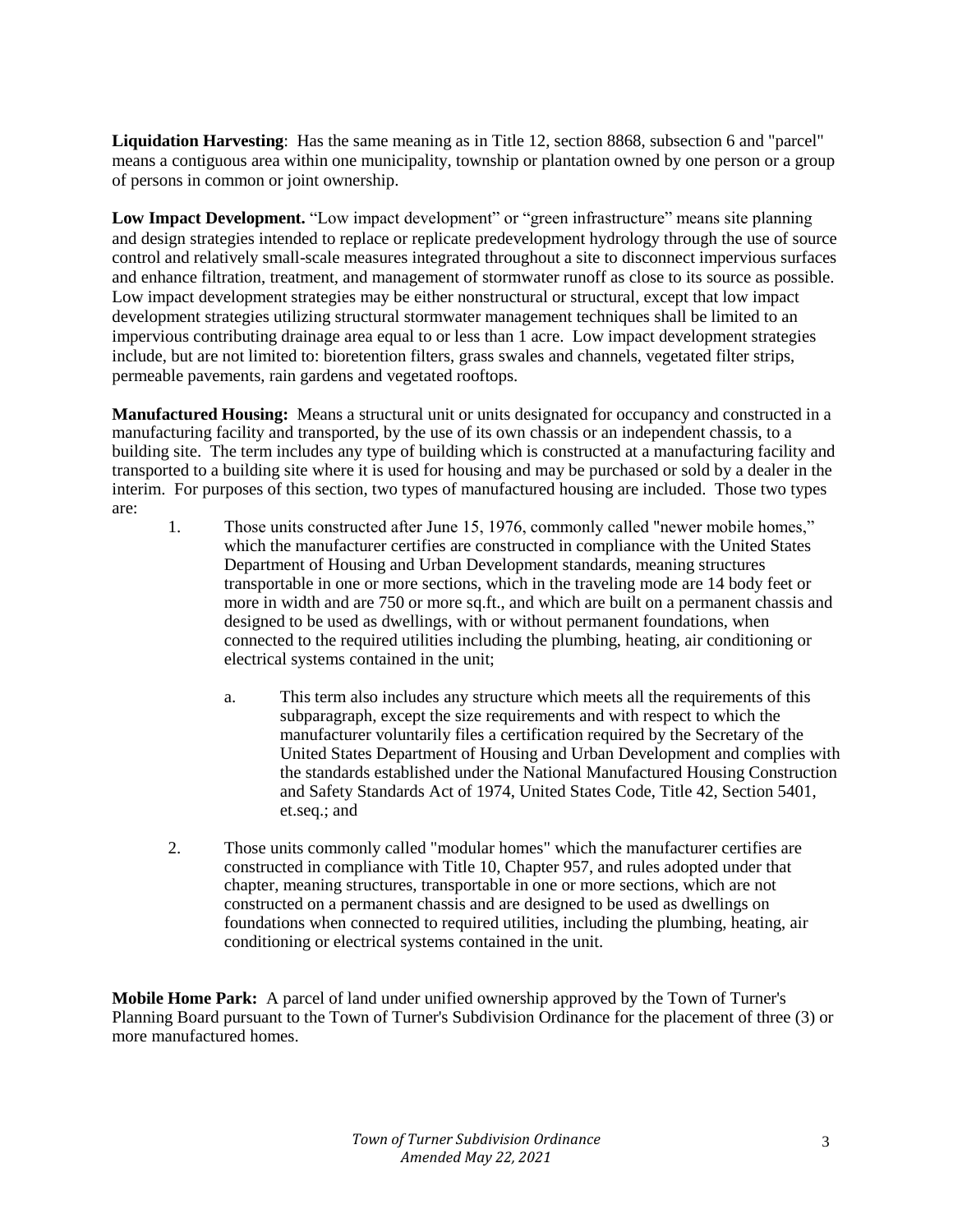**Liquidation Harvesting**: Has the same meaning as in Title 12, section 8868, subsection 6 and "parcel" means a contiguous area within one municipality, township or plantation owned by one person or a group of persons in common or joint ownership.

Low Impact Development. "Low impact development" or "green infrastructure" means site planning and design strategies intended to replace or replicate predevelopment hydrology through the use of source control and relatively small-scale measures integrated throughout a site to disconnect impervious surfaces and enhance filtration, treatment, and management of stormwater runoff as close to its source as possible. Low impact development strategies may be either nonstructural or structural, except that low impact development strategies utilizing structural stormwater management techniques shall be limited to an impervious contributing drainage area equal to or less than 1 acre. Low impact development strategies include, but are not limited to: bioretention filters, grass swales and channels, vegetated filter strips, permeable pavements, rain gardens and vegetated rooftops.

**Manufactured Housing:** Means a structural unit or units designated for occupancy and constructed in a manufacturing facility and transported, by the use of its own chassis or an independent chassis, to a building site. The term includes any type of building which is constructed at a manufacturing facility and transported to a building site where it is used for housing and may be purchased or sold by a dealer in the interim. For purposes of this section, two types of manufactured housing are included. Those two types are:

- 1. Those units constructed after June 15, 1976, commonly called "newer mobile homes," which the manufacturer certifies are constructed in compliance with the United States Department of Housing and Urban Development standards, meaning structures transportable in one or more sections, which in the traveling mode are 14 body feet or more in width and are 750 or more sq.ft., and which are built on a permanent chassis and designed to be used as dwellings, with or without permanent foundations, when connected to the required utilities including the plumbing, heating, air conditioning or electrical systems contained in the unit;
	- a. This term also includes any structure which meets all the requirements of this subparagraph, except the size requirements and with respect to which the manufacturer voluntarily files a certification required by the Secretary of the United States Department of Housing and Urban Development and complies with the standards established under the National Manufactured Housing Construction and Safety Standards Act of 1974, United States Code, Title 42, Section 5401, et.seq.; and
- 2. Those units commonly called "modular homes" which the manufacturer certifies are constructed in compliance with Title 10, Chapter 957, and rules adopted under that chapter, meaning structures, transportable in one or more sections, which are not constructed on a permanent chassis and are designed to be used as dwellings on foundations when connected to required utilities, including the plumbing, heating, air conditioning or electrical systems contained in the unit.

**Mobile Home Park:** A parcel of land under unified ownership approved by the Town of Turner's Planning Board pursuant to the Town of Turner's Subdivision Ordinance for the placement of three (3) or more manufactured homes.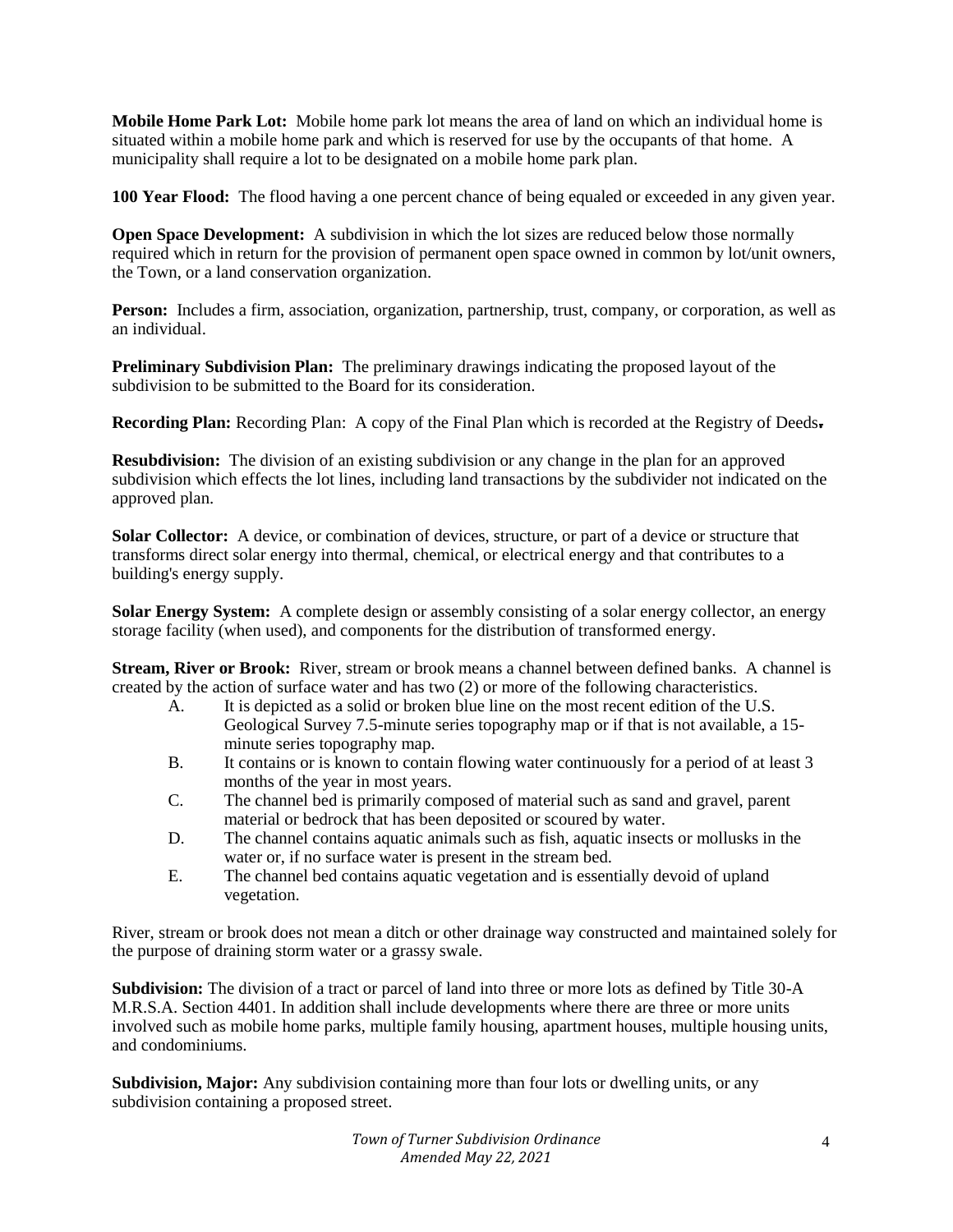**Mobile Home Park Lot:** Mobile home park lot means the area of land on which an individual home is situated within a mobile home park and which is reserved for use by the occupants of that home. A municipality shall require a lot to be designated on a mobile home park plan.

**100 Year Flood:** The flood having a one percent chance of being equaled or exceeded in any given year.

**Open Space Development:** A subdivision in which the lot sizes are reduced below those normally required which in return for the provision of permanent open space owned in common by lot/unit owners, the Town, or a land conservation organization.

**Person:** Includes a firm, association, organization, partnership, trust, company, or corporation, as well as an individual.

**Preliminary Subdivision Plan:** The preliminary drawings indicating the proposed layout of the subdivision to be submitted to the Board for its consideration.

**Recording Plan:** Recording Plan: A copy of the Final Plan which is recorded at the Registry of Deeds**.**

**Resubdivision:** The division of an existing subdivision or any change in the plan for an approved subdivision which effects the lot lines, including land transactions by the subdivider not indicated on the approved plan.

**Solar Collector:** A device, or combination of devices, structure, or part of a device or structure that transforms direct solar energy into thermal, chemical, or electrical energy and that contributes to a building's energy supply.

**Solar Energy System:** A complete design or assembly consisting of a solar energy collector, an energy storage facility (when used), and components for the distribution of transformed energy.

**Stream, River or Brook:** River, stream or brook means a channel between defined banks. A channel is created by the action of surface water and has two (2) or more of the following characteristics.

- A. It is depicted as a solid or broken blue line on the most recent edition of the U.S. Geological Survey 7.5-minute series topography map or if that is not available, a 15 minute series topography map.
- B. It contains or is known to contain flowing water continuously for a period of at least 3 months of the year in most years.
- C. The channel bed is primarily composed of material such as sand and gravel, parent material or bedrock that has been deposited or scoured by water.
- D. The channel contains aquatic animals such as fish, aquatic insects or mollusks in the water or, if no surface water is present in the stream bed.
- E. The channel bed contains aquatic vegetation and is essentially devoid of upland vegetation.

River, stream or brook does not mean a ditch or other drainage way constructed and maintained solely for the purpose of draining storm water or a grassy swale.

**Subdivision:** The division of a tract or parcel of land into three or more lots as defined by Title 30-A M.R.S.A. Section 4401. In addition shall include developments where there are three or more units involved such as mobile home parks, multiple family housing, apartment houses, multiple housing units, and condominiums.

**Subdivision, Major:** Any subdivision containing more than four lots or dwelling units, or any subdivision containing a proposed street.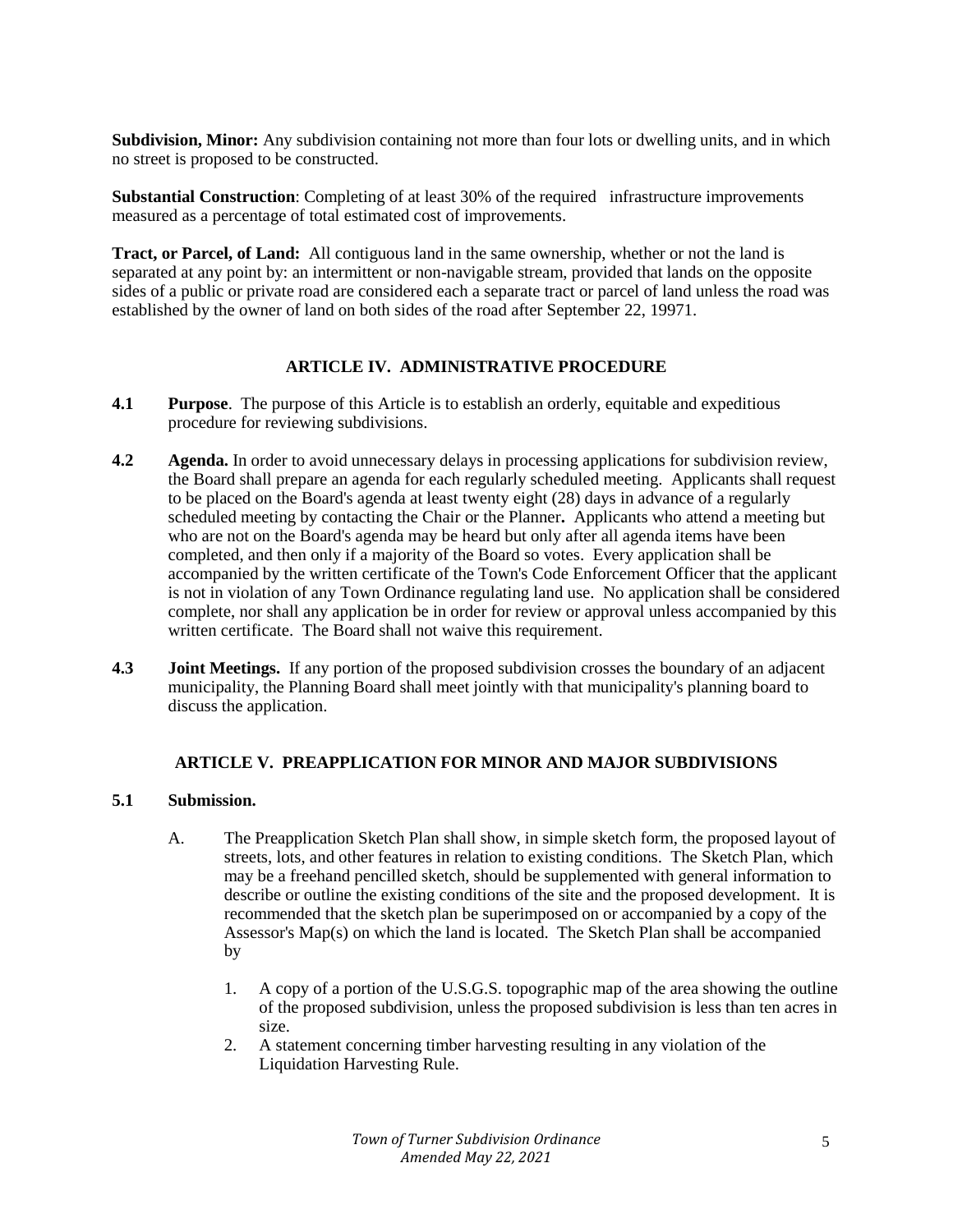**Subdivision, Minor:** Any subdivision containing not more than four lots or dwelling units, and in which no street is proposed to be constructed.

**Substantial Construction**: Completing of at least 30% of the required infrastructure improvements measured as a percentage of total estimated cost of improvements.

**Tract, or Parcel, of Land:** All contiguous land in the same ownership, whether or not the land is separated at any point by: an intermittent or non-navigable stream, provided that lands on the opposite sides of a public or private road are considered each a separate tract or parcel of land unless the road was established by the owner of land on both sides of the road after September 22, 19971.

#### **ARTICLE IV. ADMINISTRATIVE PROCEDURE**

- **4.1 Purpose**. The purpose of this Article is to establish an orderly, equitable and expeditious procedure for reviewing subdivisions.
- **4.2** Agenda. In order to avoid unnecessary delays in processing applications for subdivision review, the Board shall prepare an agenda for each regularly scheduled meeting. Applicants shall request to be placed on the Board's agenda at least twenty eight (28) days in advance of a regularly scheduled meeting by contacting the Chair or the Planner**.** Applicants who attend a meeting but who are not on the Board's agenda may be heard but only after all agenda items have been completed, and then only if a majority of the Board so votes. Every application shall be accompanied by the written certificate of the Town's Code Enforcement Officer that the applicant is not in violation of any Town Ordinance regulating land use. No application shall be considered complete, nor shall any application be in order for review or approval unless accompanied by this written certificate. The Board shall not waive this requirement.
- **4.3 Joint Meetings.** If any portion of the proposed subdivision crosses the boundary of an adjacent municipality, the Planning Board shall meet jointly with that municipality's planning board to discuss the application.

## **ARTICLE V. PREAPPLICATION FOR MINOR AND MAJOR SUBDIVISIONS**

## **5.1 Submission.**

- A. The Preapplication Sketch Plan shall show, in simple sketch form, the proposed layout of streets, lots, and other features in relation to existing conditions. The Sketch Plan, which may be a freehand pencilled sketch, should be supplemented with general information to describe or outline the existing conditions of the site and the proposed development. It is recommended that the sketch plan be superimposed on or accompanied by a copy of the Assessor's Map(s) on which the land is located. The Sketch Plan shall be accompanied by
	- 1. A copy of a portion of the U.S.G.S. topographic map of the area showing the outline of the proposed subdivision, unless the proposed subdivision is less than ten acres in size.
	- 2. A statement concerning timber harvesting resulting in any violation of the Liquidation Harvesting Rule.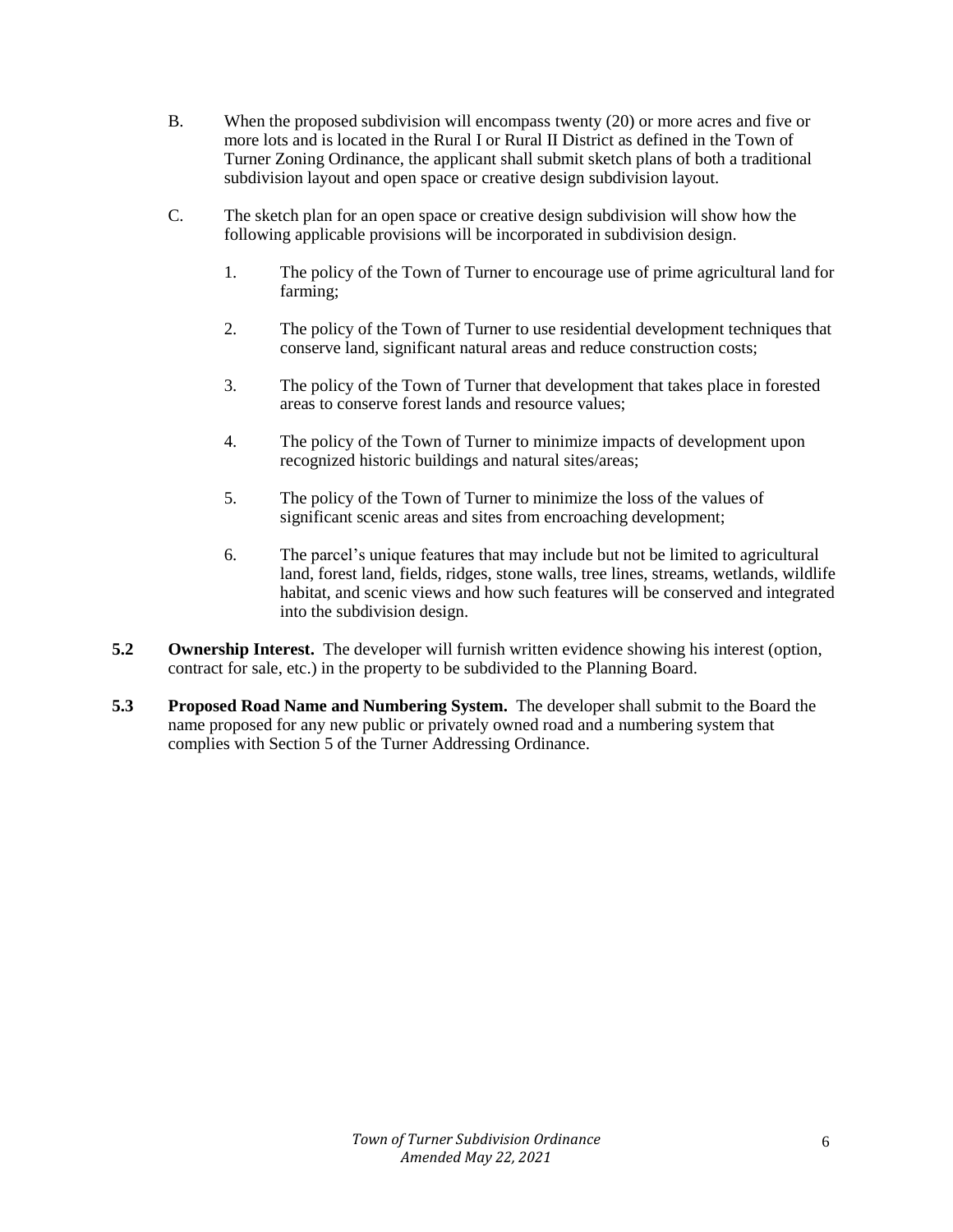- B. When the proposed subdivision will encompass twenty (20) or more acres and five or more lots and is located in the Rural I or Rural II District as defined in the Town of Turner Zoning Ordinance, the applicant shall submit sketch plans of both a traditional subdivision layout and open space or creative design subdivision layout.
- C. The sketch plan for an open space or creative design subdivision will show how the following applicable provisions will be incorporated in subdivision design.
	- 1. The policy of the Town of Turner to encourage use of prime agricultural land for farming;
	- 2. The policy of the Town of Turner to use residential development techniques that conserve land, significant natural areas and reduce construction costs;
	- 3. The policy of the Town of Turner that development that takes place in forested areas to conserve forest lands and resource values;
	- 4. The policy of the Town of Turner to minimize impacts of development upon recognized historic buildings and natural sites/areas;
	- 5. The policy of the Town of Turner to minimize the loss of the values of significant scenic areas and sites from encroaching development;
	- 6. The parcel's unique features that may include but not be limited to agricultural land, forest land, fields, ridges, stone walls, tree lines, streams, wetlands, wildlife habitat, and scenic views and how such features will be conserved and integrated into the subdivision design.
- **5.2 Ownership Interest.** The developer will furnish written evidence showing his interest (option, contract for sale, etc.) in the property to be subdivided to the Planning Board.
- **5.3 Proposed Road Name and Numbering System.** The developer shall submit to the Board the name proposed for any new public or privately owned road and a numbering system that complies with Section 5 of the Turner Addressing Ordinance.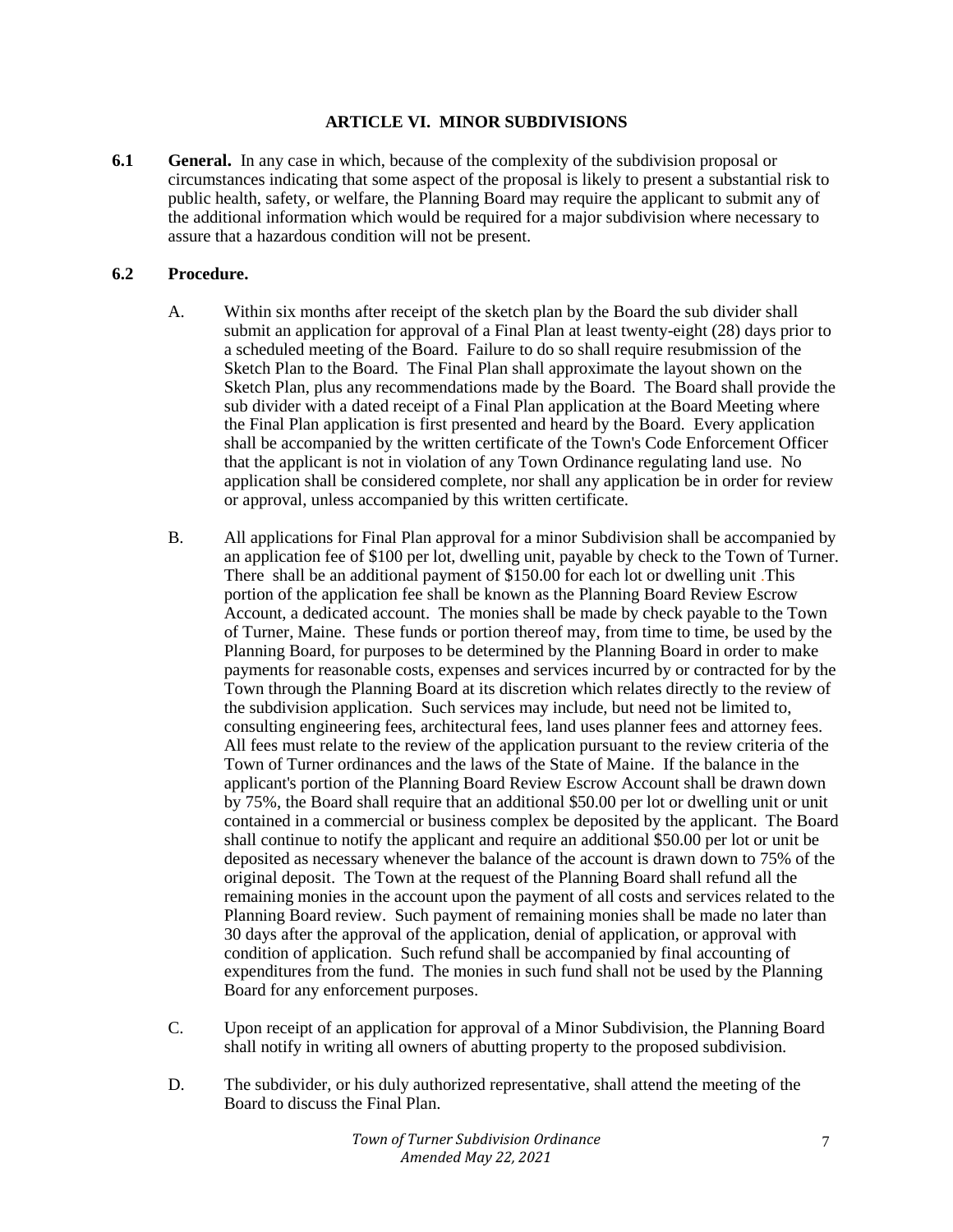#### **ARTICLE VI. MINOR SUBDIVISIONS**

**6.1 General.** In any case in which, because of the complexity of the subdivision proposal or circumstances indicating that some aspect of the proposal is likely to present a substantial risk to public health, safety, or welfare, the Planning Board may require the applicant to submit any of the additional information which would be required for a major subdivision where necessary to assure that a hazardous condition will not be present.

## **6.2 Procedure.**

- A. Within six months after receipt of the sketch plan by the Board the sub divider shall submit an application for approval of a Final Plan at least twenty-eight (28) days prior to a scheduled meeting of the Board. Failure to do so shall require resubmission of the Sketch Plan to the Board. The Final Plan shall approximate the layout shown on the Sketch Plan, plus any recommendations made by the Board. The Board shall provide the sub divider with a dated receipt of a Final Plan application at the Board Meeting where the Final Plan application is first presented and heard by the Board. Every application shall be accompanied by the written certificate of the Town's Code Enforcement Officer that the applicant is not in violation of any Town Ordinance regulating land use. No application shall be considered complete, nor shall any application be in order for review or approval, unless accompanied by this written certificate.
- B. All applications for Final Plan approval for a minor Subdivision shall be accompanied by an application fee of \$100 per lot, dwelling unit, payable by check to the Town of Turner. There shall be an additional payment of \$150.00 for each lot or dwelling unit .This portion of the application fee shall be known as the Planning Board Review Escrow Account, a dedicated account. The monies shall be made by check payable to the Town of Turner, Maine. These funds or portion thereof may, from time to time, be used by the Planning Board, for purposes to be determined by the Planning Board in order to make payments for reasonable costs, expenses and services incurred by or contracted for by the Town through the Planning Board at its discretion which relates directly to the review of the subdivision application. Such services may include, but need not be limited to, consulting engineering fees, architectural fees, land uses planner fees and attorney fees. All fees must relate to the review of the application pursuant to the review criteria of the Town of Turner ordinances and the laws of the State of Maine. If the balance in the applicant's portion of the Planning Board Review Escrow Account shall be drawn down by 75%, the Board shall require that an additional \$50.00 per lot or dwelling unit or unit contained in a commercial or business complex be deposited by the applicant. The Board shall continue to notify the applicant and require an additional \$50.00 per lot or unit be deposited as necessary whenever the balance of the account is drawn down to 75% of the original deposit. The Town at the request of the Planning Board shall refund all the remaining monies in the account upon the payment of all costs and services related to the Planning Board review. Such payment of remaining monies shall be made no later than 30 days after the approval of the application, denial of application, or approval with condition of application. Such refund shall be accompanied by final accounting of expenditures from the fund. The monies in such fund shall not be used by the Planning Board for any enforcement purposes.
- C. Upon receipt of an application for approval of a Minor Subdivision, the Planning Board shall notify in writing all owners of abutting property to the proposed subdivision.
- D. The subdivider, or his duly authorized representative, shall attend the meeting of the Board to discuss the Final Plan.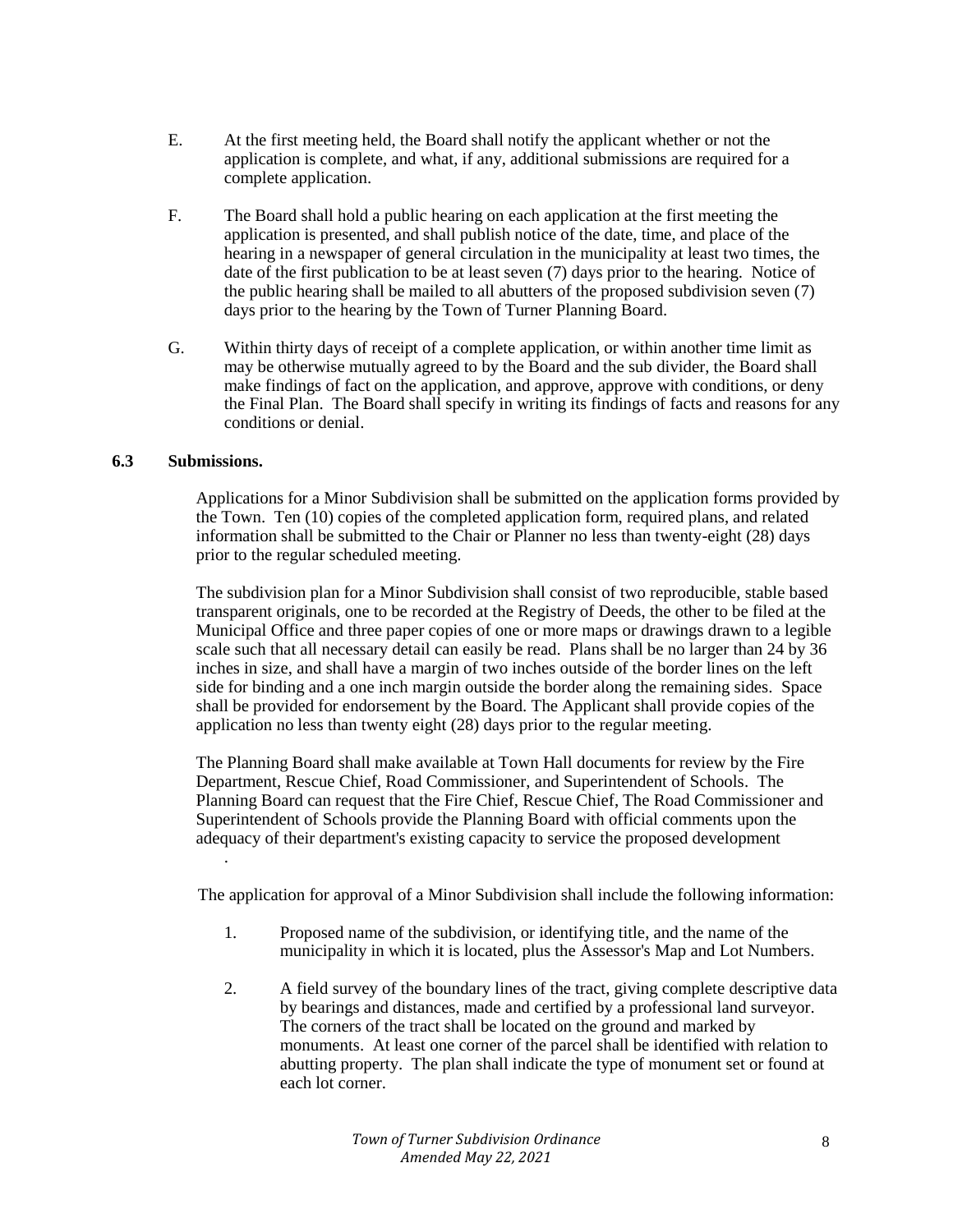- E. At the first meeting held, the Board shall notify the applicant whether or not the application is complete, and what, if any, additional submissions are required for a complete application.
- F. The Board shall hold a public hearing on each application at the first meeting the application is presented, and shall publish notice of the date, time, and place of the hearing in a newspaper of general circulation in the municipality at least two times, the date of the first publication to be at least seven (7) days prior to the hearing. Notice of the public hearing shall be mailed to all abutters of the proposed subdivision seven (7) days prior to the hearing by the Town of Turner Planning Board.
- G. Within thirty days of receipt of a complete application, or within another time limit as may be otherwise mutually agreed to by the Board and the sub divider, the Board shall make findings of fact on the application, and approve, approve with conditions, or deny the Final Plan. The Board shall specify in writing its findings of facts and reasons for any conditions or denial.

## **6.3 Submissions.**

Applications for a Minor Subdivision shall be submitted on the application forms provided by the Town. Ten (10) copies of the completed application form, required plans, and related information shall be submitted to the Chair or Planner no less than twenty-eight (28) days prior to the regular scheduled meeting.

The subdivision plan for a Minor Subdivision shall consist of two reproducible, stable based transparent originals, one to be recorded at the Registry of Deeds, the other to be filed at the Municipal Office and three paper copies of one or more maps or drawings drawn to a legible scale such that all necessary detail can easily be read. Plans shall be no larger than 24 by 36 inches in size, and shall have a margin of two inches outside of the border lines on the left side for binding and a one inch margin outside the border along the remaining sides. Space shall be provided for endorsement by the Board. The Applicant shall provide copies of the application no less than twenty eight (28) days prior to the regular meeting.

The Planning Board shall make available at Town Hall documents for review by the Fire Department, Rescue Chief, Road Commissioner, and Superintendent of Schools. The Planning Board can request that the Fire Chief, Rescue Chief, The Road Commissioner and Superintendent of Schools provide the Planning Board with official comments upon the adequacy of their department's existing capacity to service the proposed development .

The application for approval of a Minor Subdivision shall include the following information:

- 1. Proposed name of the subdivision, or identifying title, and the name of the municipality in which it is located, plus the Assessor's Map and Lot Numbers.
- 2. A field survey of the boundary lines of the tract, giving complete descriptive data by bearings and distances, made and certified by a professional land surveyor. The corners of the tract shall be located on the ground and marked by monuments. At least one corner of the parcel shall be identified with relation to abutting property. The plan shall indicate the type of monument set or found at each lot corner.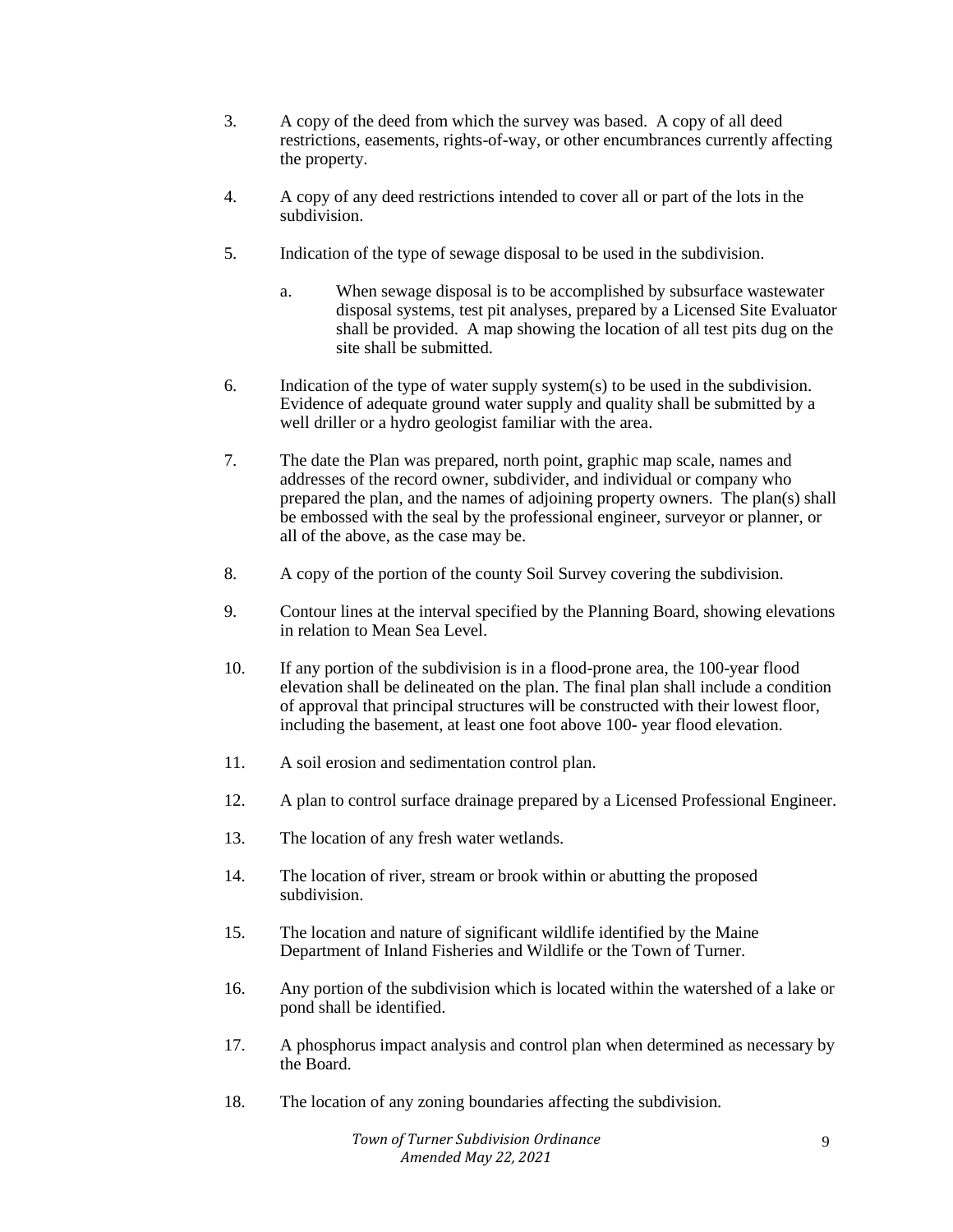- 3. A copy of the deed from which the survey was based. A copy of all deed restrictions, easements, rights-of-way, or other encumbrances currently affecting the property.
- 4. A copy of any deed restrictions intended to cover all or part of the lots in the subdivision.
- 5. Indication of the type of sewage disposal to be used in the subdivision.
	- a. When sewage disposal is to be accomplished by subsurface wastewater disposal systems, test pit analyses, prepared by a Licensed Site Evaluator shall be provided. A map showing the location of all test pits dug on the site shall be submitted.
- 6. Indication of the type of water supply system(s) to be used in the subdivision. Evidence of adequate ground water supply and quality shall be submitted by a well driller or a hydro geologist familiar with the area.
- 7. The date the Plan was prepared, north point, graphic map scale, names and addresses of the record owner, subdivider, and individual or company who prepared the plan, and the names of adjoining property owners. The plan(s) shall be embossed with the seal by the professional engineer, surveyor or planner, or all of the above, as the case may be.
- 8. A copy of the portion of the county Soil Survey covering the subdivision.
- 9. Contour lines at the interval specified by the Planning Board, showing elevations in relation to Mean Sea Level.
- 10. If any portion of the subdivision is in a flood-prone area, the 100-year flood elevation shall be delineated on the plan. The final plan shall include a condition of approval that principal structures will be constructed with their lowest floor, including the basement, at least one foot above 100- year flood elevation.
- 11. A soil erosion and sedimentation control plan.
- 12. A plan to control surface drainage prepared by a Licensed Professional Engineer.
- 13. The location of any fresh water wetlands.
- 14. The location of river, stream or brook within or abutting the proposed subdivision.
- 15. The location and nature of significant wildlife identified by the Maine Department of Inland Fisheries and Wildlife or the Town of Turner.
- 16. Any portion of the subdivision which is located within the watershed of a lake or pond shall be identified.
- 17. A phosphorus impact analysis and control plan when determined as necessary by the Board.
- 18. The location of any zoning boundaries affecting the subdivision.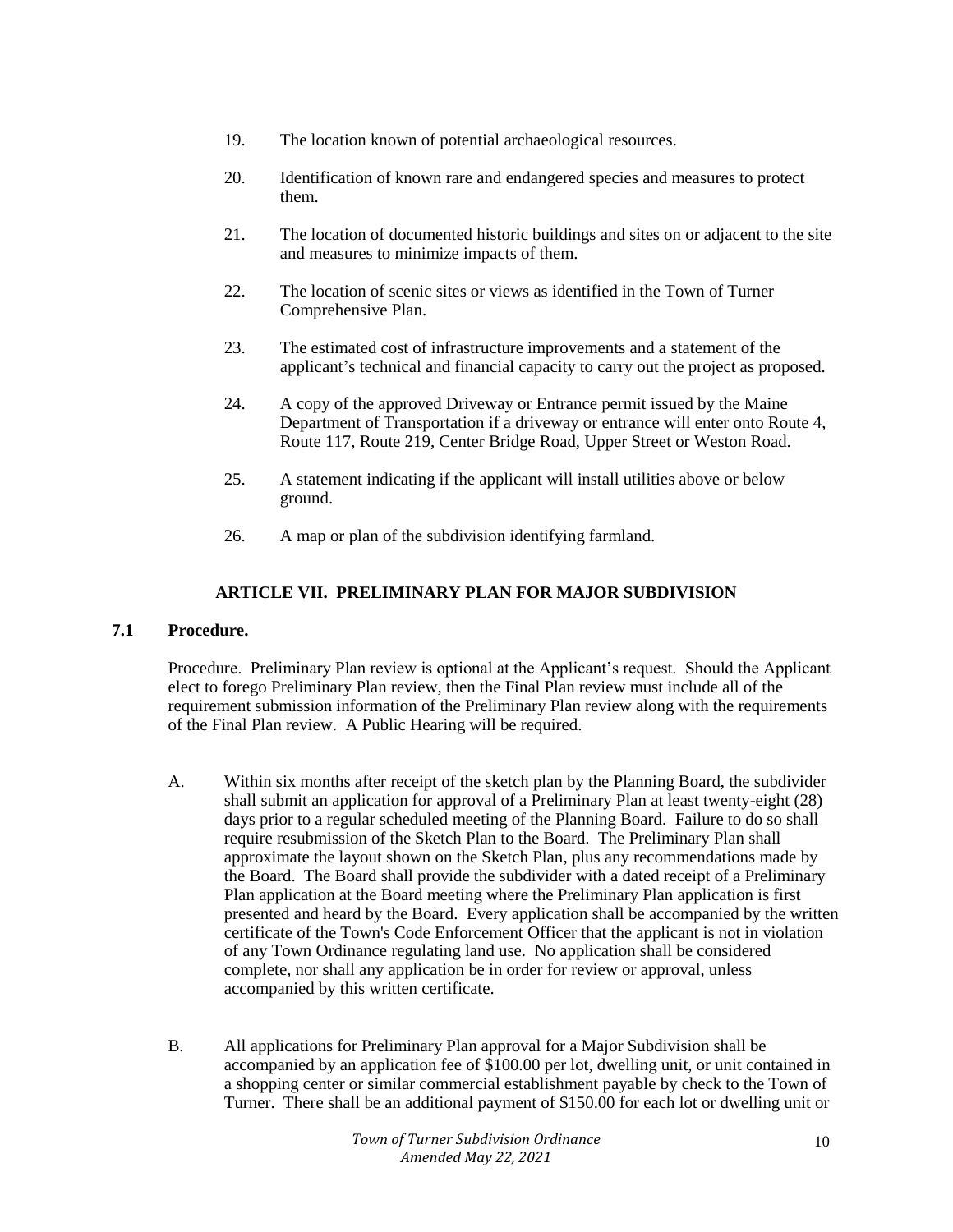- 19. The location known of potential archaeological resources.
- 20. Identification of known rare and endangered species and measures to protect them.
- 21. The location of documented historic buildings and sites on or adjacent to the site and measures to minimize impacts of them.
- 22. The location of scenic sites or views as identified in the Town of Turner Comprehensive Plan.
- 23. The estimated cost of infrastructure improvements and a statement of the applicant's technical and financial capacity to carry out the project as proposed.
- 24. A copy of the approved Driveway or Entrance permit issued by the Maine Department of Transportation if a driveway or entrance will enter onto Route 4, Route 117, Route 219, Center Bridge Road, Upper Street or Weston Road.
- 25. A statement indicating if the applicant will install utilities above or below ground.
- 26. A map or plan of the subdivision identifying farmland.

## **ARTICLE VII. PRELIMINARY PLAN FOR MAJOR SUBDIVISION**

## **7.1 Procedure.**

Procedure. Preliminary Plan review is optional at the Applicant's request. Should the Applicant elect to forego Preliminary Plan review, then the Final Plan review must include all of the requirement submission information of the Preliminary Plan review along with the requirements of the Final Plan review. A Public Hearing will be required.

- A. Within six months after receipt of the sketch plan by the Planning Board, the subdivider shall submit an application for approval of a Preliminary Plan at least twenty-eight (28) days prior to a regular scheduled meeting of the Planning Board. Failure to do so shall require resubmission of the Sketch Plan to the Board. The Preliminary Plan shall approximate the layout shown on the Sketch Plan, plus any recommendations made by the Board. The Board shall provide the subdivider with a dated receipt of a Preliminary Plan application at the Board meeting where the Preliminary Plan application is first presented and heard by the Board. Every application shall be accompanied by the written certificate of the Town's Code Enforcement Officer that the applicant is not in violation of any Town Ordinance regulating land use. No application shall be considered complete, nor shall any application be in order for review or approval, unless accompanied by this written certificate.
- B. All applications for Preliminary Plan approval for a Major Subdivision shall be accompanied by an application fee of \$100.00 per lot, dwelling unit, or unit contained in a shopping center or similar commercial establishment payable by check to the Town of Turner. There shall be an additional payment of \$150.00 for each lot or dwelling unit or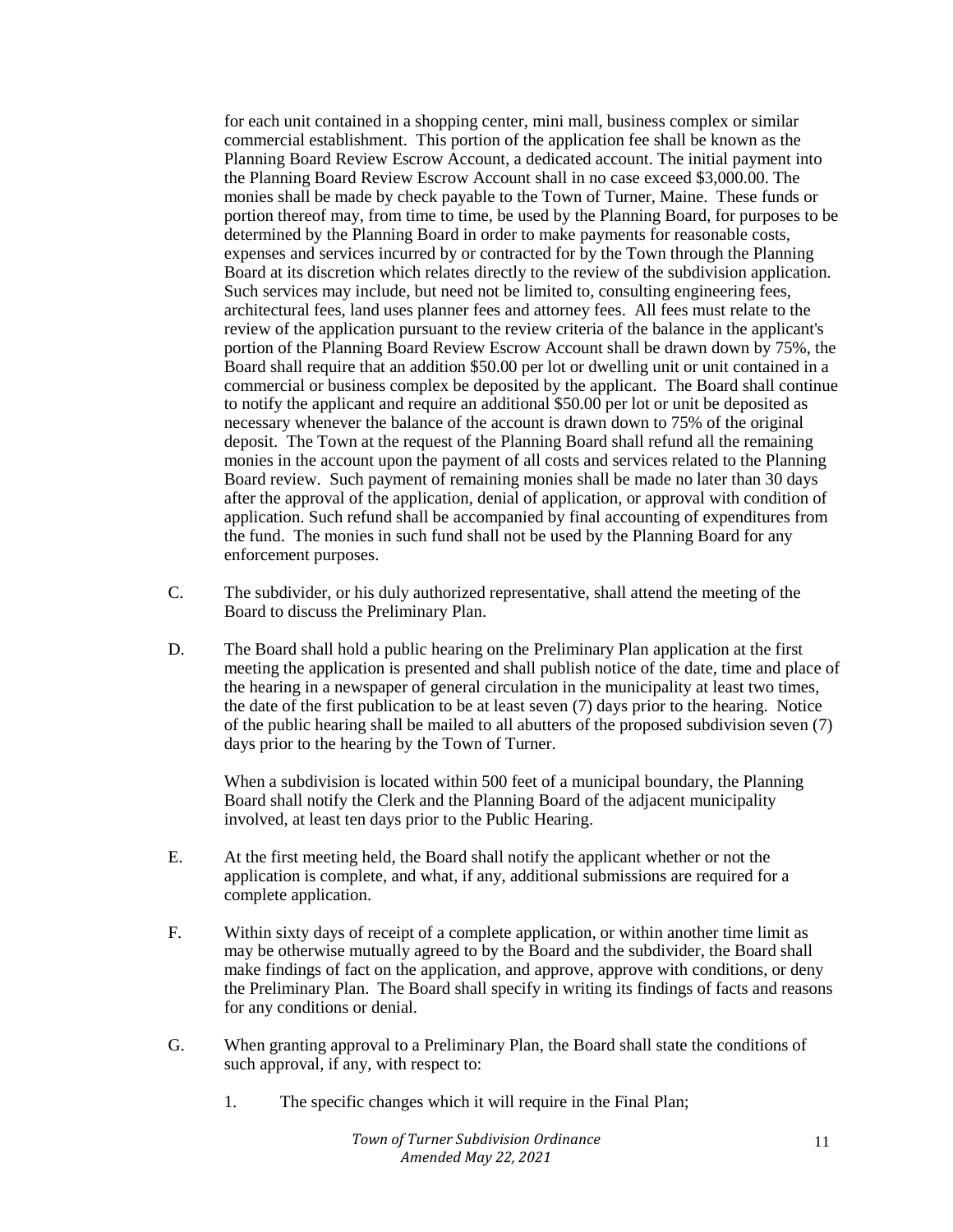for each unit contained in a shopping center, mini mall, business complex or similar commercial establishment. This portion of the application fee shall be known as the Planning Board Review Escrow Account, a dedicated account. The initial payment into the Planning Board Review Escrow Account shall in no case exceed \$3,000.00. The monies shall be made by check payable to the Town of Turner, Maine. These funds or portion thereof may, from time to time, be used by the Planning Board, for purposes to be determined by the Planning Board in order to make payments for reasonable costs, expenses and services incurred by or contracted for by the Town through the Planning Board at its discretion which relates directly to the review of the subdivision application. Such services may include, but need not be limited to, consulting engineering fees, architectural fees, land uses planner fees and attorney fees. All fees must relate to the review of the application pursuant to the review criteria of the balance in the applicant's portion of the Planning Board Review Escrow Account shall be drawn down by 75%, the Board shall require that an addition \$50.00 per lot or dwelling unit or unit contained in a commercial or business complex be deposited by the applicant. The Board shall continue to notify the applicant and require an additional \$50.00 per lot or unit be deposited as necessary whenever the balance of the account is drawn down to 75% of the original deposit. The Town at the request of the Planning Board shall refund all the remaining monies in the account upon the payment of all costs and services related to the Planning Board review. Such payment of remaining monies shall be made no later than 30 days after the approval of the application, denial of application, or approval with condition of application. Such refund shall be accompanied by final accounting of expenditures from the fund. The monies in such fund shall not be used by the Planning Board for any enforcement purposes.

- C. The subdivider, or his duly authorized representative, shall attend the meeting of the Board to discuss the Preliminary Plan.
- D. The Board shall hold a public hearing on the Preliminary Plan application at the first meeting the application is presented and shall publish notice of the date, time and place of the hearing in a newspaper of general circulation in the municipality at least two times, the date of the first publication to be at least seven (7) days prior to the hearing. Notice of the public hearing shall be mailed to all abutters of the proposed subdivision seven (7) days prior to the hearing by the Town of Turner.

When a subdivision is located within 500 feet of a municipal boundary, the Planning Board shall notify the Clerk and the Planning Board of the adjacent municipality involved, at least ten days prior to the Public Hearing.

- E. At the first meeting held, the Board shall notify the applicant whether or not the application is complete, and what, if any, additional submissions are required for a complete application.
- F. Within sixty days of receipt of a complete application, or within another time limit as may be otherwise mutually agreed to by the Board and the subdivider, the Board shall make findings of fact on the application, and approve, approve with conditions, or deny the Preliminary Plan. The Board shall specify in writing its findings of facts and reasons for any conditions or denial.
- G. When granting approval to a Preliminary Plan, the Board shall state the conditions of such approval, if any, with respect to:
	- 1. The specific changes which it will require in the Final Plan;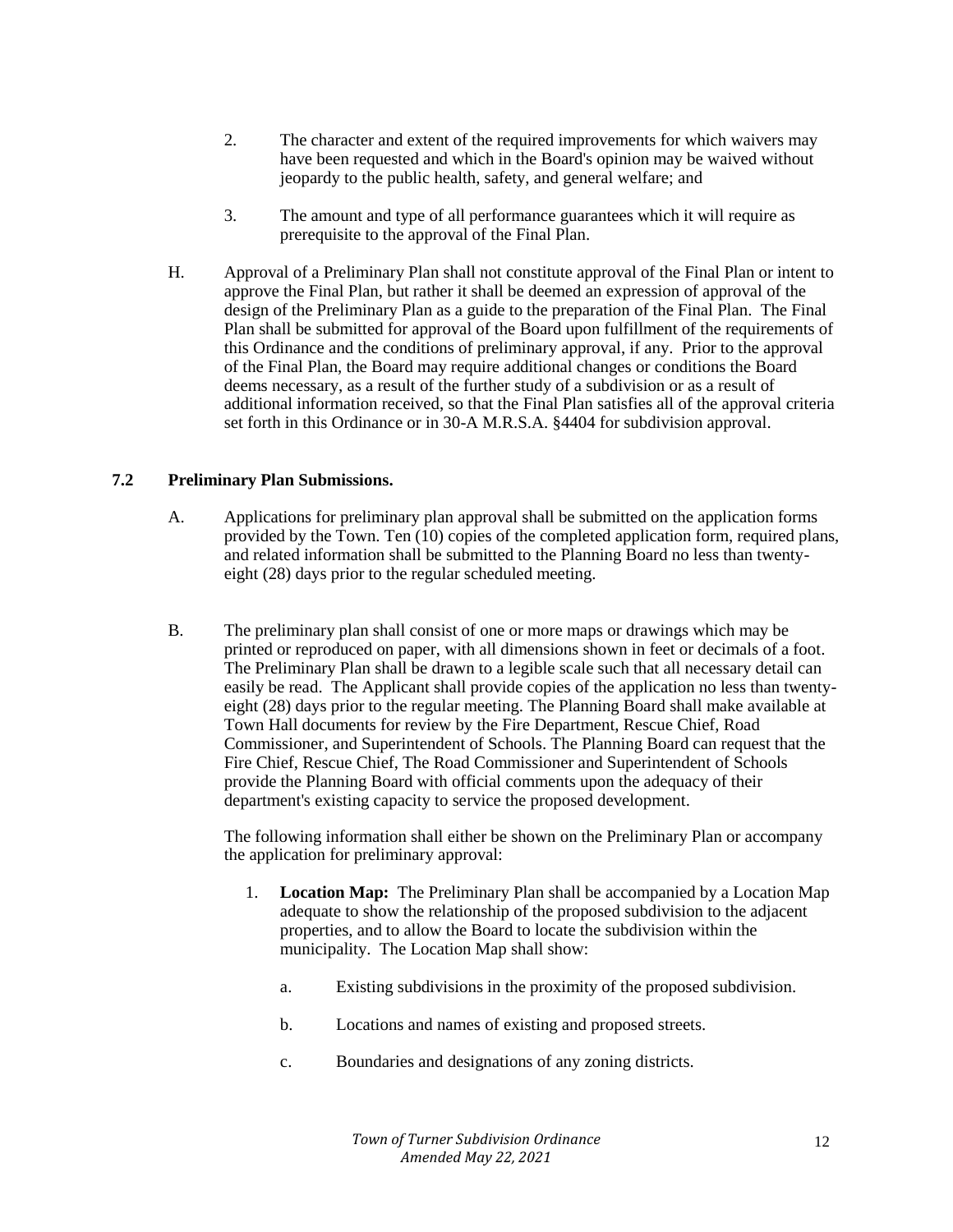- 2. The character and extent of the required improvements for which waivers may have been requested and which in the Board's opinion may be waived without jeopardy to the public health, safety, and general welfare; and
- 3. The amount and type of all performance guarantees which it will require as prerequisite to the approval of the Final Plan.
- H. Approval of a Preliminary Plan shall not constitute approval of the Final Plan or intent to approve the Final Plan, but rather it shall be deemed an expression of approval of the design of the Preliminary Plan as a guide to the preparation of the Final Plan. The Final Plan shall be submitted for approval of the Board upon fulfillment of the requirements of this Ordinance and the conditions of preliminary approval, if any. Prior to the approval of the Final Plan, the Board may require additional changes or conditions the Board deems necessary, as a result of the further study of a subdivision or as a result of additional information received, so that the Final Plan satisfies all of the approval criteria set forth in this Ordinance or in 30-A M.R.S.A. §4404 for subdivision approval.

## **7.2 Preliminary Plan Submissions.**

- A. Applications for preliminary plan approval shall be submitted on the application forms provided by the Town. Ten (10) copies of the completed application form, required plans, and related information shall be submitted to the Planning Board no less than twentyeight (28) days prior to the regular scheduled meeting.
- B. The preliminary plan shall consist of one or more maps or drawings which may be printed or reproduced on paper, with all dimensions shown in feet or decimals of a foot. The Preliminary Plan shall be drawn to a legible scale such that all necessary detail can easily be read. The Applicant shall provide copies of the application no less than twentyeight (28) days prior to the regular meeting. The Planning Board shall make available at Town Hall documents for review by the Fire Department, Rescue Chief, Road Commissioner, and Superintendent of Schools. The Planning Board can request that the Fire Chief, Rescue Chief, The Road Commissioner and Superintendent of Schools provide the Planning Board with official comments upon the adequacy of their department's existing capacity to service the proposed development.

The following information shall either be shown on the Preliminary Plan or accompany the application for preliminary approval:

- 1. **Location Map:** The Preliminary Plan shall be accompanied by a Location Map adequate to show the relationship of the proposed subdivision to the adjacent properties, and to allow the Board to locate the subdivision within the municipality. The Location Map shall show:
	- a. Existing subdivisions in the proximity of the proposed subdivision.
	- b. Locations and names of existing and proposed streets.
	- c. Boundaries and designations of any zoning districts.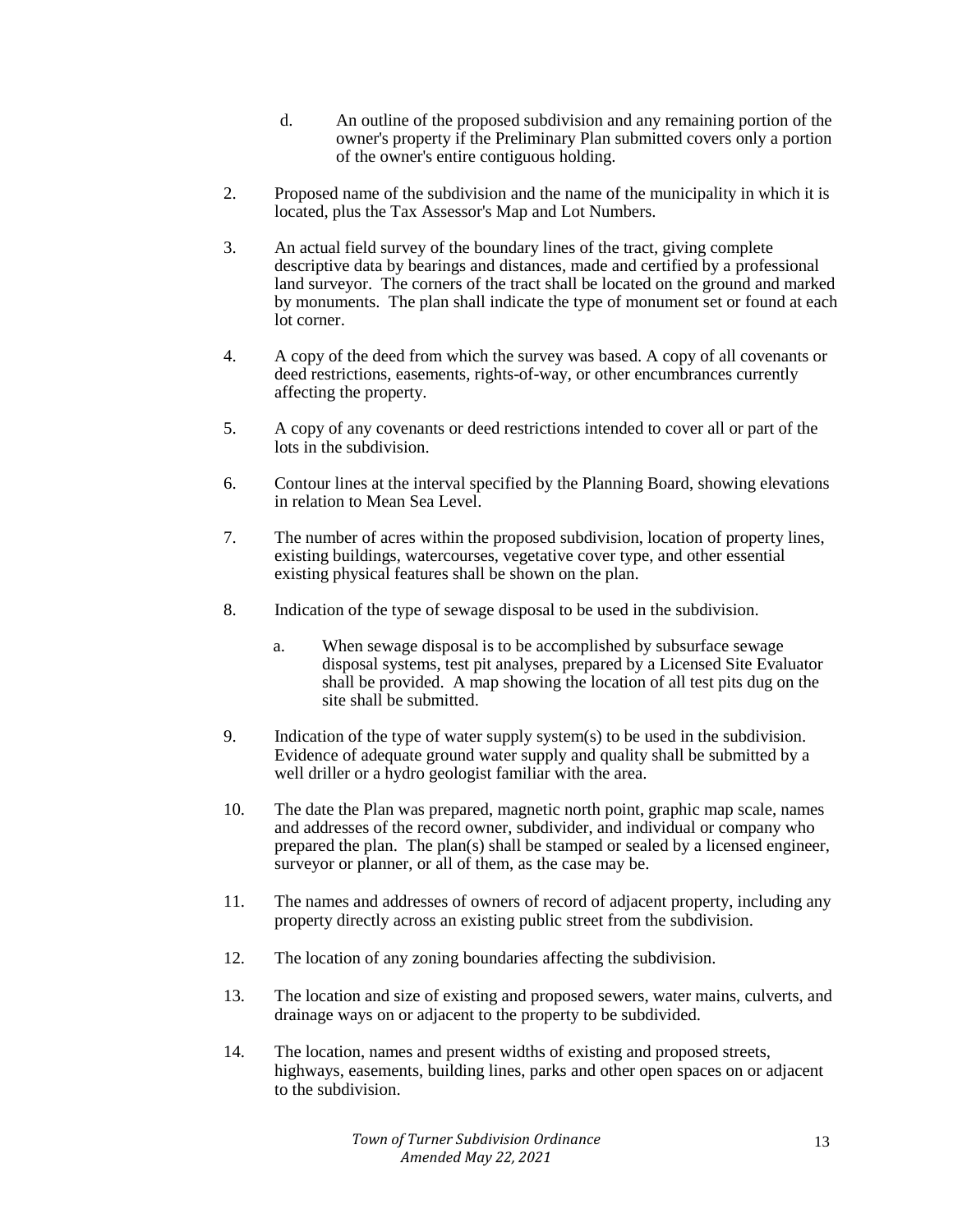- d. An outline of the proposed subdivision and any remaining portion of the owner's property if the Preliminary Plan submitted covers only a portion of the owner's entire contiguous holding.
- 2. Proposed name of the subdivision and the name of the municipality in which it is located, plus the Tax Assessor's Map and Lot Numbers.
- 3. An actual field survey of the boundary lines of the tract, giving complete descriptive data by bearings and distances, made and certified by a professional land surveyor. The corners of the tract shall be located on the ground and marked by monuments. The plan shall indicate the type of monument set or found at each lot corner.
- 4. A copy of the deed from which the survey was based. A copy of all covenants or deed restrictions, easements, rights-of-way, or other encumbrances currently affecting the property.
- 5. A copy of any covenants or deed restrictions intended to cover all or part of the lots in the subdivision.
- 6. Contour lines at the interval specified by the Planning Board, showing elevations in relation to Mean Sea Level.
- 7. The number of acres within the proposed subdivision, location of property lines, existing buildings, watercourses, vegetative cover type, and other essential existing physical features shall be shown on the plan.
- 8. Indication of the type of sewage disposal to be used in the subdivision.
	- a. When sewage disposal is to be accomplished by subsurface sewage disposal systems, test pit analyses, prepared by a Licensed Site Evaluator shall be provided. A map showing the location of all test pits dug on the site shall be submitted.
- 9. Indication of the type of water supply system(s) to be used in the subdivision. Evidence of adequate ground water supply and quality shall be submitted by a well driller or a hydro geologist familiar with the area.
- 10. The date the Plan was prepared, magnetic north point, graphic map scale, names and addresses of the record owner, subdivider, and individual or company who prepared the plan. The plan(s) shall be stamped or sealed by a licensed engineer, surveyor or planner, or all of them, as the case may be.
- 11. The names and addresses of owners of record of adjacent property, including any property directly across an existing public street from the subdivision.
- 12. The location of any zoning boundaries affecting the subdivision.
- 13. The location and size of existing and proposed sewers, water mains, culverts, and drainage ways on or adjacent to the property to be subdivided.
- 14. The location, names and present widths of existing and proposed streets, highways, easements, building lines, parks and other open spaces on or adjacent to the subdivision.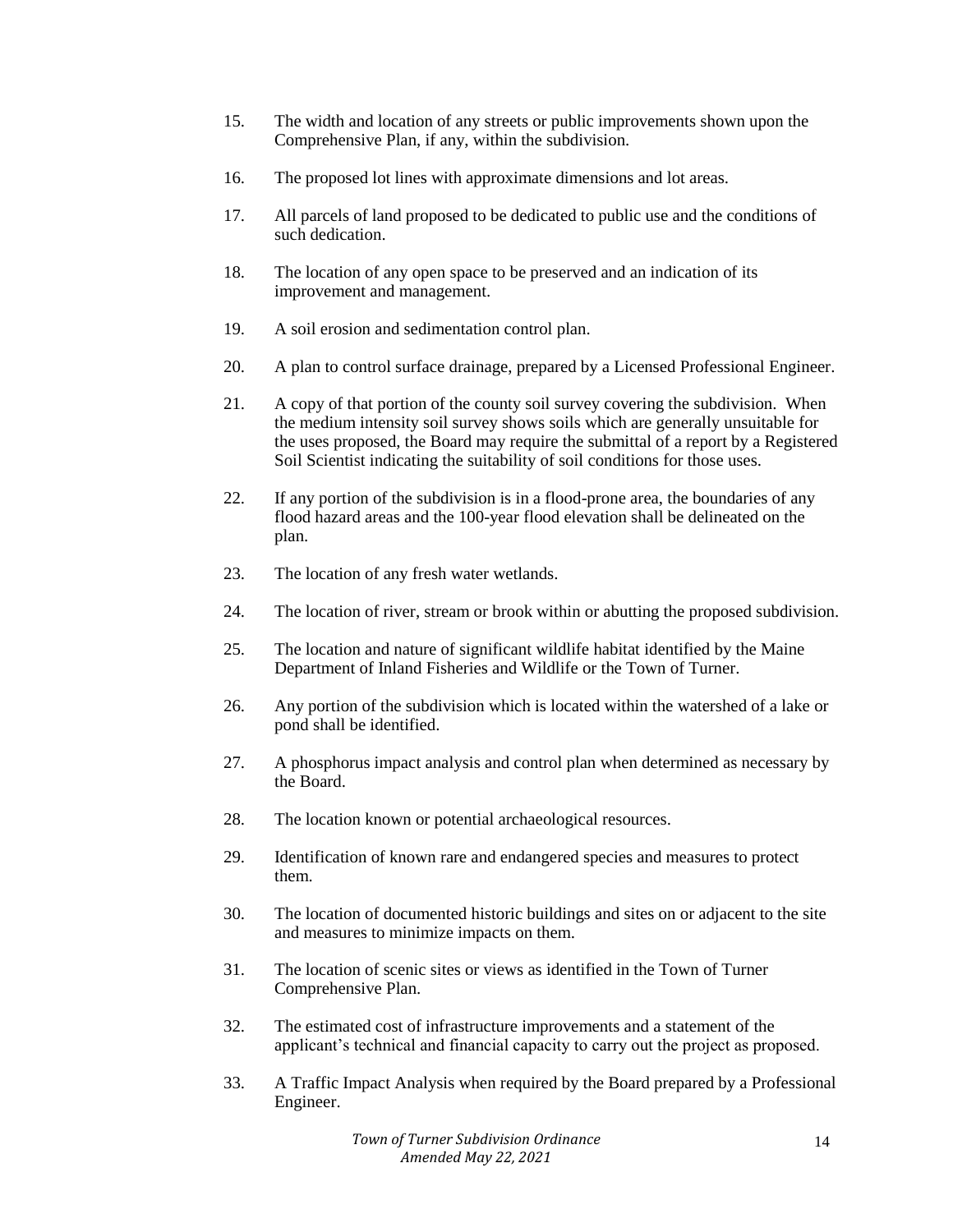- 15. The width and location of any streets or public improvements shown upon the Comprehensive Plan, if any, within the subdivision.
- 16. The proposed lot lines with approximate dimensions and lot areas.
- 17. All parcels of land proposed to be dedicated to public use and the conditions of such dedication.
- 18. The location of any open space to be preserved and an indication of its improvement and management.
- 19. A soil erosion and sedimentation control plan.
- 20. A plan to control surface drainage, prepared by a Licensed Professional Engineer.
- 21. A copy of that portion of the county soil survey covering the subdivision. When the medium intensity soil survey shows soils which are generally unsuitable for the uses proposed, the Board may require the submittal of a report by a Registered Soil Scientist indicating the suitability of soil conditions for those uses.
- 22. If any portion of the subdivision is in a flood-prone area, the boundaries of any flood hazard areas and the 100-year flood elevation shall be delineated on the plan.
- 23. The location of any fresh water wetlands.
- 24. The location of river, stream or brook within or abutting the proposed subdivision.
- 25. The location and nature of significant wildlife habitat identified by the Maine Department of Inland Fisheries and Wildlife or the Town of Turner.
- 26. Any portion of the subdivision which is located within the watershed of a lake or pond shall be identified.
- 27. A phosphorus impact analysis and control plan when determined as necessary by the Board.
- 28. The location known or potential archaeological resources.
- 29. Identification of known rare and endangered species and measures to protect them.
- 30. The location of documented historic buildings and sites on or adjacent to the site and measures to minimize impacts on them.
- 31. The location of scenic sites or views as identified in the Town of Turner Comprehensive Plan.
- 32. The estimated cost of infrastructure improvements and a statement of the applicant's technical and financial capacity to carry out the project as proposed.
- 33. A Traffic Impact Analysis when required by the Board prepared by a Professional Engineer.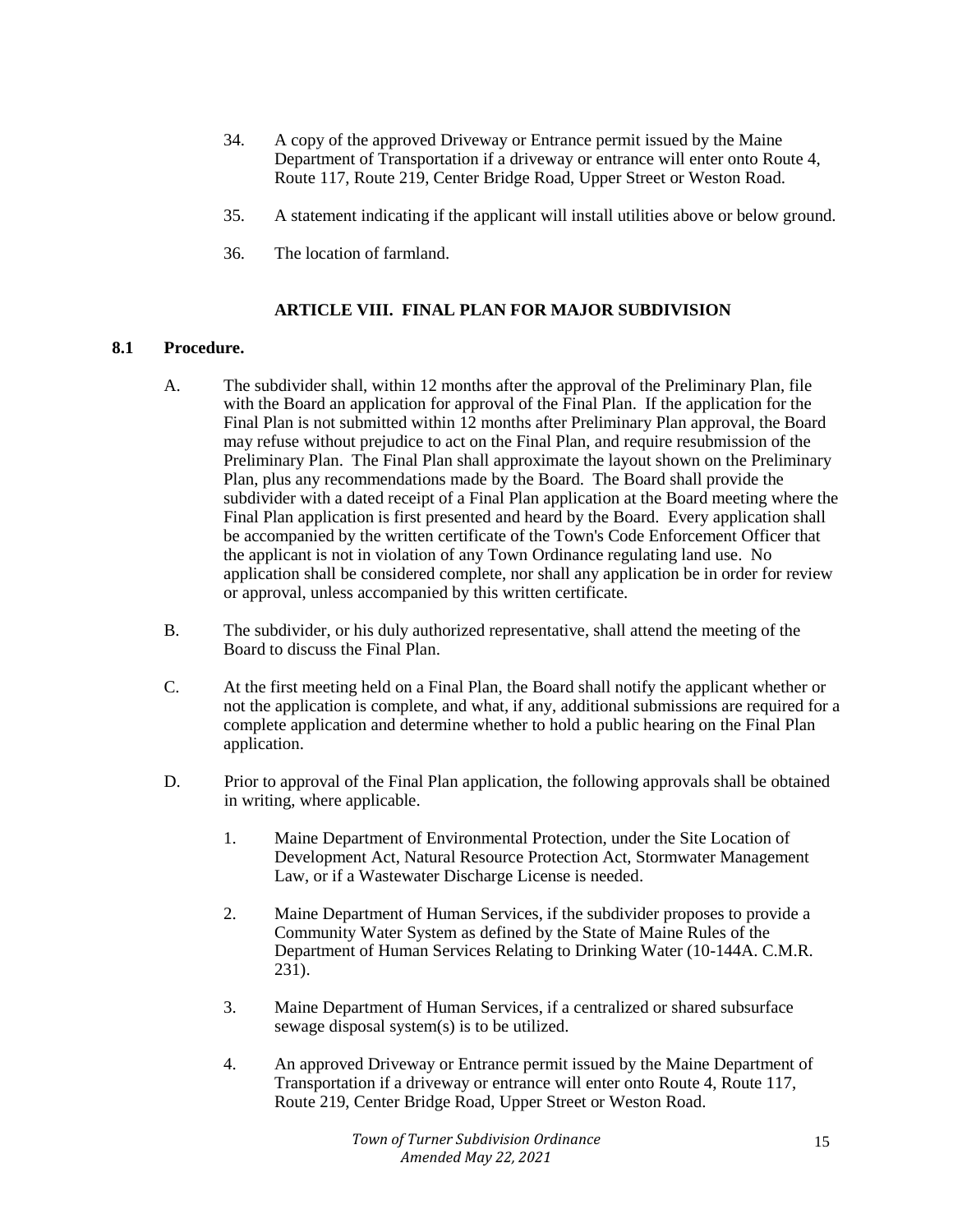- 34. A copy of the approved Driveway or Entrance permit issued by the Maine Department of Transportation if a driveway or entrance will enter onto Route 4, Route 117, Route 219, Center Bridge Road, Upper Street or Weston Road.
- 35. A statement indicating if the applicant will install utilities above or below ground.
- 36. The location of farmland.

## **ARTICLE VIII. FINAL PLAN FOR MAJOR SUBDIVISION**

#### **8.1 Procedure.**

- A. The subdivider shall, within 12 months after the approval of the Preliminary Plan, file with the Board an application for approval of the Final Plan. If the application for the Final Plan is not submitted within 12 months after Preliminary Plan approval, the Board may refuse without prejudice to act on the Final Plan, and require resubmission of the Preliminary Plan. The Final Plan shall approximate the layout shown on the Preliminary Plan, plus any recommendations made by the Board. The Board shall provide the subdivider with a dated receipt of a Final Plan application at the Board meeting where the Final Plan application is first presented and heard by the Board. Every application shall be accompanied by the written certificate of the Town's Code Enforcement Officer that the applicant is not in violation of any Town Ordinance regulating land use. No application shall be considered complete, nor shall any application be in order for review or approval, unless accompanied by this written certificate.
- B. The subdivider, or his duly authorized representative, shall attend the meeting of the Board to discuss the Final Plan.
- C. At the first meeting held on a Final Plan, the Board shall notify the applicant whether or not the application is complete, and what, if any, additional submissions are required for a complete application and determine whether to hold a public hearing on the Final Plan application.
- D. Prior to approval of the Final Plan application, the following approvals shall be obtained in writing, where applicable.
	- 1. Maine Department of Environmental Protection, under the Site Location of Development Act, Natural Resource Protection Act, Stormwater Management Law, or if a Wastewater Discharge License is needed.
	- 2. Maine Department of Human Services, if the subdivider proposes to provide a Community Water System as defined by the State of Maine Rules of the Department of Human Services Relating to Drinking Water (10-144A. C.M.R. 231).
	- 3. Maine Department of Human Services, if a centralized or shared subsurface sewage disposal system(s) is to be utilized.
	- 4. An approved Driveway or Entrance permit issued by the Maine Department of Transportation if a driveway or entrance will enter onto Route 4, Route 117, Route 219, Center Bridge Road, Upper Street or Weston Road.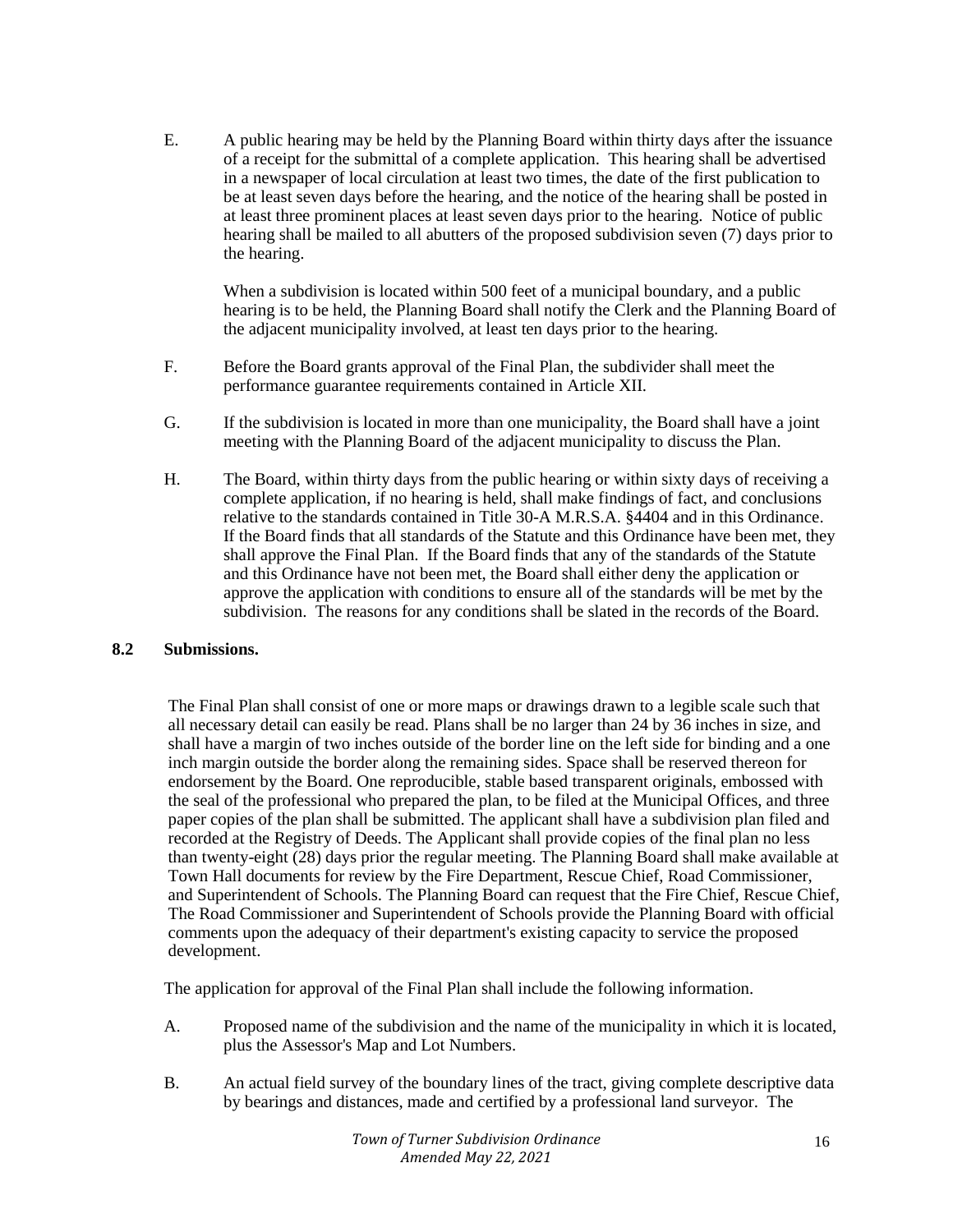E. A public hearing may be held by the Planning Board within thirty days after the issuance of a receipt for the submittal of a complete application. This hearing shall be advertised in a newspaper of local circulation at least two times, the date of the first publication to be at least seven days before the hearing, and the notice of the hearing shall be posted in at least three prominent places at least seven days prior to the hearing. Notice of public hearing shall be mailed to all abutters of the proposed subdivision seven (7) days prior to the hearing.

When a subdivision is located within 500 feet of a municipal boundary, and a public hearing is to be held, the Planning Board shall notify the Clerk and the Planning Board of the adjacent municipality involved, at least ten days prior to the hearing.

- F. Before the Board grants approval of the Final Plan, the subdivider shall meet the performance guarantee requirements contained in Article XII.
- G. If the subdivision is located in more than one municipality, the Board shall have a joint meeting with the Planning Board of the adjacent municipality to discuss the Plan.
- H. The Board, within thirty days from the public hearing or within sixty days of receiving a complete application, if no hearing is held, shall make findings of fact, and conclusions relative to the standards contained in Title 30-A M.R.S.A. §4404 and in this Ordinance. If the Board finds that all standards of the Statute and this Ordinance have been met, they shall approve the Final Plan. If the Board finds that any of the standards of the Statute and this Ordinance have not been met, the Board shall either deny the application or approve the application with conditions to ensure all of the standards will be met by the subdivision. The reasons for any conditions shall be slated in the records of the Board.

## **8.2 Submissions.**

The Final Plan shall consist of one or more maps or drawings drawn to a legible scale such that all necessary detail can easily be read. Plans shall be no larger than 24 by 36 inches in size, and shall have a margin of two inches outside of the border line on the left side for binding and a one inch margin outside the border along the remaining sides. Space shall be reserved thereon for endorsement by the Board. One reproducible, stable based transparent originals, embossed with the seal of the professional who prepared the plan, to be filed at the Municipal Offices, and three paper copies of the plan shall be submitted. The applicant shall have a subdivision plan filed and recorded at the Registry of Deeds. The Applicant shall provide copies of the final plan no less than twenty-eight (28) days prior the regular meeting. The Planning Board shall make available at Town Hall documents for review by the Fire Department, Rescue Chief, Road Commissioner, and Superintendent of Schools. The Planning Board can request that the Fire Chief, Rescue Chief, The Road Commissioner and Superintendent of Schools provide the Planning Board with official comments upon the adequacy of their department's existing capacity to service the proposed development.

The application for approval of the Final Plan shall include the following information.

- A. Proposed name of the subdivision and the name of the municipality in which it is located, plus the Assessor's Map and Lot Numbers.
- B. An actual field survey of the boundary lines of the tract, giving complete descriptive data by bearings and distances, made and certified by a professional land surveyor. The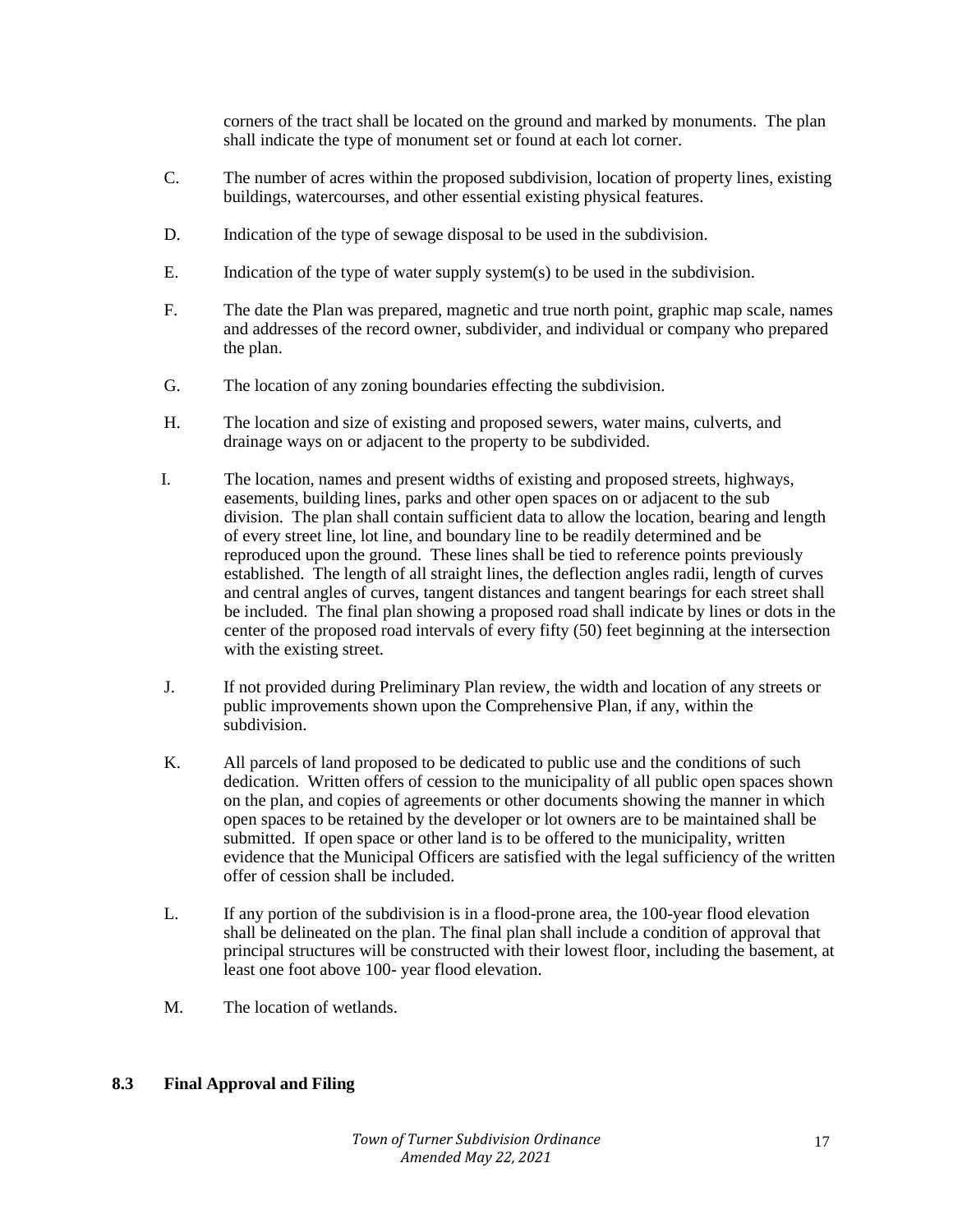corners of the tract shall be located on the ground and marked by monuments. The plan shall indicate the type of monument set or found at each lot corner.

- C. The number of acres within the proposed subdivision, location of property lines, existing buildings, watercourses, and other essential existing physical features.
- D. Indication of the type of sewage disposal to be used in the subdivision.
- E. Indication of the type of water supply system(s) to be used in the subdivision.
- F. The date the Plan was prepared, magnetic and true north point, graphic map scale, names and addresses of the record owner, subdivider, and individual or company who prepared the plan.
- G. The location of any zoning boundaries effecting the subdivision.
- H. The location and size of existing and proposed sewers, water mains, culverts, and drainage ways on or adjacent to the property to be subdivided.
- I. The location, names and present widths of existing and proposed streets, highways, easements, building lines, parks and other open spaces on or adjacent to the sub division. The plan shall contain sufficient data to allow the location, bearing and length of every street line, lot line, and boundary line to be readily determined and be reproduced upon the ground. These lines shall be tied to reference points previously established. The length of all straight lines, the deflection angles radii, length of curves and central angles of curves, tangent distances and tangent bearings for each street shall be included. The final plan showing a proposed road shall indicate by lines or dots in the center of the proposed road intervals of every fifty (50) feet beginning at the intersection with the existing street.
- J. If not provided during Preliminary Plan review, the width and location of any streets or public improvements shown upon the Comprehensive Plan, if any, within the subdivision.
- K. All parcels of land proposed to be dedicated to public use and the conditions of such dedication. Written offers of cession to the municipality of all public open spaces shown on the plan, and copies of agreements or other documents showing the manner in which open spaces to be retained by the developer or lot owners are to be maintained shall be submitted. If open space or other land is to be offered to the municipality, written evidence that the Municipal Officers are satisfied with the legal sufficiency of the written offer of cession shall be included.
- L. If any portion of the subdivision is in a flood-prone area, the 100-year flood elevation shall be delineated on the plan. The final plan shall include a condition of approval that principal structures will be constructed with their lowest floor, including the basement, at least one foot above 100- year flood elevation.
- M. The location of wetlands.

## **8.3 Final Approval and Filing**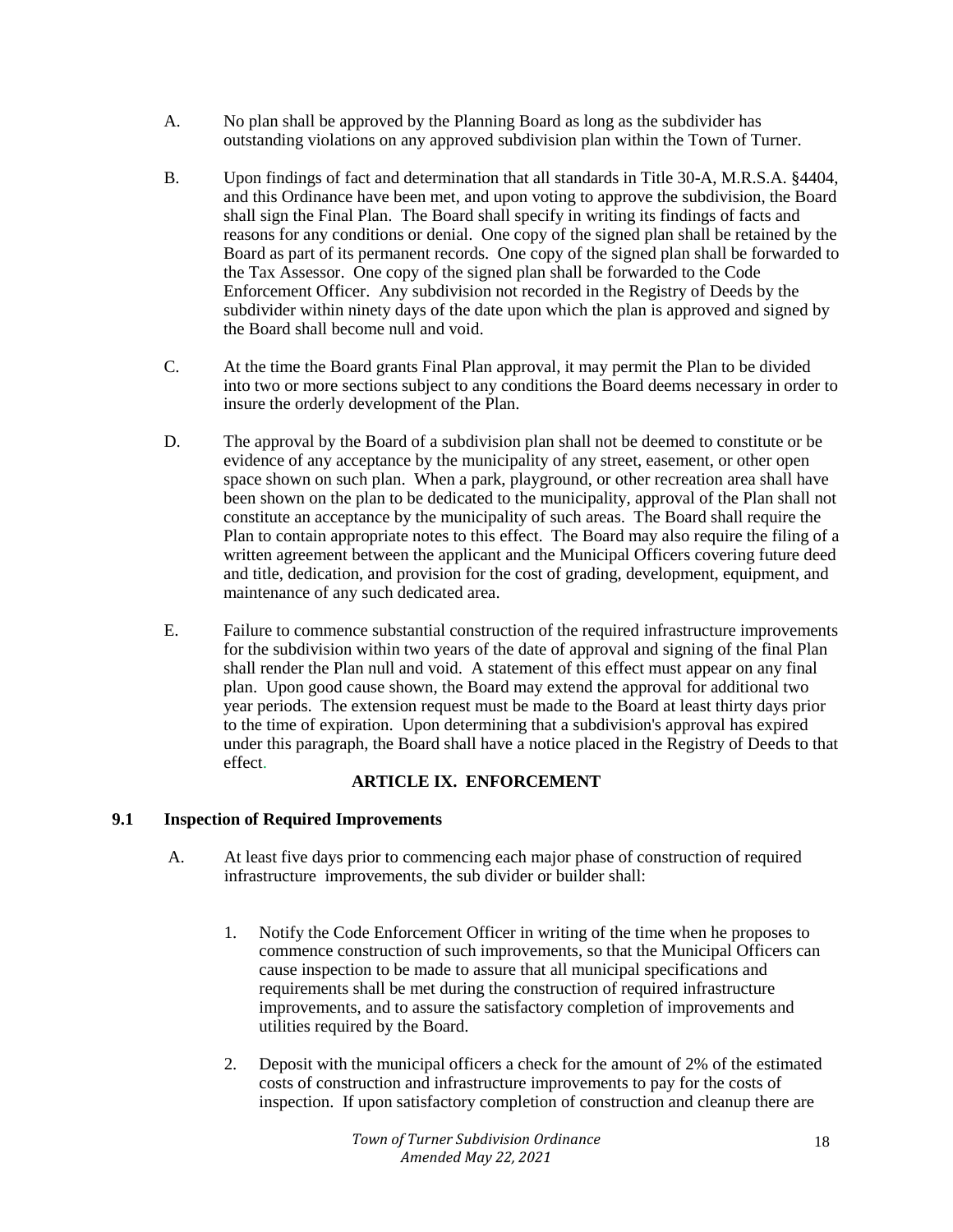- A. No plan shall be approved by the Planning Board as long as the subdivider has outstanding violations on any approved subdivision plan within the Town of Turner.
- B. Upon findings of fact and determination that all standards in Title 30-A, M.R.S.A. §4404, and this Ordinance have been met, and upon voting to approve the subdivision, the Board shall sign the Final Plan. The Board shall specify in writing its findings of facts and reasons for any conditions or denial. One copy of the signed plan shall be retained by the Board as part of its permanent records. One copy of the signed plan shall be forwarded to the Tax Assessor. One copy of the signed plan shall be forwarded to the Code Enforcement Officer. Any subdivision not recorded in the Registry of Deeds by the subdivider within ninety days of the date upon which the plan is approved and signed by the Board shall become null and void.
- C. At the time the Board grants Final Plan approval, it may permit the Plan to be divided into two or more sections subject to any conditions the Board deems necessary in order to insure the orderly development of the Plan.
- D. The approval by the Board of a subdivision plan shall not be deemed to constitute or be evidence of any acceptance by the municipality of any street, easement, or other open space shown on such plan. When a park, playground, or other recreation area shall have been shown on the plan to be dedicated to the municipality, approval of the Plan shall not constitute an acceptance by the municipality of such areas. The Board shall require the Plan to contain appropriate notes to this effect. The Board may also require the filing of a written agreement between the applicant and the Municipal Officers covering future deed and title, dedication, and provision for the cost of grading, development, equipment, and maintenance of any such dedicated area.
- E. Failure to commence substantial construction of the required infrastructure improvements for the subdivision within two years of the date of approval and signing of the final Plan shall render the Plan null and void. A statement of this effect must appear on any final plan. Upon good cause shown, the Board may extend the approval for additional two year periods. The extension request must be made to the Board at least thirty days prior to the time of expiration. Upon determining that a subdivision's approval has expired under this paragraph, the Board shall have a notice placed in the Registry of Deeds to that effect.

# **ARTICLE IX. ENFORCEMENT**

# **9.1 Inspection of Required Improvements**

- A. At least five days prior to commencing each major phase of construction of required infrastructure improvements, the sub divider or builder shall:
	- 1. Notify the Code Enforcement Officer in writing of the time when he proposes to commence construction of such improvements, so that the Municipal Officers can cause inspection to be made to assure that all municipal specifications and requirements shall be met during the construction of required infrastructure improvements, and to assure the satisfactory completion of improvements and utilities required by the Board.
	- 2. Deposit with the municipal officers a check for the amount of 2% of the estimated costs of construction and infrastructure improvements to pay for the costs of inspection. If upon satisfactory completion of construction and cleanup there are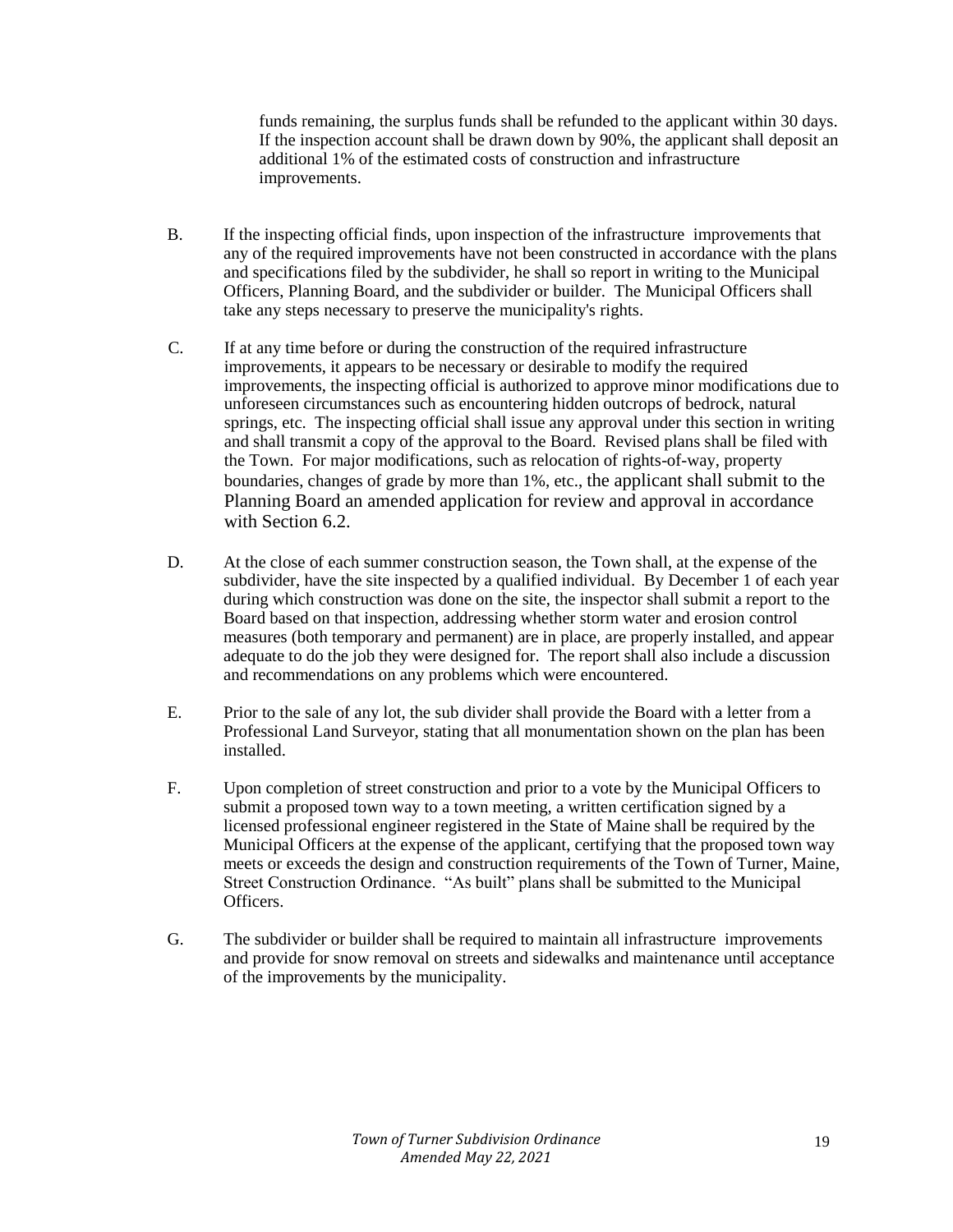funds remaining, the surplus funds shall be refunded to the applicant within 30 days. If the inspection account shall be drawn down by 90%, the applicant shall deposit an additional 1% of the estimated costs of construction and infrastructure improvements.

- B. If the inspecting official finds, upon inspection of the infrastructure improvements that any of the required improvements have not been constructed in accordance with the plans and specifications filed by the subdivider, he shall so report in writing to the Municipal Officers, Planning Board, and the subdivider or builder. The Municipal Officers shall take any steps necessary to preserve the municipality's rights.
- C. If at any time before or during the construction of the required infrastructure improvements, it appears to be necessary or desirable to modify the required improvements, the inspecting official is authorized to approve minor modifications due to unforeseen circumstances such as encountering hidden outcrops of bedrock, natural springs, etc. The inspecting official shall issue any approval under this section in writing and shall transmit a copy of the approval to the Board. Revised plans shall be filed with the Town. For major modifications, such as relocation of rights-of-way, property boundaries, changes of grade by more than 1%, etc., the applicant shall submit to the Planning Board an amended application for review and approval in accordance with Section 6.2.
- D. At the close of each summer construction season, the Town shall, at the expense of the subdivider, have the site inspected by a qualified individual. By December 1 of each year during which construction was done on the site, the inspector shall submit a report to the Board based on that inspection, addressing whether storm water and erosion control measures (both temporary and permanent) are in place, are properly installed, and appear adequate to do the job they were designed for. The report shall also include a discussion and recommendations on any problems which were encountered.
- E. Prior to the sale of any lot, the sub divider shall provide the Board with a letter from a Professional Land Surveyor, stating that all monumentation shown on the plan has been installed.
- F. Upon completion of street construction and prior to a vote by the Municipal Officers to submit a proposed town way to a town meeting, a written certification signed by a licensed professional engineer registered in the State of Maine shall be required by the Municipal Officers at the expense of the applicant, certifying that the proposed town way meets or exceeds the design and construction requirements of the Town of Turner, Maine, Street Construction Ordinance. "As built" plans shall be submitted to the Municipal Officers.
- G. The subdivider or builder shall be required to maintain all infrastructure improvements and provide for snow removal on streets and sidewalks and maintenance until acceptance of the improvements by the municipality.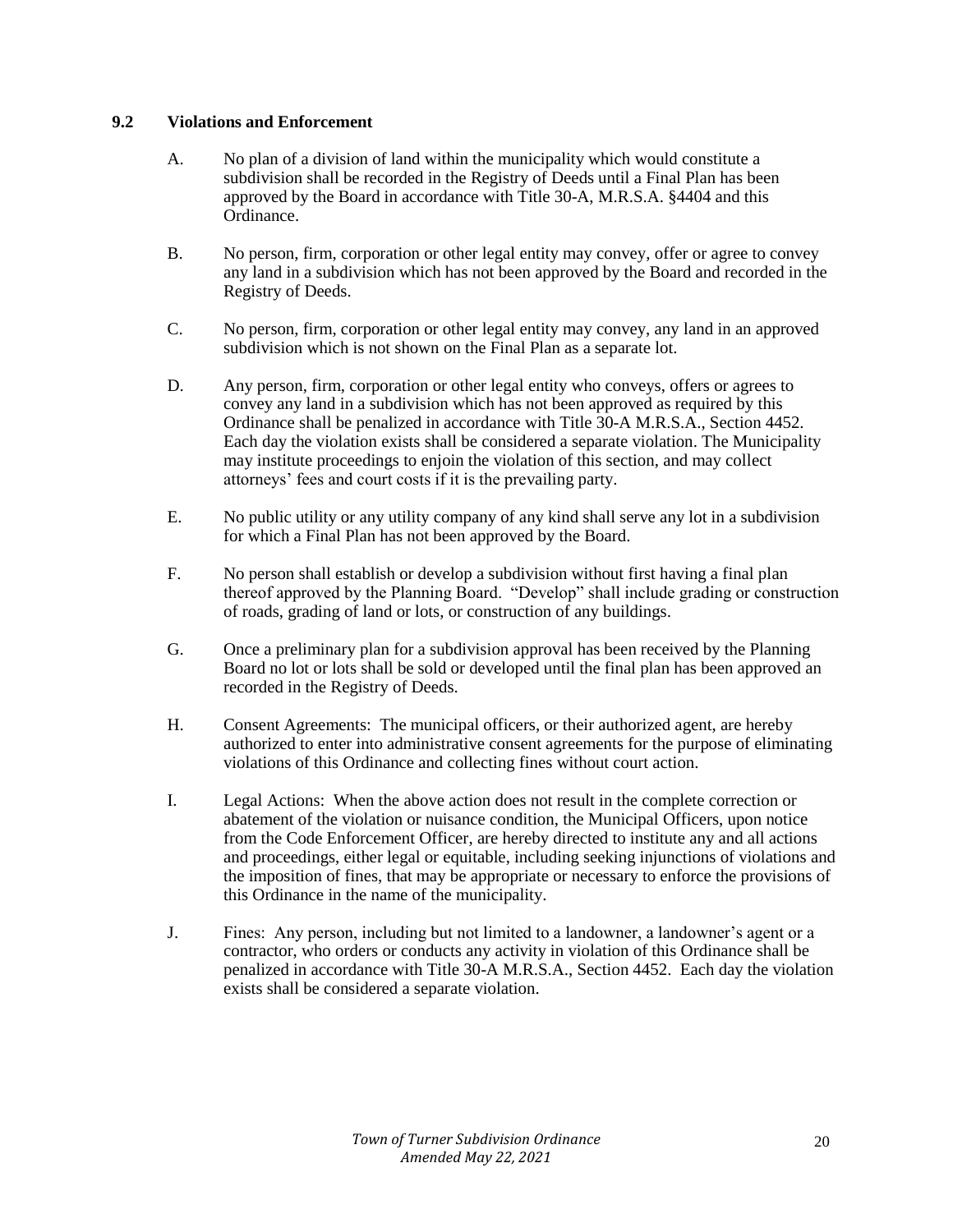## **9.2 Violations and Enforcement**

- A. No plan of a division of land within the municipality which would constitute a subdivision shall be recorded in the Registry of Deeds until a Final Plan has been approved by the Board in accordance with Title 30-A, M.R.S.A. §4404 and this Ordinance.
- B. No person, firm, corporation or other legal entity may convey, offer or agree to convey any land in a subdivision which has not been approved by the Board and recorded in the Registry of Deeds.
- C. No person, firm, corporation or other legal entity may convey, any land in an approved subdivision which is not shown on the Final Plan as a separate lot.
- D. Any person, firm, corporation or other legal entity who conveys, offers or agrees to convey any land in a subdivision which has not been approved as required by this Ordinance shall be penalized in accordance with Title 30-A M.R.S.A., Section 4452. Each day the violation exists shall be considered a separate violation. The Municipality may institute proceedings to enjoin the violation of this section, and may collect attorneys' fees and court costs if it is the prevailing party.
- E. No public utility or any utility company of any kind shall serve any lot in a subdivision for which a Final Plan has not been approved by the Board.
- F. No person shall establish or develop a subdivision without first having a final plan thereof approved by the Planning Board. "Develop" shall include grading or construction of roads, grading of land or lots, or construction of any buildings.
- G. Once a preliminary plan for a subdivision approval has been received by the Planning Board no lot or lots shall be sold or developed until the final plan has been approved an recorded in the Registry of Deeds.
- H. Consent Agreements: The municipal officers, or their authorized agent, are hereby authorized to enter into administrative consent agreements for the purpose of eliminating violations of this Ordinance and collecting fines without court action.
- I. Legal Actions: When the above action does not result in the complete correction or abatement of the violation or nuisance condition, the Municipal Officers, upon notice from the Code Enforcement Officer, are hereby directed to institute any and all actions and proceedings, either legal or equitable, including seeking injunctions of violations and the imposition of fines, that may be appropriate or necessary to enforce the provisions of this Ordinance in the name of the municipality.
- J. Fines: Any person, including but not limited to a landowner, a landowner's agent or a contractor, who orders or conducts any activity in violation of this Ordinance shall be penalized in accordance with Title 30-A M.R.S.A., Section 4452. Each day the violation exists shall be considered a separate violation.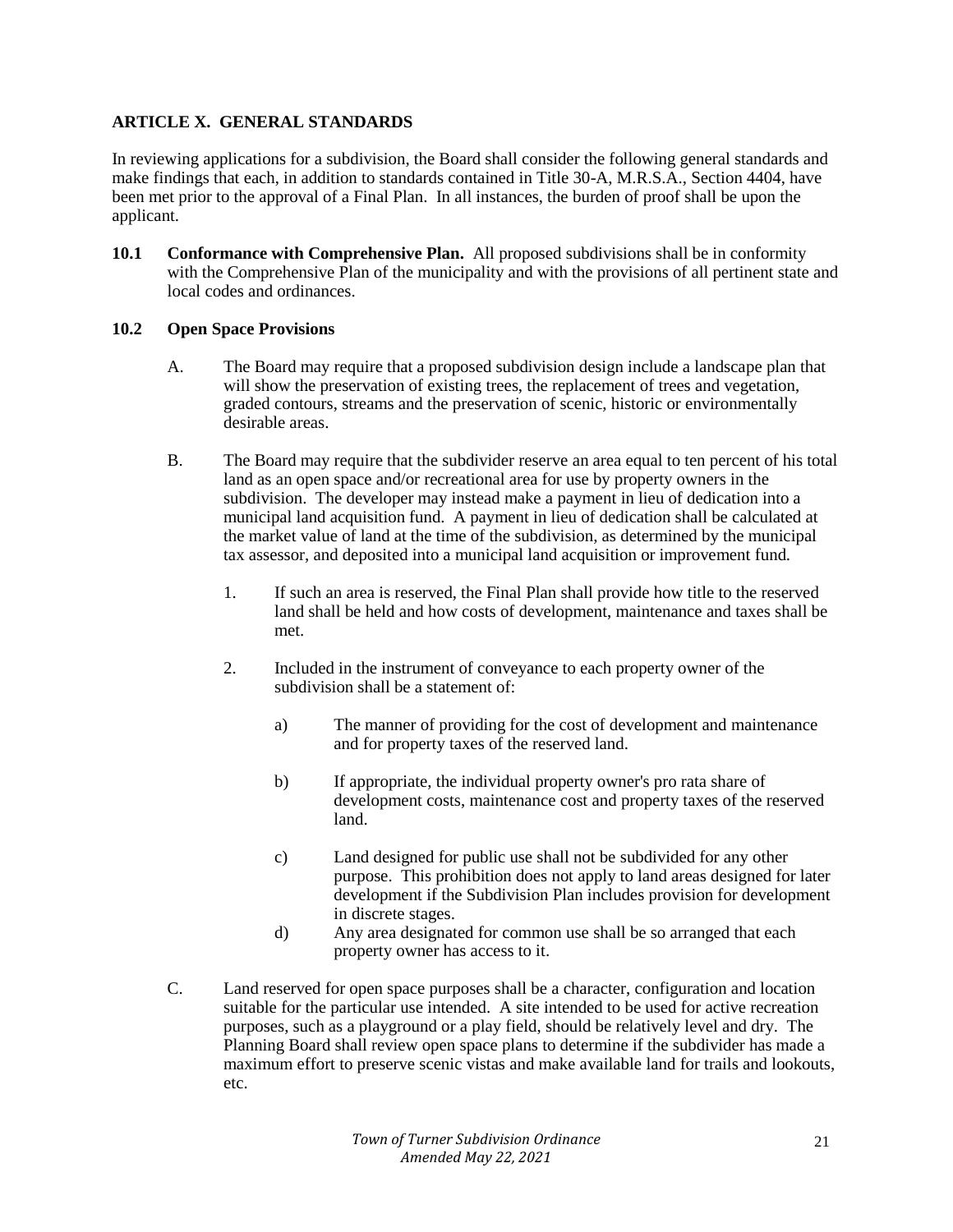# **ARTICLE X. GENERAL STANDARDS**

In reviewing applications for a subdivision, the Board shall consider the following general standards and make findings that each, in addition to standards contained in Title 30-A, M.R.S.A., Section 4404, have been met prior to the approval of a Final Plan. In all instances, the burden of proof shall be upon the applicant.

**10.1 Conformance with Comprehensive Plan.** All proposed subdivisions shall be in conformity with the Comprehensive Plan of the municipality and with the provisions of all pertinent state and local codes and ordinances.

## **10.2 Open Space Provisions**

- A. The Board may require that a proposed subdivision design include a landscape plan that will show the preservation of existing trees, the replacement of trees and vegetation, graded contours, streams and the preservation of scenic, historic or environmentally desirable areas.
- B. The Board may require that the subdivider reserve an area equal to ten percent of his total land as an open space and/or recreational area for use by property owners in the subdivision. The developer may instead make a payment in lieu of dedication into a municipal land acquisition fund. A payment in lieu of dedication shall be calculated at the market value of land at the time of the subdivision, as determined by the municipal tax assessor, and deposited into a municipal land acquisition or improvement fund.
	- 1. If such an area is reserved, the Final Plan shall provide how title to the reserved land shall be held and how costs of development, maintenance and taxes shall be met.
	- 2. Included in the instrument of conveyance to each property owner of the subdivision shall be a statement of:
		- a) The manner of providing for the cost of development and maintenance and for property taxes of the reserved land.
		- b) If appropriate, the individual property owner's pro rata share of development costs, maintenance cost and property taxes of the reserved land.
		- c) Land designed for public use shall not be subdivided for any other purpose. This prohibition does not apply to land areas designed for later development if the Subdivision Plan includes provision for development in discrete stages.
		- d) Any area designated for common use shall be so arranged that each property owner has access to it.
- C. Land reserved for open space purposes shall be a character, configuration and location suitable for the particular use intended. A site intended to be used for active recreation purposes, such as a playground or a play field, should be relatively level and dry. The Planning Board shall review open space plans to determine if the subdivider has made a maximum effort to preserve scenic vistas and make available land for trails and lookouts, etc.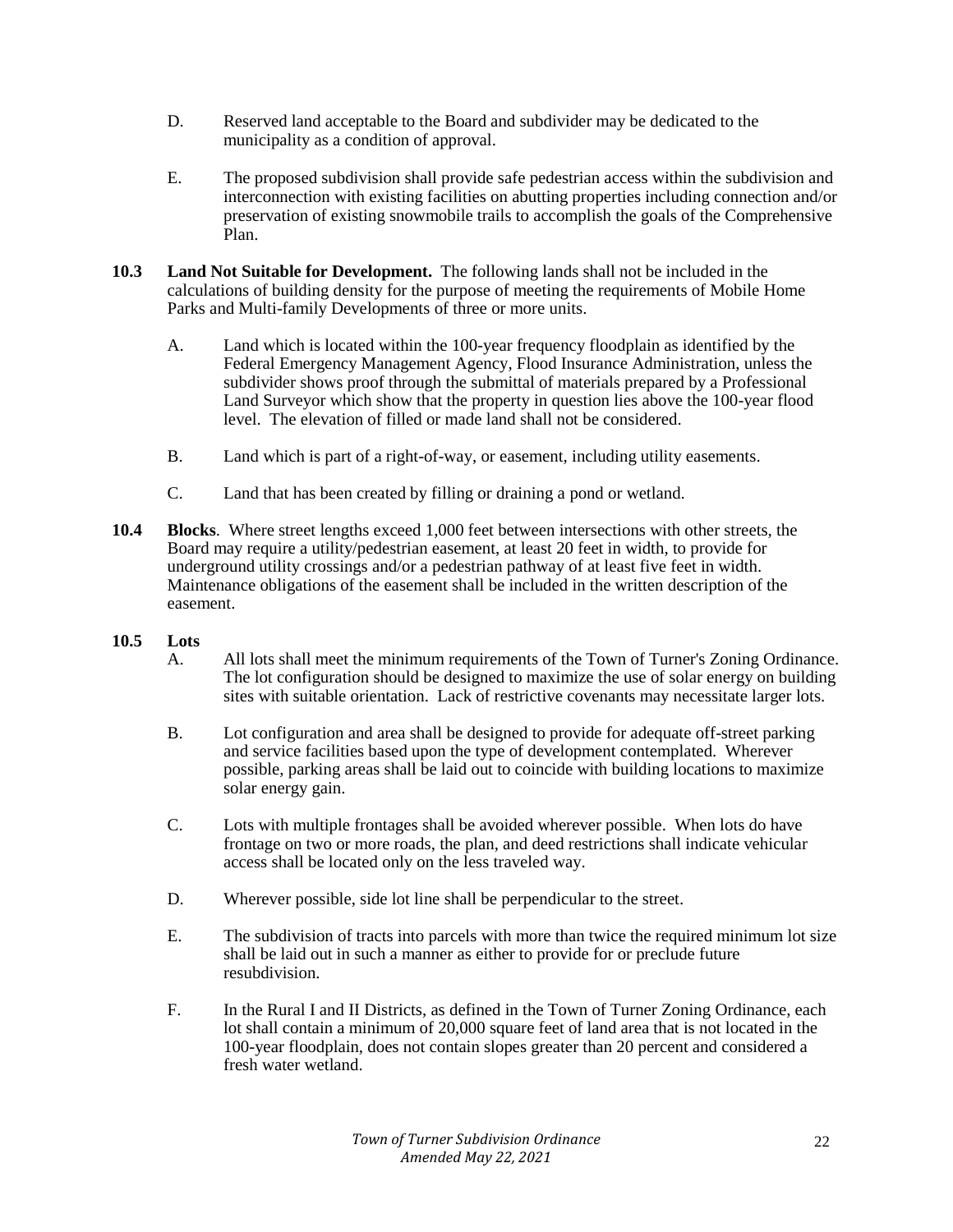- D. Reserved land acceptable to the Board and subdivider may be dedicated to the municipality as a condition of approval.
- E. The proposed subdivision shall provide safe pedestrian access within the subdivision and interconnection with existing facilities on abutting properties including connection and/or preservation of existing snowmobile trails to accomplish the goals of the Comprehensive Plan.
- **10.3 Land Not Suitable for Development.** The following lands shall not be included in the calculations of building density for the purpose of meeting the requirements of Mobile Home Parks and Multi-family Developments of three or more units.
	- A. Land which is located within the 100-year frequency floodplain as identified by the Federal Emergency Management Agency, Flood Insurance Administration, unless the subdivider shows proof through the submittal of materials prepared by a Professional Land Surveyor which show that the property in question lies above the 100-year flood level. The elevation of filled or made land shall not be considered.
	- B. Land which is part of a right-of-way, or easement, including utility easements.
	- C. Land that has been created by filling or draining a pond or wetland.
- **10.4 Blocks**. Where street lengths exceed 1,000 feet between intersections with other streets, the Board may require a utility/pedestrian easement, at least 20 feet in width, to provide for underground utility crossings and/or a pedestrian pathway of at least five feet in width. Maintenance obligations of the easement shall be included in the written description of the easement.

# **10.5 Lots**

- A. All lots shall meet the minimum requirements of the Town of Turner's Zoning Ordinance. The lot configuration should be designed to maximize the use of solar energy on building sites with suitable orientation. Lack of restrictive covenants may necessitate larger lots.
- B. Lot configuration and area shall be designed to provide for adequate off-street parking and service facilities based upon the type of development contemplated. Wherever possible, parking areas shall be laid out to coincide with building locations to maximize solar energy gain.
- C. Lots with multiple frontages shall be avoided wherever possible. When lots do have frontage on two or more roads, the plan, and deed restrictions shall indicate vehicular access shall be located only on the less traveled way.
- D. Wherever possible, side lot line shall be perpendicular to the street.
- E. The subdivision of tracts into parcels with more than twice the required minimum lot size shall be laid out in such a manner as either to provide for or preclude future resubdivision.
- F. In the Rural I and II Districts, as defined in the Town of Turner Zoning Ordinance, each lot shall contain a minimum of 20,000 square feet of land area that is not located in the 100-year floodplain, does not contain slopes greater than 20 percent and considered a fresh water wetland.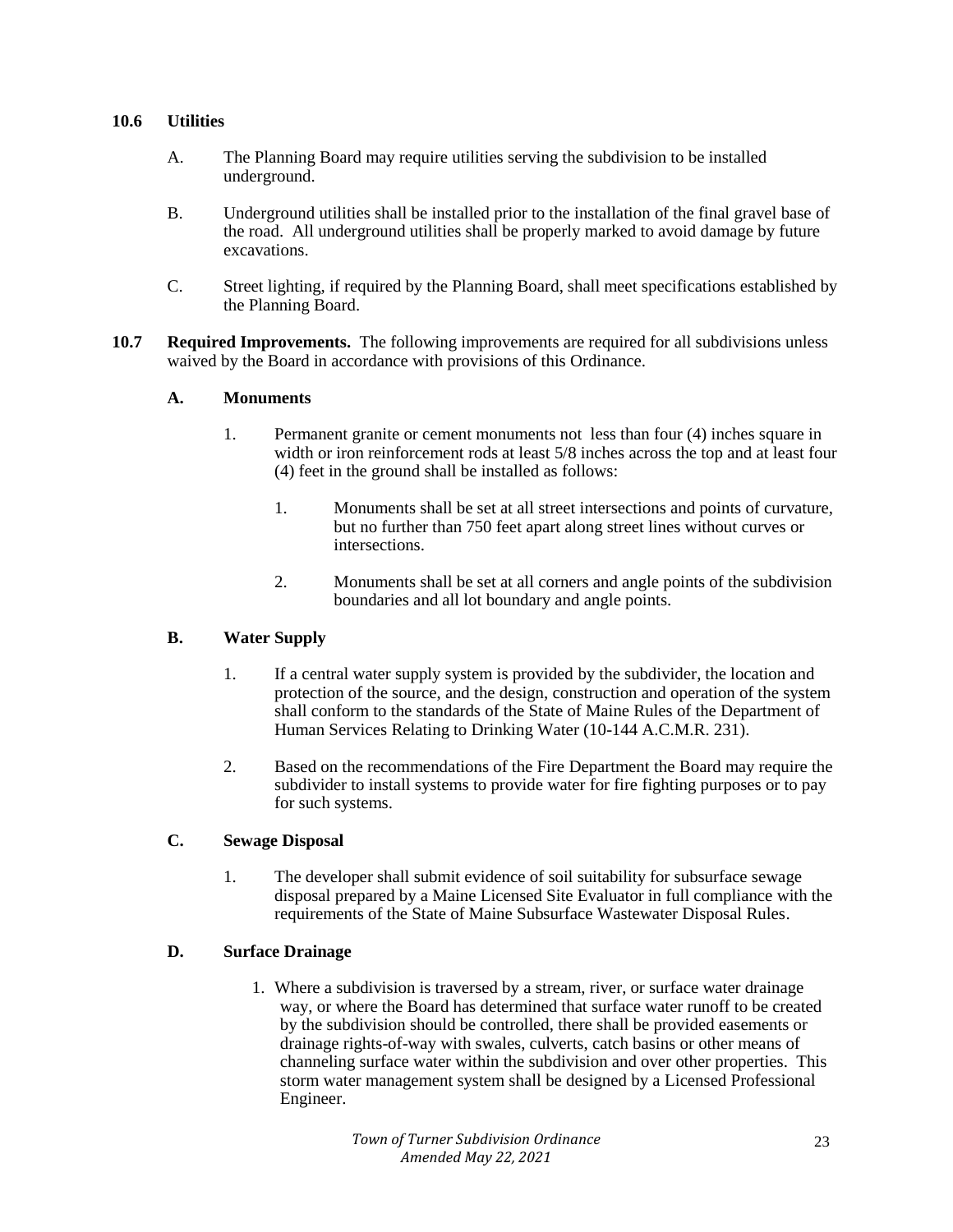## **10.6 Utilities**

- A. The Planning Board may require utilities serving the subdivision to be installed underground.
- B. Underground utilities shall be installed prior to the installation of the final gravel base of the road. All underground utilities shall be properly marked to avoid damage by future excavations.
- C. Street lighting, if required by the Planning Board, shall meet specifications established by the Planning Board.
- **10.7 Required Improvements.** The following improvements are required for all subdivisions unless waived by the Board in accordance with provisions of this Ordinance.

#### **A. Monuments**

- 1. Permanent granite or cement monuments not less than four (4) inches square in width or iron reinforcement rods at least 5/8 inches across the top and at least four (4) feet in the ground shall be installed as follows:
	- 1. Monuments shall be set at all street intersections and points of curvature, but no further than 750 feet apart along street lines without curves or intersections.
	- 2. Monuments shall be set at all corners and angle points of the subdivision boundaries and all lot boundary and angle points.

## **B. Water Supply**

- 1. If a central water supply system is provided by the subdivider, the location and protection of the source, and the design, construction and operation of the system shall conform to the standards of the State of Maine Rules of the Department of Human Services Relating to Drinking Water (10-144 A.C.M.R. 231).
- 2. Based on the recommendations of the Fire Department the Board may require the subdivider to install systems to provide water for fire fighting purposes or to pay for such systems.

## **C. Sewage Disposal**

1. The developer shall submit evidence of soil suitability for subsurface sewage disposal prepared by a Maine Licensed Site Evaluator in full compliance with the requirements of the State of Maine Subsurface Wastewater Disposal Rules.

## **D. Surface Drainage**

1. Where a subdivision is traversed by a stream, river, or surface water drainage way, or where the Board has determined that surface water runoff to be created by the subdivision should be controlled, there shall be provided easements or drainage rights-of-way with swales, culverts, catch basins or other means of channeling surface water within the subdivision and over other properties. This storm water management system shall be designed by a Licensed Professional Engineer.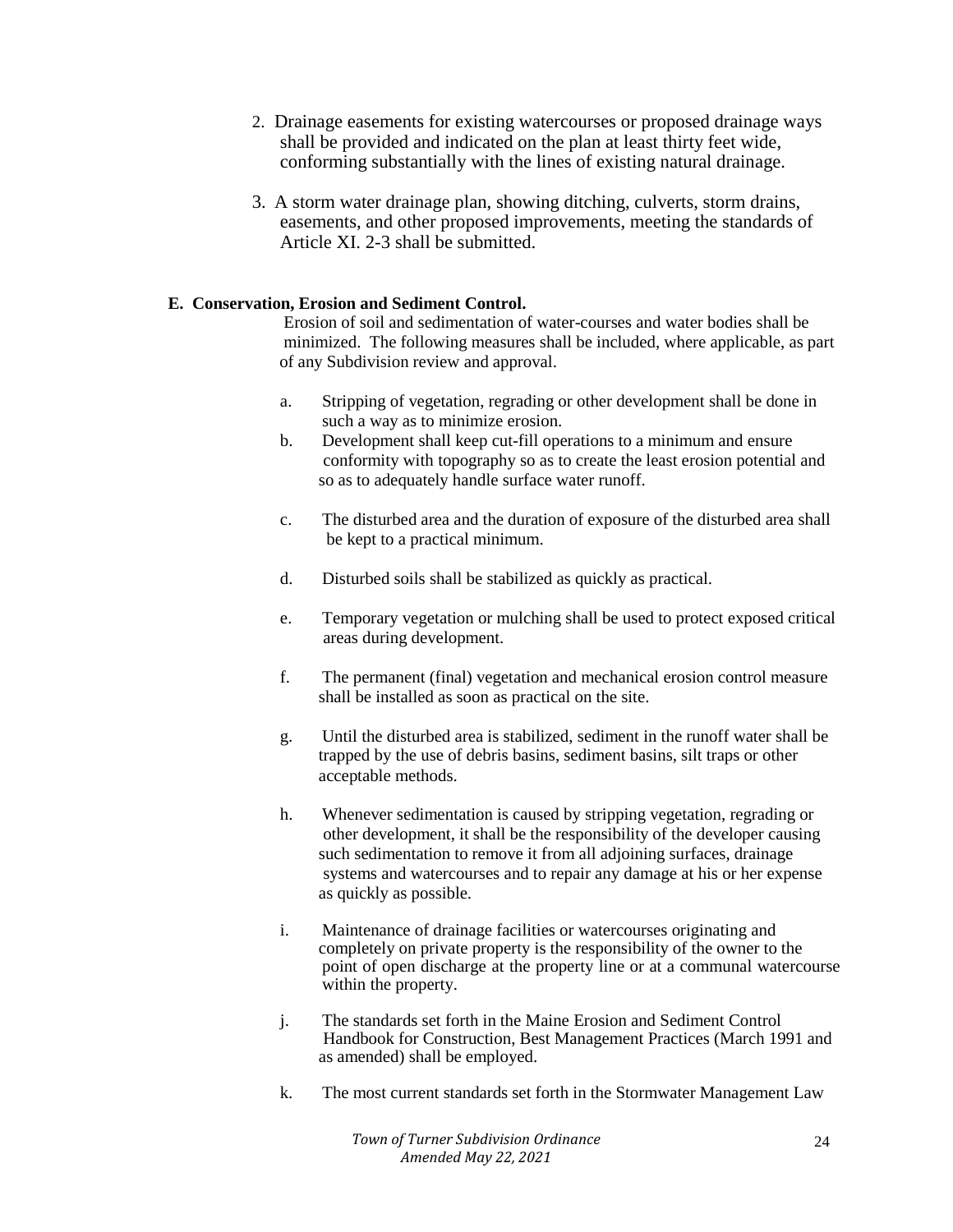- 2. Drainage easements for existing watercourses or proposed drainage ways shall be provided and indicated on the plan at least thirty feet wide, conforming substantially with the lines of existing natural drainage.
- 3. A storm water drainage plan, showing ditching, culverts, storm drains, easements, and other proposed improvements, meeting the standards of Article XI. 2-3 shall be submitted.

## **E. Conservation, Erosion and Sediment Control.**

 Erosion of soil and sedimentation of water-courses and water bodies shall be minimized. The following measures shall be included, where applicable, as part of any Subdivision review and approval.

- a. Stripping of vegetation, regrading or other development shall be done in such a way as to minimize erosion.
- b. Development shall keep cut-fill operations to a minimum and ensure conformity with topography so as to create the least erosion potential and so as to adequately handle surface water runoff.
- c. The disturbed area and the duration of exposure of the disturbed area shall be kept to a practical minimum.
- d. Disturbed soils shall be stabilized as quickly as practical.
- e. Temporary vegetation or mulching shall be used to protect exposed critical areas during development.
- f. The permanent (final) vegetation and mechanical erosion control measure shall be installed as soon as practical on the site.
- g. Until the disturbed area is stabilized, sediment in the runoff water shall be trapped by the use of debris basins, sediment basins, silt traps or other acceptable methods.
- h. Whenever sedimentation is caused by stripping vegetation, regrading or other development, it shall be the responsibility of the developer causing such sedimentation to remove it from all adjoining surfaces, drainage systems and watercourses and to repair any damage at his or her expense as quickly as possible.
- i. Maintenance of drainage facilities or watercourses originating and completely on private property is the responsibility of the owner to the point of open discharge at the property line or at a communal watercourse within the property.
- j. The standards set forth in the Maine Erosion and Sediment Control Handbook for Construction, Best Management Practices (March 1991 and as amended) shall be employed.
- k. The most current standards set forth in the Stormwater Management Law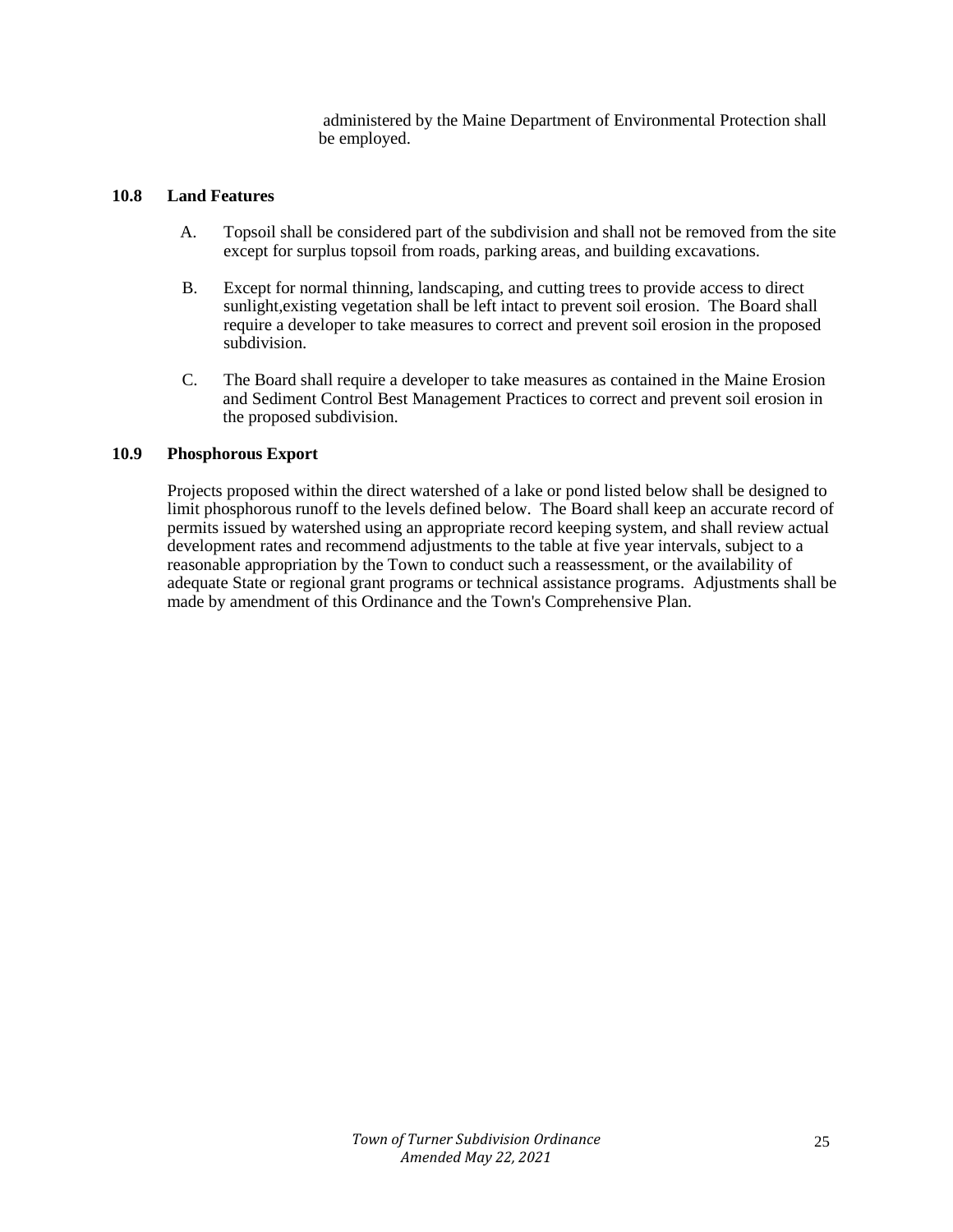administered by the Maine Department of Environmental Protection shall be employed.

## **10.8 Land Features**

- A. Topsoil shall be considered part of the subdivision and shall not be removed from the site except for surplus topsoil from roads, parking areas, and building excavations.
- B. Except for normal thinning, landscaping, and cutting trees to provide access to direct sunlight,existing vegetation shall be left intact to prevent soil erosion. The Board shall require a developer to take measures to correct and prevent soil erosion in the proposed subdivision.
- C. The Board shall require a developer to take measures as contained in the Maine Erosion and Sediment Control Best Management Practices to correct and prevent soil erosion in the proposed subdivision.

## **10.9 Phosphorous Export**

Projects proposed within the direct watershed of a lake or pond listed below shall be designed to limit phosphorous runoff to the levels defined below. The Board shall keep an accurate record of permits issued by watershed using an appropriate record keeping system, and shall review actual development rates and recommend adjustments to the table at five year intervals, subject to a reasonable appropriation by the Town to conduct such a reassessment, or the availability of adequate State or regional grant programs or technical assistance programs. Adjustments shall be made by amendment of this Ordinance and the Town's Comprehensive Plan.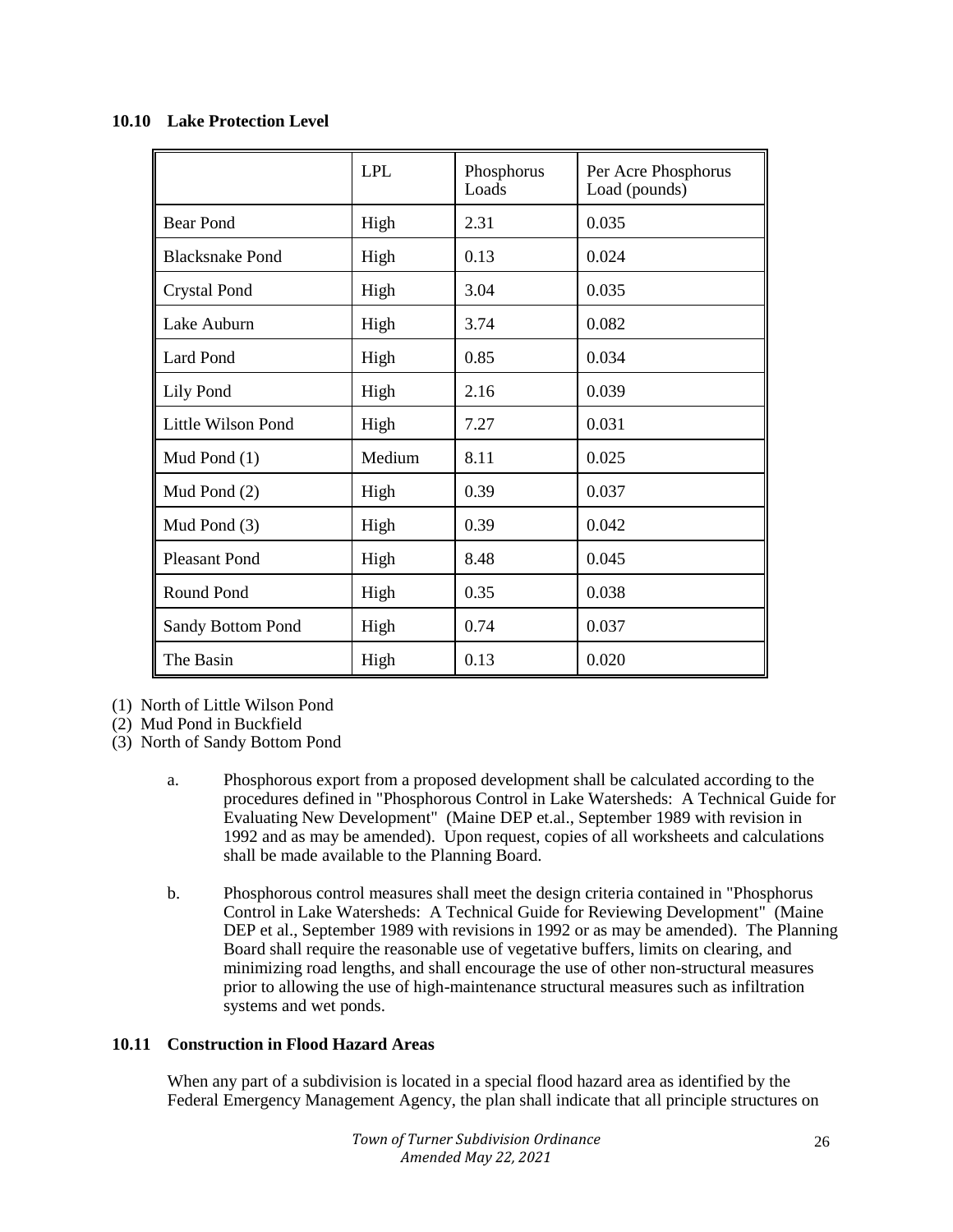|                        | <b>LPL</b> | Phosphorus<br>Loads | Per Acre Phosphorus<br>Load (pounds) |
|------------------------|------------|---------------------|--------------------------------------|
| <b>Bear Pond</b>       | High       | 2.31                | 0.035                                |
| <b>Blacksnake Pond</b> | High       | 0.13                | 0.024                                |
| <b>Crystal Pond</b>    | High       | 3.04                | 0.035                                |
| Lake Auburn            | High       | 3.74                | 0.082                                |
| <b>Lard Pond</b>       | High       | 0.85                | 0.034                                |
| Lily Pond              | High       | 2.16                | 0.039                                |
| Little Wilson Pond     | High       | 7.27                | 0.031                                |
| Mud Pond (1)           | Medium     | 8.11                | 0.025                                |
| Mud Pond (2)           | High       | 0.39                | 0.037                                |
| Mud Pond (3)           | High       | 0.39                | 0.042                                |
| <b>Pleasant Pond</b>   | High       | 8.48                | 0.045                                |
| Round Pond             | High       | 0.35                | 0.038                                |
| Sandy Bottom Pond      | High       | 0.74                | 0.037                                |
| The Basin              | High       | 0.13                | 0.020                                |

## **10.10 Lake Protection Level**

(1) North of Little Wilson Pond

(2) Mud Pond in Buckfield

(3) North of Sandy Bottom Pond

- a. Phosphorous export from a proposed development shall be calculated according to the procedures defined in "Phosphorous Control in Lake Watersheds: A Technical Guide for Evaluating New Development" (Maine DEP et.al., September 1989 with revision in 1992 and as may be amended). Upon request, copies of all worksheets and calculations shall be made available to the Planning Board.
- b. Phosphorous control measures shall meet the design criteria contained in "Phosphorus Control in Lake Watersheds: A Technical Guide for Reviewing Development" (Maine DEP et al., September 1989 with revisions in 1992 or as may be amended). The Planning Board shall require the reasonable use of vegetative buffers, limits on clearing, and minimizing road lengths, and shall encourage the use of other non-structural measures prior to allowing the use of high-maintenance structural measures such as infiltration systems and wet ponds.

# **10.11 Construction in Flood Hazard Areas**

When any part of a subdivision is located in a special flood hazard area as identified by the Federal Emergency Management Agency, the plan shall indicate that all principle structures on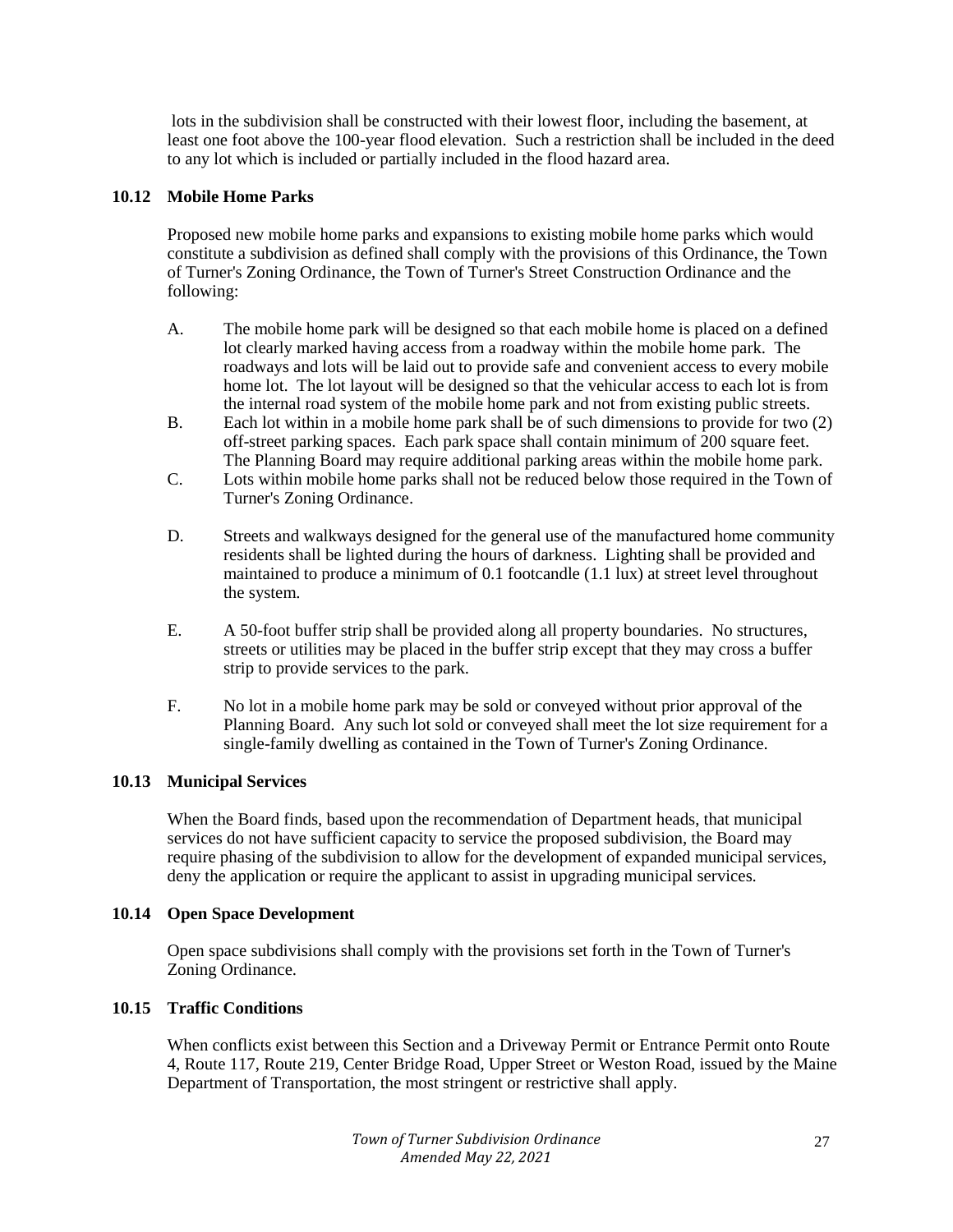lots in the subdivision shall be constructed with their lowest floor, including the basement, at least one foot above the 100-year flood elevation. Such a restriction shall be included in the deed to any lot which is included or partially included in the flood hazard area.

## **10.12 Mobile Home Parks**

Proposed new mobile home parks and expansions to existing mobile home parks which would constitute a subdivision as defined shall comply with the provisions of this Ordinance, the Town of Turner's Zoning Ordinance, the Town of Turner's Street Construction Ordinance and the following:

- A. The mobile home park will be designed so that each mobile home is placed on a defined lot clearly marked having access from a roadway within the mobile home park. The roadways and lots will be laid out to provide safe and convenient access to every mobile home lot. The lot layout will be designed so that the vehicular access to each lot is from the internal road system of the mobile home park and not from existing public streets.
- B. Each lot within in a mobile home park shall be of such dimensions to provide for two (2) off-street parking spaces. Each park space shall contain minimum of 200 square feet. The Planning Board may require additional parking areas within the mobile home park.
- C. Lots within mobile home parks shall not be reduced below those required in the Town of Turner's Zoning Ordinance.
- D. Streets and walkways designed for the general use of the manufactured home community residents shall be lighted during the hours of darkness. Lighting shall be provided and maintained to produce a minimum of 0.1 footcandle (1.1 lux) at street level throughout the system.
- E. A 50-foot buffer strip shall be provided along all property boundaries. No structures, streets or utilities may be placed in the buffer strip except that they may cross a buffer strip to provide services to the park.
- F. No lot in a mobile home park may be sold or conveyed without prior approval of the Planning Board. Any such lot sold or conveyed shall meet the lot size requirement for a single-family dwelling as contained in the Town of Turner's Zoning Ordinance.

## **10.13 Municipal Services**

When the Board finds, based upon the recommendation of Department heads, that municipal services do not have sufficient capacity to service the proposed subdivision, the Board may require phasing of the subdivision to allow for the development of expanded municipal services, deny the application or require the applicant to assist in upgrading municipal services.

## **10.14 Open Space Development**

Open space subdivisions shall comply with the provisions set forth in the Town of Turner's Zoning Ordinance.

## **10.15 Traffic Conditions**

When conflicts exist between this Section and a Driveway Permit or Entrance Permit onto Route 4, Route 117, Route 219, Center Bridge Road, Upper Street or Weston Road, issued by the Maine Department of Transportation, the most stringent or restrictive shall apply.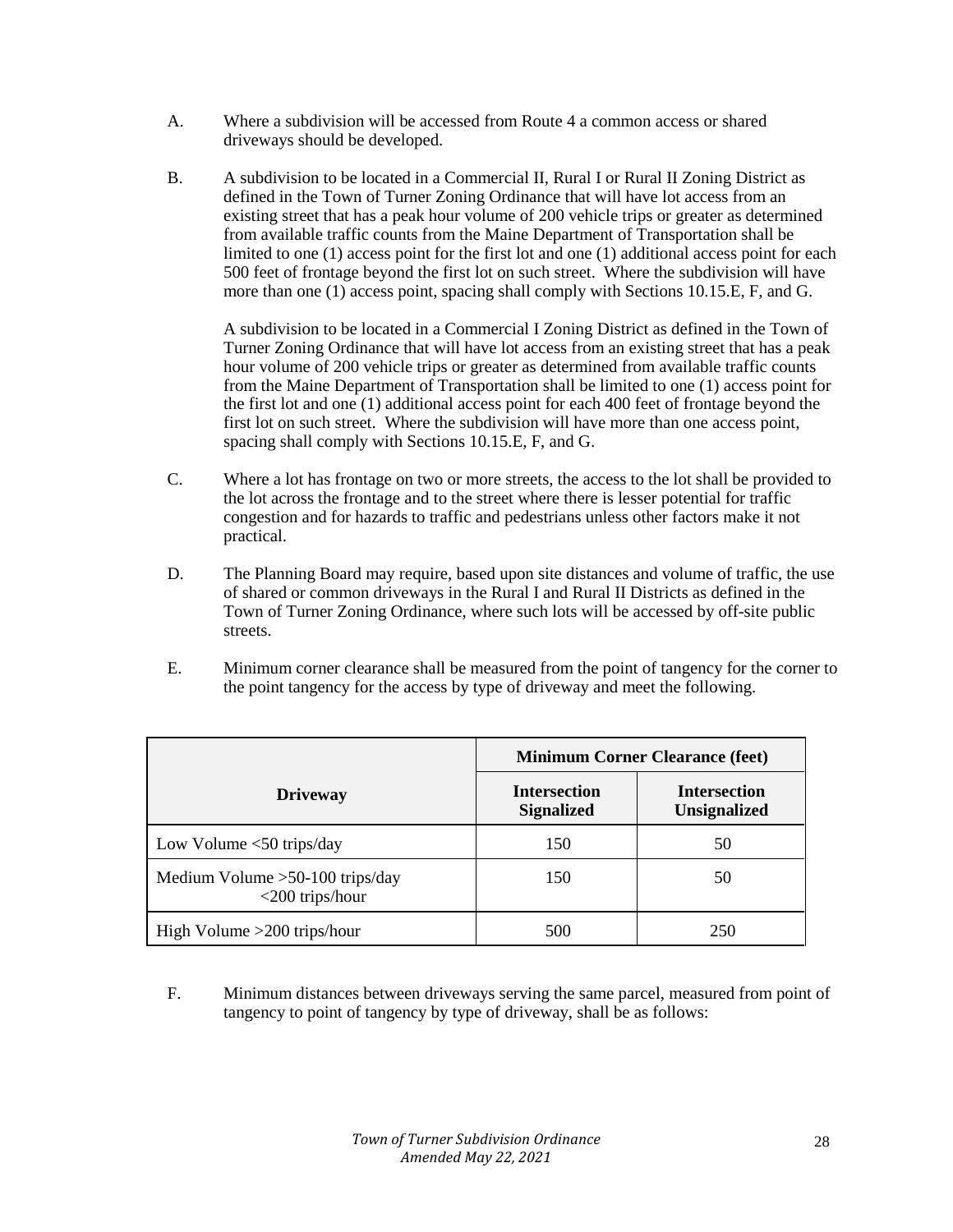- A. Where a subdivision will be accessed from Route 4 a common access or shared driveways should be developed.
- B. A subdivision to be located in a Commercial II, Rural I or Rural II Zoning District as defined in the Town of Turner Zoning Ordinance that will have lot access from an existing street that has a peak hour volume of 200 vehicle trips or greater as determined from available traffic counts from the Maine Department of Transportation shall be limited to one (1) access point for the first lot and one (1) additional access point for each 500 feet of frontage beyond the first lot on such street. Where the subdivision will have more than one (1) access point, spacing shall comply with Sections 10.15.E, F, and G.

A subdivision to be located in a Commercial I Zoning District as defined in the Town of Turner Zoning Ordinance that will have lot access from an existing street that has a peak hour volume of 200 vehicle trips or greater as determined from available traffic counts from the Maine Department of Transportation shall be limited to one (1) access point for the first lot and one (1) additional access point for each 400 feet of frontage beyond the first lot on such street. Where the subdivision will have more than one access point, spacing shall comply with Sections 10.15.E, F, and G.

- C. Where a lot has frontage on two or more streets, the access to the lot shall be provided to the lot across the frontage and to the street where there is lesser potential for traffic congestion and for hazards to traffic and pedestrians unless other factors make it not practical.
- D. The Planning Board may require, based upon site distances and volume of traffic, the use of shared or common driveways in the Rural I and Rural II Districts as defined in the Town of Turner Zoning Ordinance, where such lots will be accessed by off-site public streets.
- E. Minimum corner clearance shall be measured from the point of tangency for the corner to the point tangency for the access by type of driveway and meet the following.

|                                                         | <b>Minimum Corner Clearance (feet)</b>   |                                            |  |
|---------------------------------------------------------|------------------------------------------|--------------------------------------------|--|
| <b>Driveway</b>                                         | <b>Intersection</b><br><b>Signalized</b> | <b>Intersection</b><br><b>Unsignalized</b> |  |
| Low Volume $<$ 50 trips/day                             | 150                                      | 50                                         |  |
| Medium Volume $>50-100$ trips/day<br>$<$ 200 trips/hour | 150                                      | 50                                         |  |
| High Volume $>200$ trips/hour                           | 500                                      | 250                                        |  |

F. Minimum distances between driveways serving the same parcel, measured from point of tangency to point of tangency by type of driveway, shall be as follows: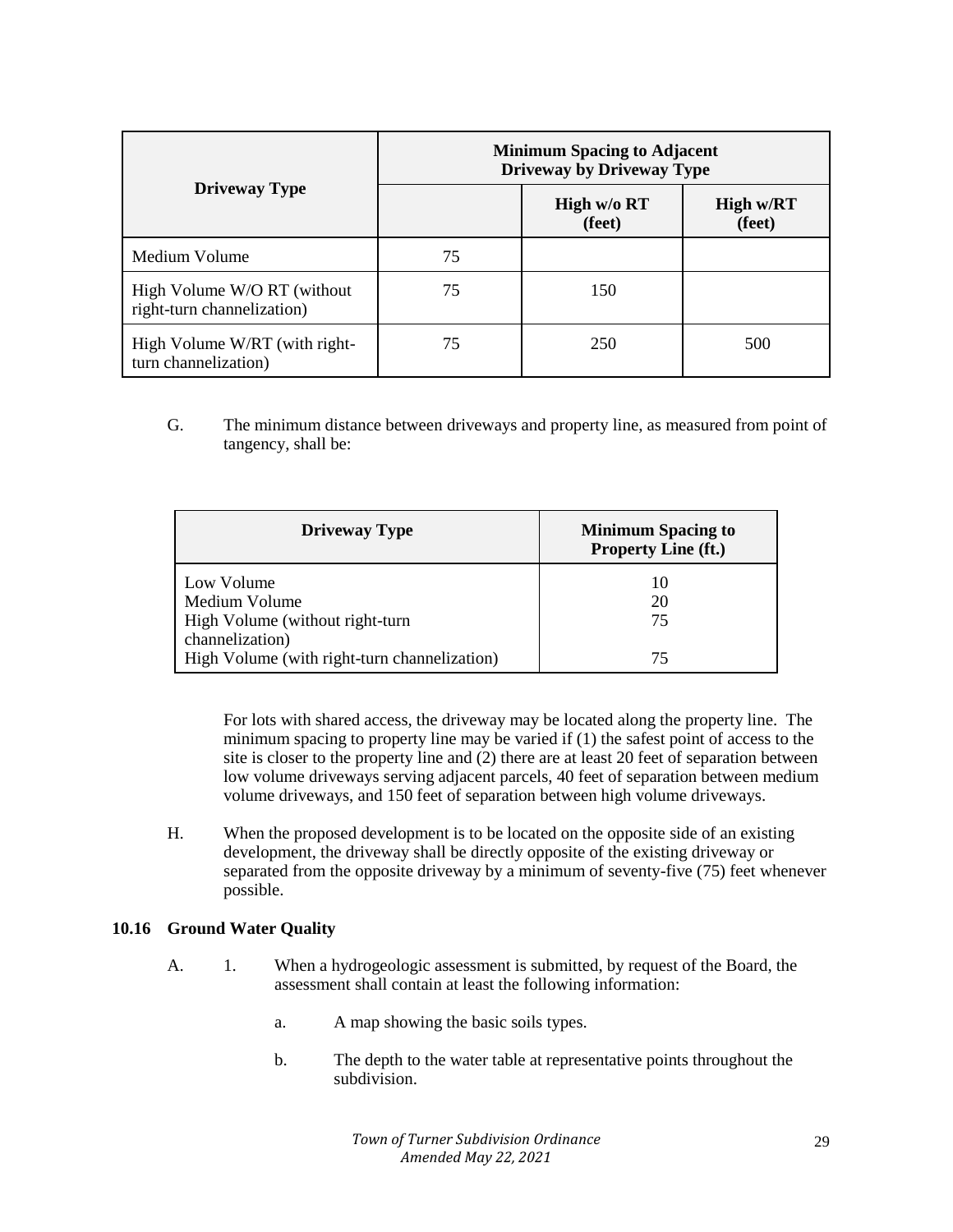|                                                           | <b>Minimum Spacing to Adjacent</b><br><b>Driveway by Driveway Type</b> |                       |                     |  |
|-----------------------------------------------------------|------------------------------------------------------------------------|-----------------------|---------------------|--|
| <b>Driveway Type</b>                                      |                                                                        | High w/o RT<br>(feet) | High w/RT<br>(feet) |  |
| Medium Volume                                             | 75                                                                     |                       |                     |  |
| High Volume W/O RT (without<br>right-turn channelization) | 75                                                                     | 150                   |                     |  |
| High Volume W/RT (with right-<br>turn channelization)     | 75                                                                     | 250                   | 500                 |  |

G. The minimum distance between driveways and property line, as measured from point of tangency, shall be:

| <b>Driveway Type</b>                                                              | <b>Minimum Spacing to</b><br><b>Property Line (ft.)</b> |
|-----------------------------------------------------------------------------------|---------------------------------------------------------|
| Low Volume<br>Medium Volume<br>High Volume (without right-turn<br>channelization) | 10<br>20<br>75                                          |
| High Volume (with right-turn channelization)                                      | 75                                                      |

For lots with shared access, the driveway may be located along the property line. The minimum spacing to property line may be varied if (1) the safest point of access to the site is closer to the property line and (2) there are at least 20 feet of separation between low volume driveways serving adjacent parcels, 40 feet of separation between medium volume driveways, and 150 feet of separation between high volume driveways.

H. When the proposed development is to be located on the opposite side of an existing development, the driveway shall be directly opposite of the existing driveway or separated from the opposite driveway by a minimum of seventy-five (75) feet whenever possible.

## **10.16 Ground Water Quality**

- A. 1. When a hydrogeologic assessment is submitted, by request of the Board, the assessment shall contain at least the following information:
	- a. A map showing the basic soils types.
	- b. The depth to the water table at representative points throughout the subdivision.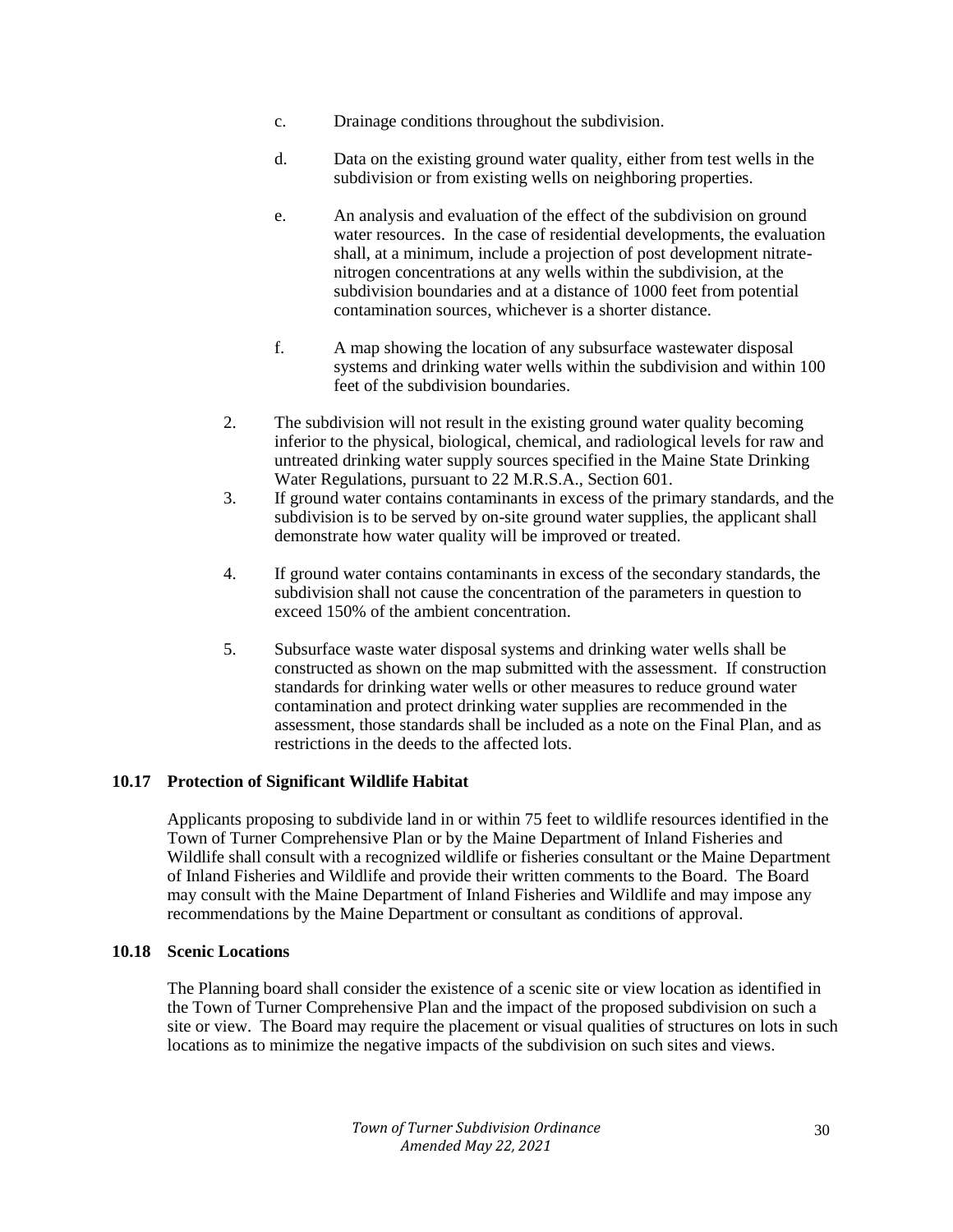- c. Drainage conditions throughout the subdivision.
- d. Data on the existing ground water quality, either from test wells in the subdivision or from existing wells on neighboring properties.
- e. An analysis and evaluation of the effect of the subdivision on ground water resources. In the case of residential developments, the evaluation shall, at a minimum, include a projection of post development nitratenitrogen concentrations at any wells within the subdivision, at the subdivision boundaries and at a distance of 1000 feet from potential contamination sources, whichever is a shorter distance.
- f. A map showing the location of any subsurface wastewater disposal systems and drinking water wells within the subdivision and within 100 feet of the subdivision boundaries.
- 2. The subdivision will not result in the existing ground water quality becoming inferior to the physical, biological, chemical, and radiological levels for raw and untreated drinking water supply sources specified in the Maine State Drinking Water Regulations, pursuant to 22 M.R.S.A., Section 601.
- 3. If ground water contains contaminants in excess of the primary standards, and the subdivision is to be served by on-site ground water supplies, the applicant shall demonstrate how water quality will be improved or treated.
- 4. If ground water contains contaminants in excess of the secondary standards, the subdivision shall not cause the concentration of the parameters in question to exceed 150% of the ambient concentration.
- 5. Subsurface waste water disposal systems and drinking water wells shall be constructed as shown on the map submitted with the assessment. If construction standards for drinking water wells or other measures to reduce ground water contamination and protect drinking water supplies are recommended in the assessment, those standards shall be included as a note on the Final Plan, and as restrictions in the deeds to the affected lots.

## **10.17 Protection of Significant Wildlife Habitat**

Applicants proposing to subdivide land in or within 75 feet to wildlife resources identified in the Town of Turner Comprehensive Plan or by the Maine Department of Inland Fisheries and Wildlife shall consult with a recognized wildlife or fisheries consultant or the Maine Department of Inland Fisheries and Wildlife and provide their written comments to the Board. The Board may consult with the Maine Department of Inland Fisheries and Wildlife and may impose any recommendations by the Maine Department or consultant as conditions of approval.

## **10.18 Scenic Locations**

The Planning board shall consider the existence of a scenic site or view location as identified in the Town of Turner Comprehensive Plan and the impact of the proposed subdivision on such a site or view. The Board may require the placement or visual qualities of structures on lots in such locations as to minimize the negative impacts of the subdivision on such sites and views.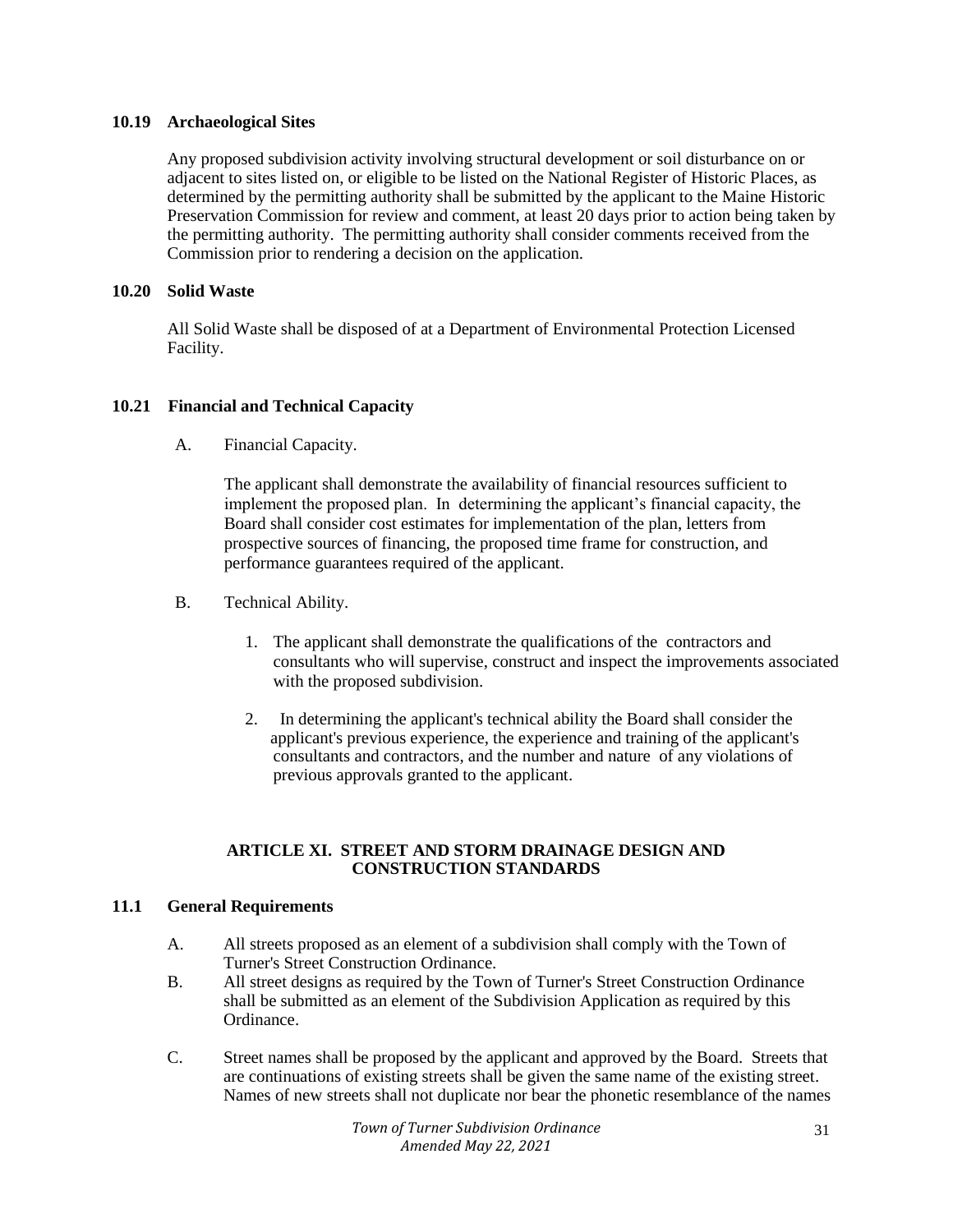## **10.19 Archaeological Sites**

Any proposed subdivision activity involving structural development or soil disturbance on or adjacent to sites listed on, or eligible to be listed on the National Register of Historic Places, as determined by the permitting authority shall be submitted by the applicant to the Maine Historic Preservation Commission for review and comment, at least 20 days prior to action being taken by the permitting authority. The permitting authority shall consider comments received from the Commission prior to rendering a decision on the application.

## **10.20 Solid Waste**

All Solid Waste shall be disposed of at a Department of Environmental Protection Licensed Facility.

## **10.21 Financial and Technical Capacity**

A. Financial Capacity.

The applicant shall demonstrate the availability of financial resources sufficient to implement the proposed plan. In determining the applicant's financial capacity, the Board shall consider cost estimates for implementation of the plan, letters from prospective sources of financing, the proposed time frame for construction, and performance guarantees required of the applicant.

- B. Technical Ability.
	- 1. The applicant shall demonstrate the qualifications of the contractors and consultants who will supervise, construct and inspect the improvements associated with the proposed subdivision.
	- 2. In determining the applicant's technical ability the Board shall consider the applicant's previous experience, the experience and training of the applicant's consultants and contractors, and the number and nature of any violations of previous approvals granted to the applicant.

#### **ARTICLE XI. STREET AND STORM DRAINAGE DESIGN AND CONSTRUCTION STANDARDS**

## **11.1 General Requirements**

- A. All streets proposed as an element of a subdivision shall comply with the Town of Turner's Street Construction Ordinance.
- B. All street designs as required by the Town of Turner's Street Construction Ordinance shall be submitted as an element of the Subdivision Application as required by this Ordinance.
- C. Street names shall be proposed by the applicant and approved by the Board. Streets that are continuations of existing streets shall be given the same name of the existing street. Names of new streets shall not duplicate nor bear the phonetic resemblance of the names

*Town of Turner Subdivision Ordinance Amended May 22, 2021*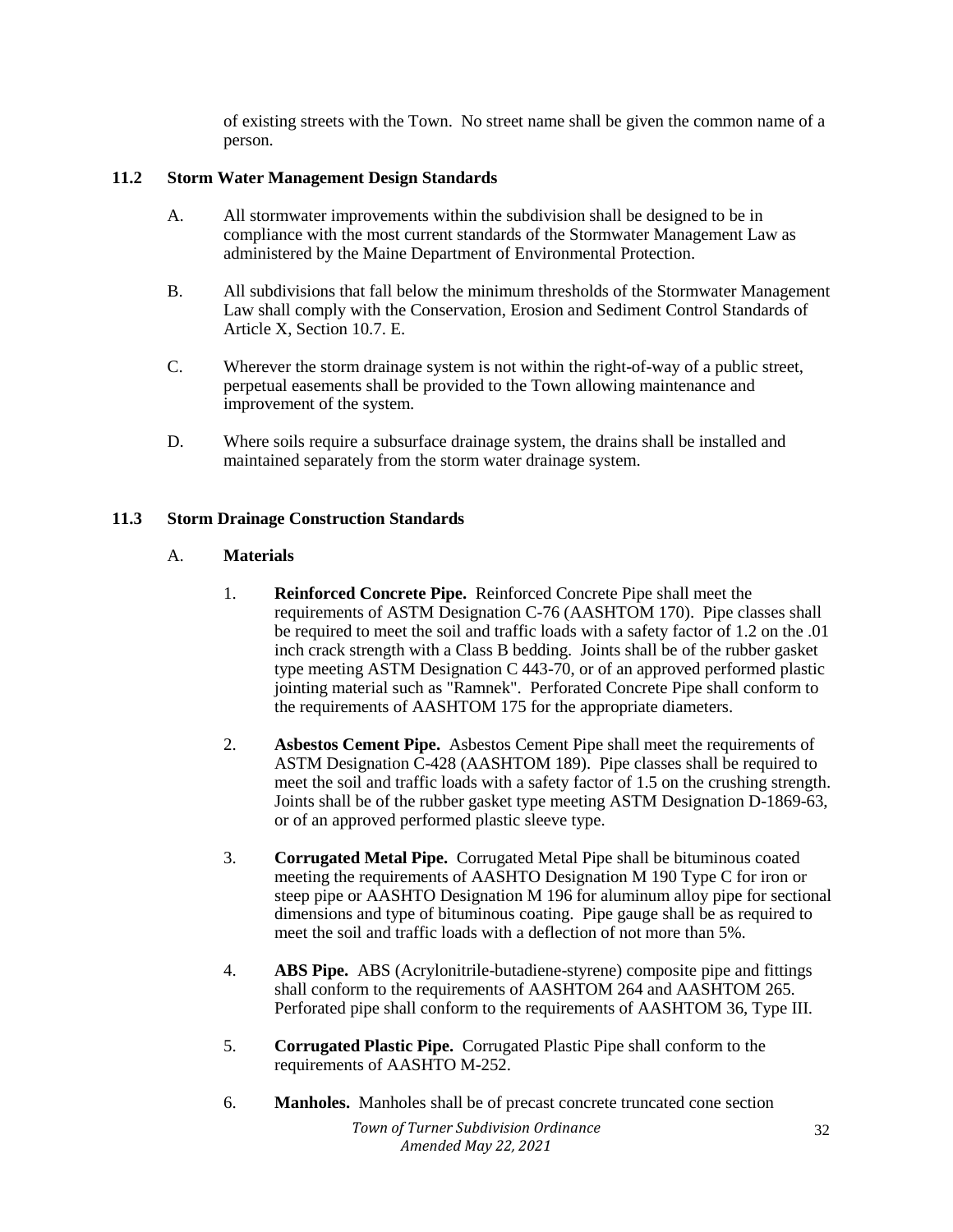of existing streets with the Town. No street name shall be given the common name of a person.

## **11.2 Storm Water Management Design Standards**

- A. All stormwater improvements within the subdivision shall be designed to be in compliance with the most current standards of the Stormwater Management Law as administered by the Maine Department of Environmental Protection.
- B. All subdivisions that fall below the minimum thresholds of the Stormwater Management Law shall comply with the Conservation, Erosion and Sediment Control Standards of Article X, Section 10.7. E.
- C. Wherever the storm drainage system is not within the right-of-way of a public street, perpetual easements shall be provided to the Town allowing maintenance and improvement of the system.
- D. Where soils require a subsurface drainage system, the drains shall be installed and maintained separately from the storm water drainage system.

## **11.3 Storm Drainage Construction Standards**

## A. **Materials**

- 1. **Reinforced Concrete Pipe.** Reinforced Concrete Pipe shall meet the requirements of ASTM Designation C-76 (AASHTOM 170). Pipe classes shall be required to meet the soil and traffic loads with a safety factor of 1.2 on the .01 inch crack strength with a Class B bedding. Joints shall be of the rubber gasket type meeting ASTM Designation C 443-70, or of an approved performed plastic jointing material such as "Ramnek". Perforated Concrete Pipe shall conform to the requirements of AASHTOM 175 for the appropriate diameters.
- 2. **Asbestos Cement Pipe.** Asbestos Cement Pipe shall meet the requirements of ASTM Designation C-428 (AASHTOM 189). Pipe classes shall be required to meet the soil and traffic loads with a safety factor of 1.5 on the crushing strength. Joints shall be of the rubber gasket type meeting ASTM Designation D-1869-63, or of an approved performed plastic sleeve type.
- 3. **Corrugated Metal Pipe.** Corrugated Metal Pipe shall be bituminous coated meeting the requirements of AASHTO Designation M 190 Type C for iron or steep pipe or AASHTO Designation M 196 for aluminum alloy pipe for sectional dimensions and type of bituminous coating. Pipe gauge shall be as required to meet the soil and traffic loads with a deflection of not more than 5%.
- 4. **ABS Pipe.** ABS (Acrylonitrile-butadiene-styrene) composite pipe and fittings shall conform to the requirements of AASHTOM 264 and AASHTOM 265. Perforated pipe shall conform to the requirements of AASHTOM 36, Type III.
- 5. **Corrugated Plastic Pipe.** Corrugated Plastic Pipe shall conform to the requirements of AASHTO M-252.
- 6. **Manholes.** Manholes shall be of precast concrete truncated cone section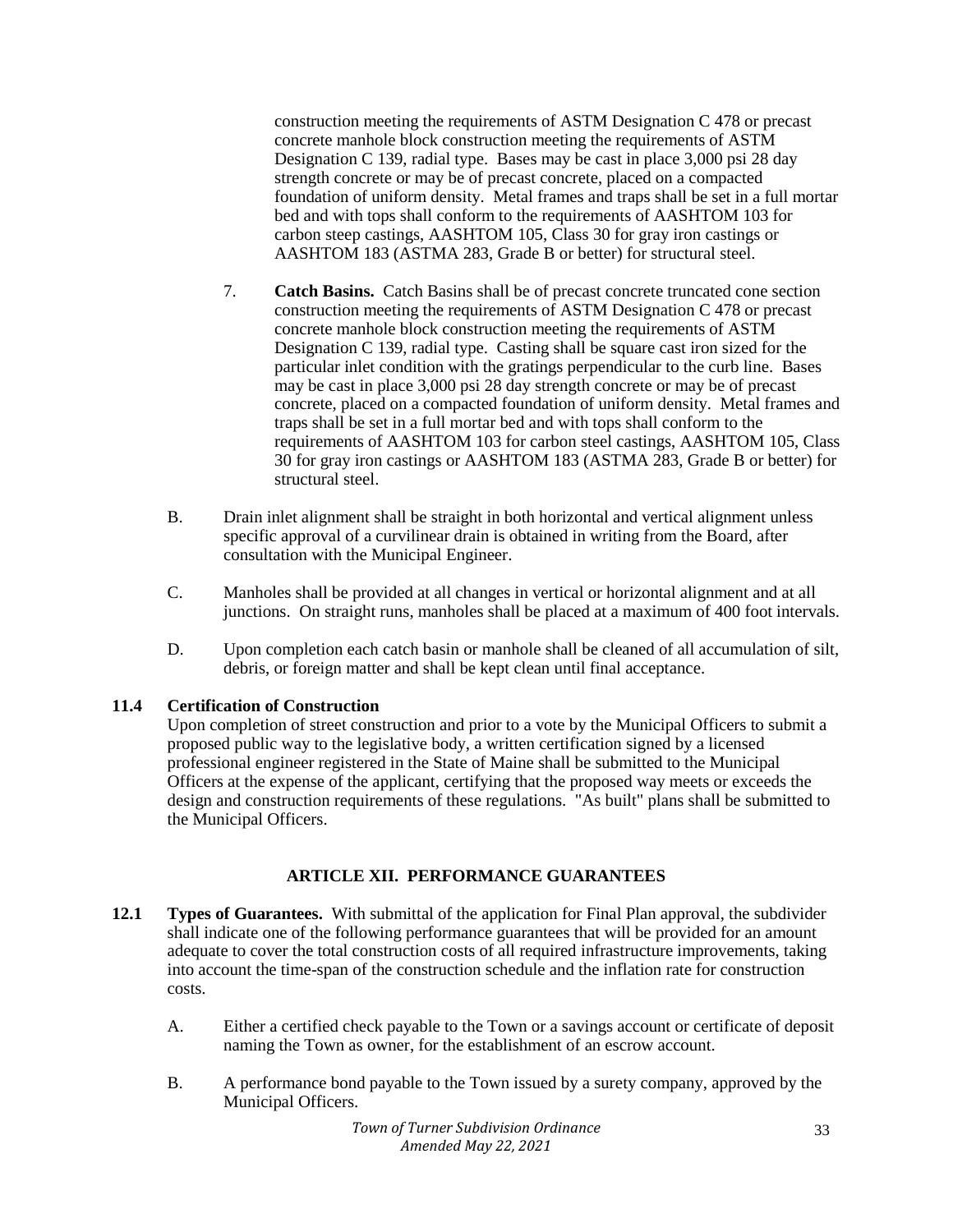construction meeting the requirements of ASTM Designation C 478 or precast concrete manhole block construction meeting the requirements of ASTM Designation C 139, radial type. Bases may be cast in place 3,000 psi 28 day strength concrete or may be of precast concrete, placed on a compacted foundation of uniform density. Metal frames and traps shall be set in a full mortar bed and with tops shall conform to the requirements of AASHTOM 103 for carbon steep castings, AASHTOM 105, Class 30 for gray iron castings or AASHTOM 183 (ASTMA 283, Grade B or better) for structural steel.

- 7. **Catch Basins.** Catch Basins shall be of precast concrete truncated cone section construction meeting the requirements of ASTM Designation C 478 or precast concrete manhole block construction meeting the requirements of ASTM Designation C 139, radial type. Casting shall be square cast iron sized for the particular inlet condition with the gratings perpendicular to the curb line. Bases may be cast in place 3,000 psi 28 day strength concrete or may be of precast concrete, placed on a compacted foundation of uniform density. Metal frames and traps shall be set in a full mortar bed and with tops shall conform to the requirements of AASHTOM 103 for carbon steel castings, AASHTOM 105, Class 30 for gray iron castings or AASHTOM 183 (ASTMA 283, Grade B or better) for structural steel.
- B. Drain inlet alignment shall be straight in both horizontal and vertical alignment unless specific approval of a curvilinear drain is obtained in writing from the Board, after consultation with the Municipal Engineer.
- C. Manholes shall be provided at all changes in vertical or horizontal alignment and at all junctions. On straight runs, manholes shall be placed at a maximum of 400 foot intervals.
- D. Upon completion each catch basin or manhole shall be cleaned of all accumulation of silt, debris, or foreign matter and shall be kept clean until final acceptance.

# **11.4 Certification of Construction**

Upon completion of street construction and prior to a vote by the Municipal Officers to submit a proposed public way to the legislative body, a written certification signed by a licensed professional engineer registered in the State of Maine shall be submitted to the Municipal Officers at the expense of the applicant, certifying that the proposed way meets or exceeds the design and construction requirements of these regulations. "As built" plans shall be submitted to the Municipal Officers.

# **ARTICLE XII. PERFORMANCE GUARANTEES**

- **12.1 Types of Guarantees.** With submittal of the application for Final Plan approval, the subdivider shall indicate one of the following performance guarantees that will be provided for an amount adequate to cover the total construction costs of all required infrastructure improvements, taking into account the time-span of the construction schedule and the inflation rate for construction costs.
	- A. Either a certified check payable to the Town or a savings account or certificate of deposit naming the Town as owner, for the establishment of an escrow account.
	- B. A performance bond payable to the Town issued by a surety company, approved by the Municipal Officers.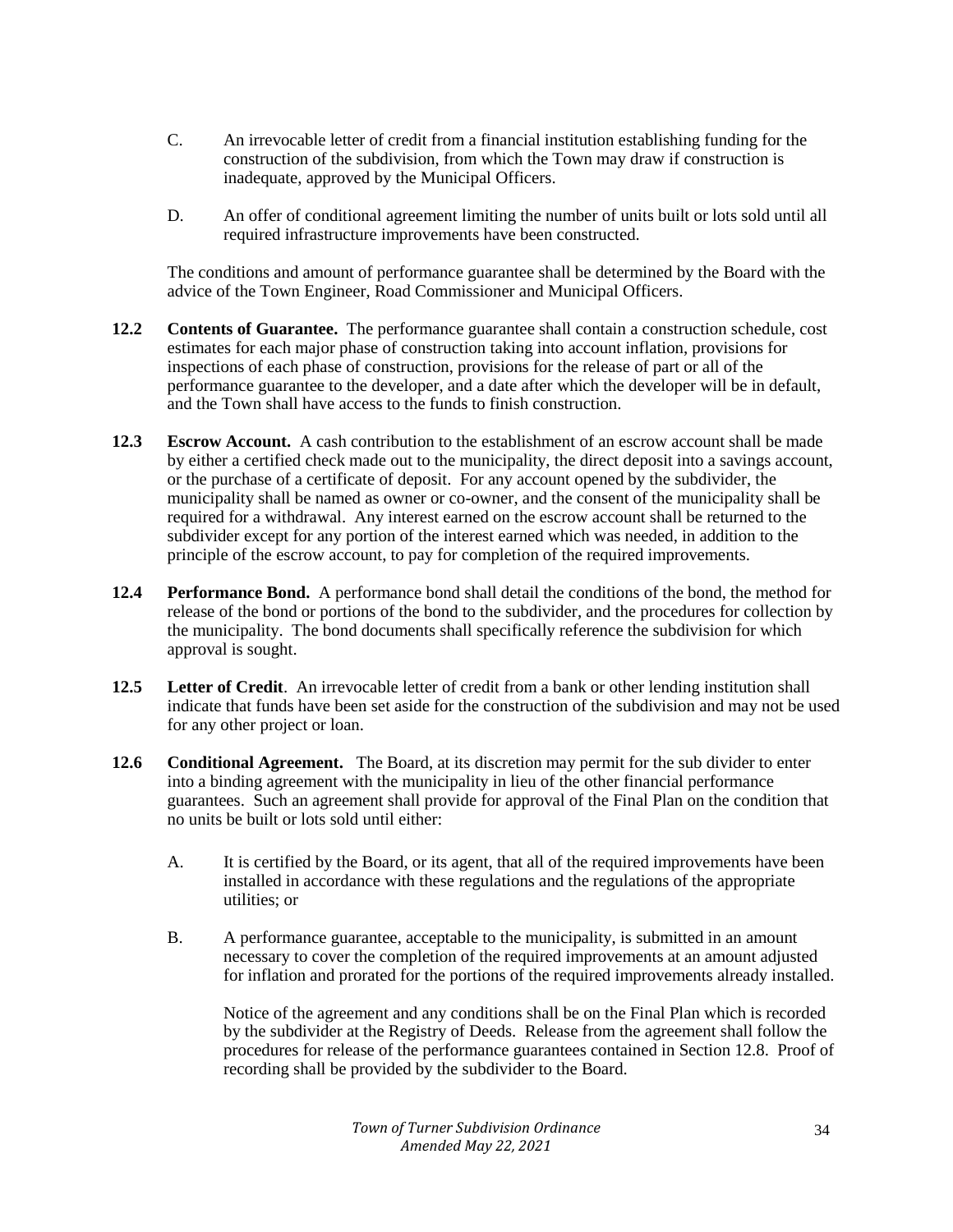- C. An irrevocable letter of credit from a financial institution establishing funding for the construction of the subdivision, from which the Town may draw if construction is inadequate, approved by the Municipal Officers.
- D. An offer of conditional agreement limiting the number of units built or lots sold until all required infrastructure improvements have been constructed.

The conditions and amount of performance guarantee shall be determined by the Board with the advice of the Town Engineer, Road Commissioner and Municipal Officers.

- **12.2 Contents of Guarantee.** The performance guarantee shall contain a construction schedule, cost estimates for each major phase of construction taking into account inflation, provisions for inspections of each phase of construction, provisions for the release of part or all of the performance guarantee to the developer, and a date after which the developer will be in default, and the Town shall have access to the funds to finish construction.
- **12.3 Escrow Account.** A cash contribution to the establishment of an escrow account shall be made by either a certified check made out to the municipality, the direct deposit into a savings account, or the purchase of a certificate of deposit. For any account opened by the subdivider, the municipality shall be named as owner or co-owner, and the consent of the municipality shall be required for a withdrawal. Any interest earned on the escrow account shall be returned to the subdivider except for any portion of the interest earned which was needed, in addition to the principle of the escrow account, to pay for completion of the required improvements.
- **12.4 Performance Bond.** A performance bond shall detail the conditions of the bond, the method for release of the bond or portions of the bond to the subdivider, and the procedures for collection by the municipality. The bond documents shall specifically reference the subdivision for which approval is sought.
- **12.5 Letter of Credit**. An irrevocable letter of credit from a bank or other lending institution shall indicate that funds have been set aside for the construction of the subdivision and may not be used for any other project or loan.
- **12.6 Conditional Agreement.** The Board, at its discretion may permit for the sub divider to enter into a binding agreement with the municipality in lieu of the other financial performance guarantees. Such an agreement shall provide for approval of the Final Plan on the condition that no units be built or lots sold until either:
	- A. It is certified by the Board, or its agent, that all of the required improvements have been installed in accordance with these regulations and the regulations of the appropriate utilities; or
	- B. A performance guarantee, acceptable to the municipality, is submitted in an amount necessary to cover the completion of the required improvements at an amount adjusted for inflation and prorated for the portions of the required improvements already installed.

Notice of the agreement and any conditions shall be on the Final Plan which is recorded by the subdivider at the Registry of Deeds. Release from the agreement shall follow the procedures for release of the performance guarantees contained in Section 12.8. Proof of recording shall be provided by the subdivider to the Board.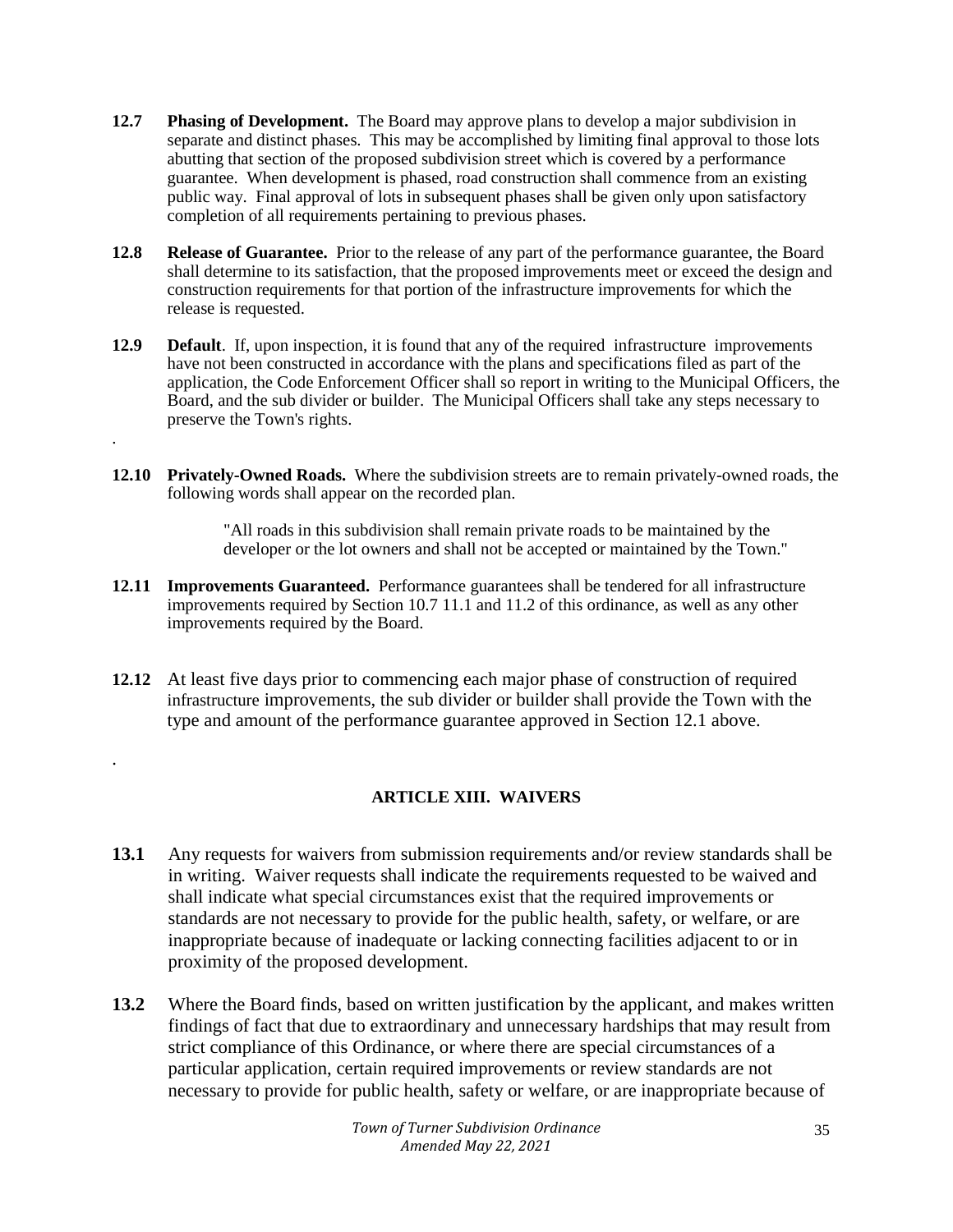- **12.7 Phasing of Development.** The Board may approve plans to develop a major subdivision in separate and distinct phases. This may be accomplished by limiting final approval to those lots abutting that section of the proposed subdivision street which is covered by a performance guarantee. When development is phased, road construction shall commence from an existing public way. Final approval of lots in subsequent phases shall be given only upon satisfactory completion of all requirements pertaining to previous phases.
- **12.8 Release of Guarantee.** Prior to the release of any part of the performance guarantee, the Board shall determine to its satisfaction, that the proposed improvements meet or exceed the design and construction requirements for that portion of the infrastructure improvements for which the release is requested.
- **12.9 Default**. If, upon inspection, it is found that any of the required infrastructure improvements have not been constructed in accordance with the plans and specifications filed as part of the application, the Code Enforcement Officer shall so report in writing to the Municipal Officers, the Board, and the sub divider or builder. The Municipal Officers shall take any steps necessary to preserve the Town's rights. .
- **12.10 Privately-Owned Roads.** Where the subdivision streets are to remain privately-owned roads, the following words shall appear on the recorded plan.

"All roads in this subdivision shall remain private roads to be maintained by the developer or the lot owners and shall not be accepted or maintained by the Town."

- **12.11 Improvements Guaranteed.** Performance guarantees shall be tendered for all infrastructure improvements required by Section 10.7 11.1 and 11.2 of this ordinance, as well as any other improvements required by the Board.
- **12.12** At least five days prior to commencing each major phase of construction of required infrastructure improvements, the sub divider or builder shall provide the Town with the type and amount of the performance guarantee approved in Section 12.1 above.

.

# **ARTICLE XIII. WAIVERS**

- **13.1** Any requests for waivers from submission requirements and/or review standards shall be in writing. Waiver requests shall indicate the requirements requested to be waived and shall indicate what special circumstances exist that the required improvements or standards are not necessary to provide for the public health, safety, or welfare, or are inappropriate because of inadequate or lacking connecting facilities adjacent to or in proximity of the proposed development.
- **13.2** Where the Board finds, based on written justification by the applicant, and makes written findings of fact that due to extraordinary and unnecessary hardships that may result from strict compliance of this Ordinance, or where there are special circumstances of a particular application, certain required improvements or review standards are not necessary to provide for public health, safety or welfare, or are inappropriate because of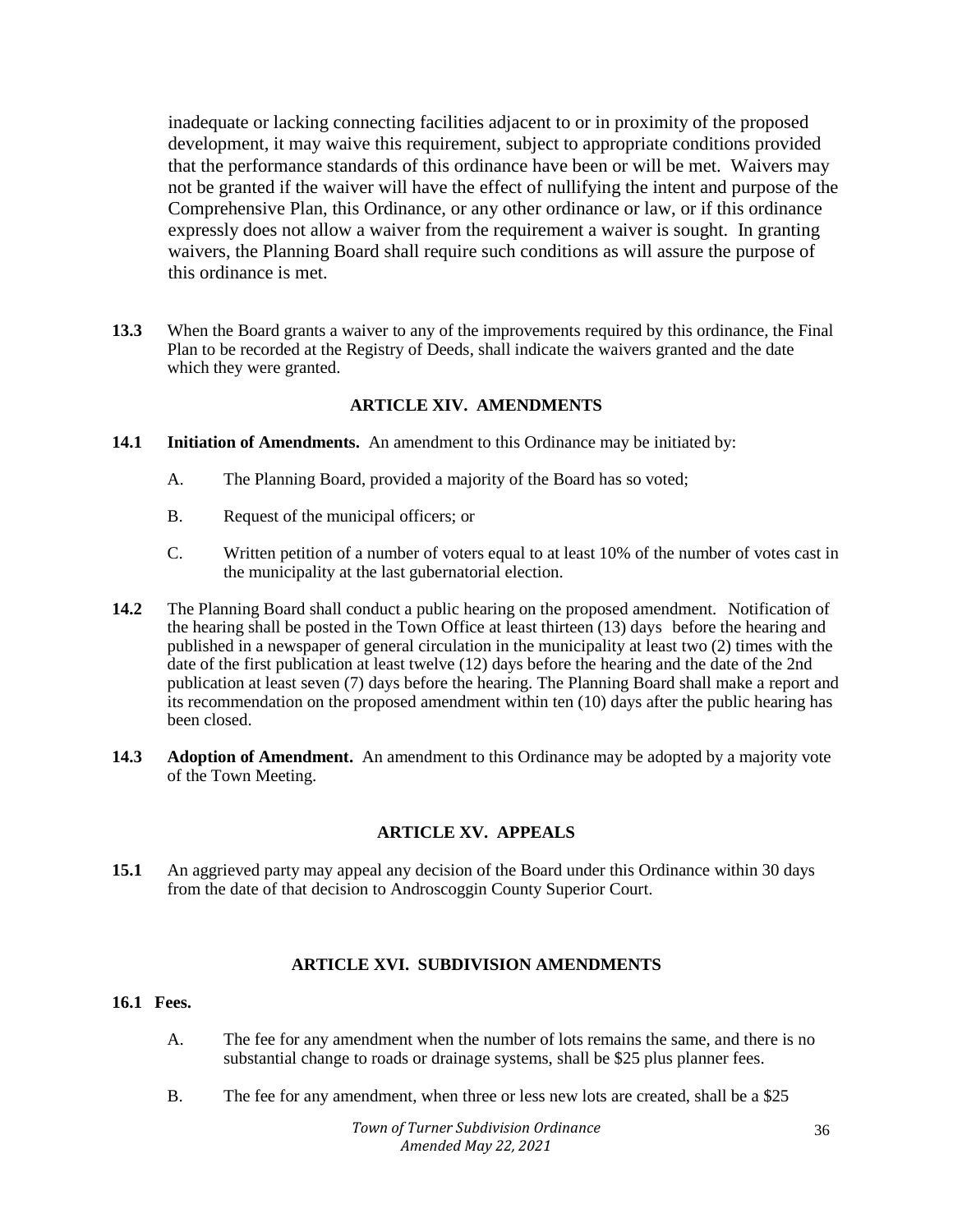inadequate or lacking connecting facilities adjacent to or in proximity of the proposed development, it may waive this requirement, subject to appropriate conditions provided that the performance standards of this ordinance have been or will be met. Waivers may not be granted if the waiver will have the effect of nullifying the intent and purpose of the Comprehensive Plan, this Ordinance, or any other ordinance or law, or if this ordinance expressly does not allow a waiver from the requirement a waiver is sought. In granting waivers, the Planning Board shall require such conditions as will assure the purpose of this ordinance is met.

**13.3** When the Board grants a waiver to any of the improvements required by this ordinance, the Final Plan to be recorded at the Registry of Deeds, shall indicate the waivers granted and the date which they were granted.

## **ARTICLE XIV. AMENDMENTS**

- **14.1 Initiation of Amendments.** An amendment to this Ordinance may be initiated by:
	- A. The Planning Board, provided a majority of the Board has so voted;
	- B. Request of the municipal officers; or
	- C. Written petition of a number of voters equal to at least 10% of the number of votes cast in the municipality at the last gubernatorial election.
- **14.2** The Planning Board shall conduct a public hearing on the proposed amendment. Notification of the hearing shall be posted in the Town Office at least thirteen (13) days before the hearing and published in a newspaper of general circulation in the municipality at least two (2) times with the date of the first publication at least twelve (12) days before the hearing and the date of the 2nd publication at least seven (7) days before the hearing. The Planning Board shall make a report and its recommendation on the proposed amendment within ten (10) days after the public hearing has been closed.
- **14.3 Adoption of Amendment.** An amendment to this Ordinance may be adopted by a majority vote of the Town Meeting.

## **ARTICLE XV. APPEALS**

**15.1** An aggrieved party may appeal any decision of the Board under this Ordinance within 30 days from the date of that decision to Androscoggin County Superior Court.

## **ARTICLE XVI. SUBDIVISION AMENDMENTS**

# **16.1 Fees.**

- A. The fee for any amendment when the number of lots remains the same, and there is no substantial change to roads or drainage systems, shall be \$25 plus planner fees.
- B. The fee for any amendment, when three or less new lots are created, shall be a \$25

*Town of Turner Subdivision Ordinance Amended May 22, 2021*